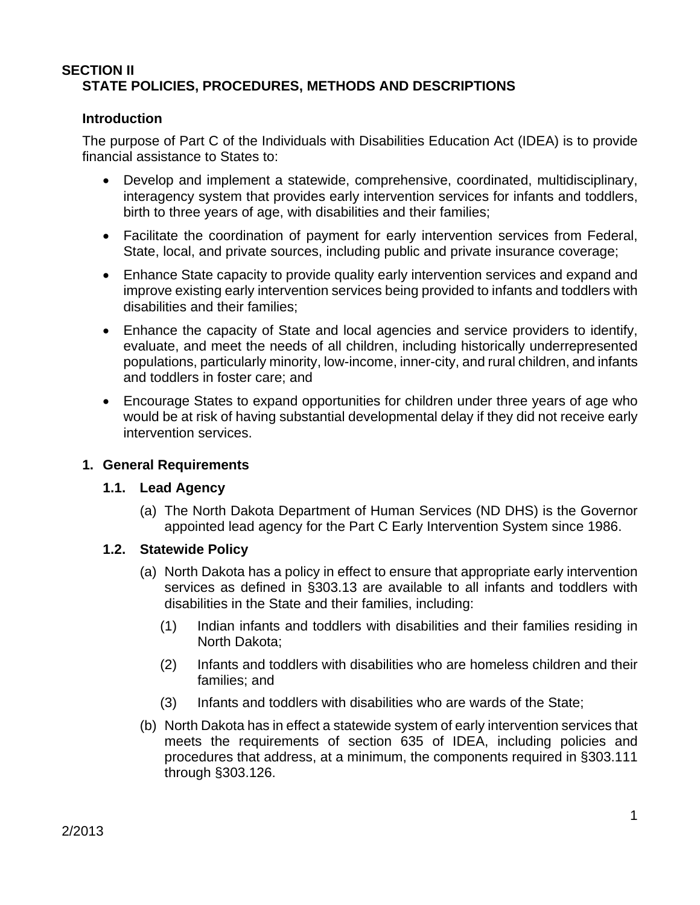### **SECTION II STATE POLICIES, PROCEDURES, METHODS AND DESCRIPTIONS**

### **Introduction**

The purpose of Part C of the Individuals with Disabilities Education Act (IDEA) is to provide financial assistance to States to:

- Develop and implement a statewide, comprehensive, coordinated, multidisciplinary, interagency system that provides early intervention services for infants and toddlers, birth to three years of age, with disabilities and their families;
- Facilitate the coordination of payment for early intervention services from Federal, State, local, and private sources, including public and private insurance coverage;
- Enhance State capacity to provide quality early intervention services and expand and improve existing early intervention services being provided to infants and toddlers with disabilities and their families;
- Enhance the capacity of State and local agencies and service providers to identify, evaluate, and meet the needs of all children, including historically underrepresented populations, particularly minority, low-income, inner-city, and rural children, and infants and toddlers in foster care; and
- Encourage States to expand opportunities for children under three years of age who would be at risk of having substantial developmental delay if they did not receive early intervention services.

#### **1. General Requirements**

#### **1.1. Lead Agency**

(a) The North Dakota Department of Human Services (ND DHS) is the Governor appointed lead agency for the Part C Early Intervention System since 1986.

# **1.2. Statewide Policy**

- (a) North Dakota has a policy in effect to ensure that appropriate early intervention services as defined in §303.13 are available to all infants and toddlers with disabilities in the State and their families, including:
	- (1) Indian infants and toddlers with disabilities and their families residing in North Dakota;
	- (2) Infants and toddlers with disabilities who are homeless children and their families; and
	- (3) Infants and toddlers with disabilities who are wards of the State;
- (b) North Dakota has in effect a statewide system of early intervention services that meets the requirements of section 635 of IDEA, including policies and procedures that address, at a minimum, the components required in §303.111 through §303.126.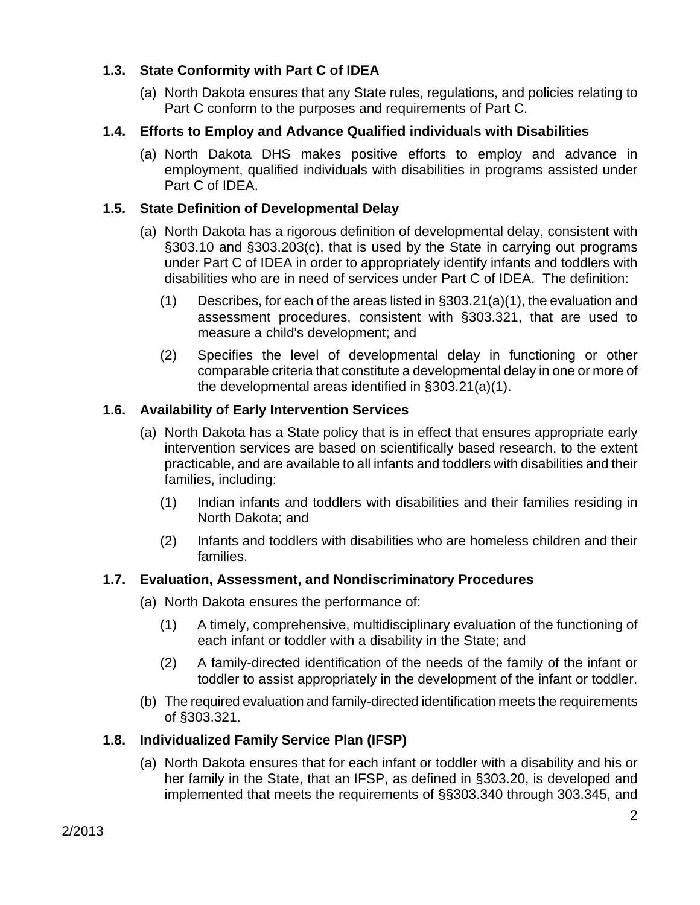# **1.3. State Conformity with Part C of IDEA**

(a) North Dakota ensures that any State rules, regulations, and policies relating to Part C conform to the purposes and requirements of Part C.

# **1.4. Efforts to Employ and Advance Qualified individuals with Disabilities**

(a) North Dakota DHS makes positive efforts to employ and advance in employment, qualified individuals with disabilities in programs assisted under Part C of IDEA.

# **1.5. State Definition of Developmental Delay**

- (a) North Dakota has a rigorous definition of developmental delay, consistent with §303.10 and §303.203(c), that is used by the State in carrying out programs under Part C of IDEA in order to appropriately identify infants and toddlers with disabilities who are in need of services under Part C of IDEA. The definition:
	- (1) Describes, for each of the areas listed in §303.21(a)(1), the evaluation and assessment procedures, consistent with §303.321, that are used to measure a child's development; and
	- (2) Specifies the level of developmental delay in functioning or other comparable criteria that constitute a developmental delay in one or more of the developmental areas identified in §303.21(a)(1).

# **1.6. Availability of Early Intervention Services**

- (a) North Dakota has a State policy that is in effect that ensures appropriate early intervention services are based on scientifically based research, to the extent practicable, and are available to all infants and toddlers with disabilities and their families, including:
	- (1) Indian infants and toddlers with disabilities and their families residing in North Dakota; and
	- (2) Infants and toddlers with disabilities who are homeless children and their families.

# **1.7. Evaluation, Assessment, and Nondiscriminatory Procedures**

(a) North Dakota ensures the performance of:

- (1) A timely, comprehensive, multidisciplinary evaluation of the functioning of each infant or toddler with a disability in the State; and
- (2) A family-directed identification of the needs of the family of the infant or toddler to assist appropriately in the development of the infant or toddler.
- (b) The required evaluation and family-directed identification meets the requirements of §303.321.

# **1.8. Individualized Family Service Plan (IFSP)**

(a) North Dakota ensures that for each infant or toddler with a disability and his or her family in the State, that an IFSP, as defined in §303.20, is developed and implemented that meets the requirements of §§303.340 through 303.345, and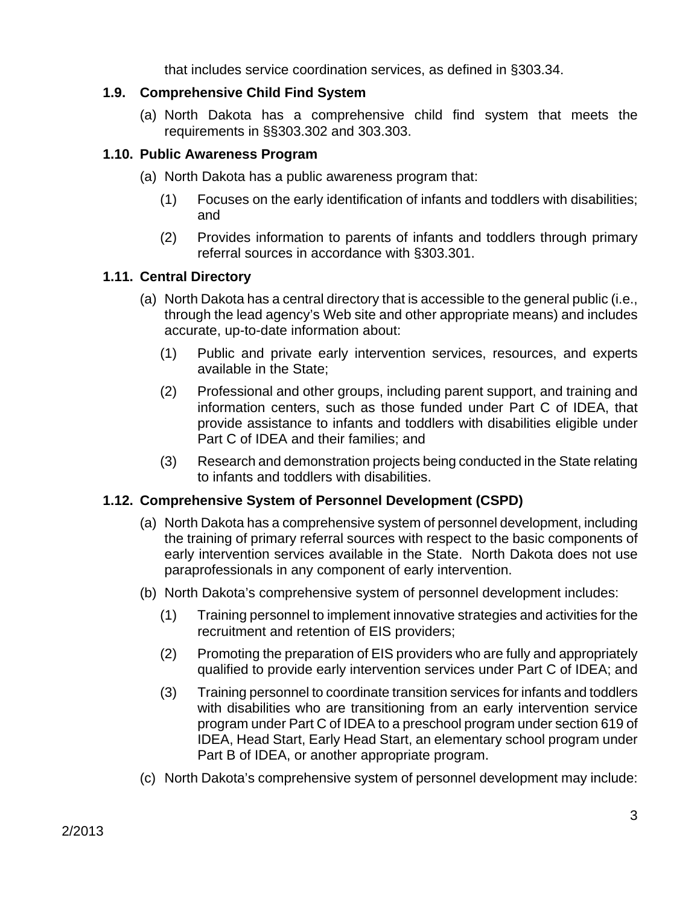that includes service coordination services, as defined in §303.34.

### **1.9. Comprehensive Child Find System**

(a) North Dakota has a comprehensive child find system that meets the requirements in §§303.302 and 303.303.

### **1.10. Public Awareness Program**

- (a) North Dakota has a public awareness program that:
	- (1) Focuses on the early identification of infants and toddlers with disabilities; and
	- (2) Provides information to parents of infants and toddlers through primary referral sources in accordance with §303.301.

### **1.11. Central Directory**

- (a) North Dakota has a central directory that is accessible to the general public (i.e., through the lead agency's Web site and other appropriate means) and includes accurate, up-to-date information about:
	- (1) Public and private early intervention services, resources, and experts available in the State;
	- (2) Professional and other groups, including parent support, and training and information centers, such as those funded under Part C of IDEA, that provide assistance to infants and toddlers with disabilities eligible under Part C of IDEA and their families; and
	- (3) Research and demonstration projects being conducted in the State relating to infants and toddlers with disabilities.

# **1.12. Comprehensive System of Personnel Development (CSPD)**

- (a) North Dakota has a comprehensive system of personnel development, including the training of primary referral sources with respect to the basic components of early intervention services available in the State. North Dakota does not use paraprofessionals in any component of early intervention.
- (b) North Dakota's comprehensive system of personnel development includes:
	- (1) Training personnel to implement innovative strategies and activities for the recruitment and retention of EIS providers;
	- (2) Promoting the preparation of EIS providers who are fully and appropriately qualified to provide early intervention services under Part C of IDEA; and
	- (3) Training personnel to coordinate transition services for infants and toddlers with disabilities who are transitioning from an early intervention service program under Part C of IDEA to a preschool program under section 619 of IDEA, Head Start, Early Head Start, an elementary school program under Part B of IDEA, or another appropriate program.
- (c) North Dakota's comprehensive system of personnel development may include: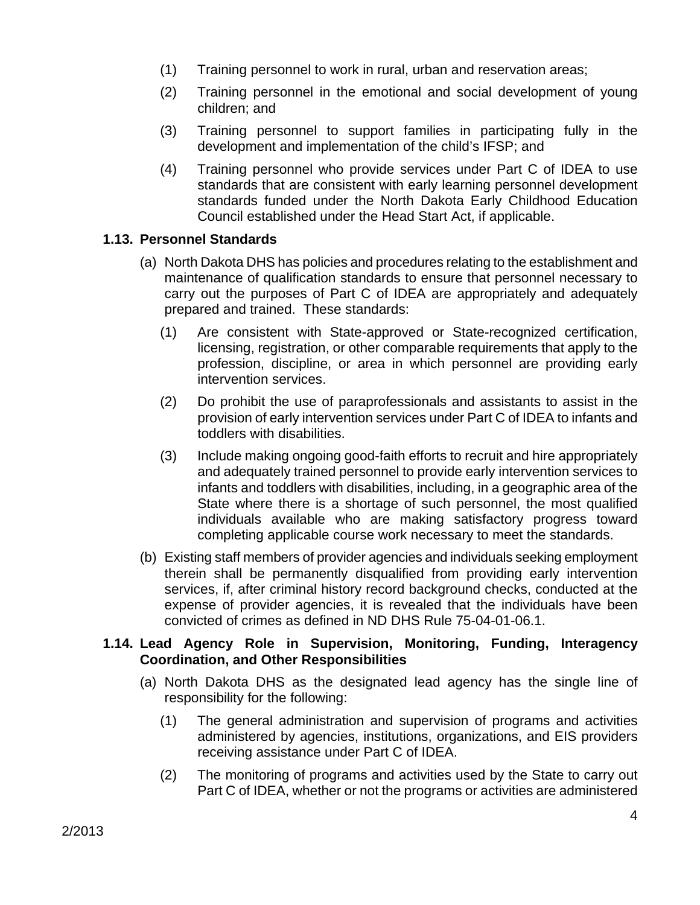- (1) Training personnel to work in rural, urban and reservation areas;
- (2) Training personnel in the emotional and social development of young children; and
- (3) Training personnel to support families in participating fully in the development and implementation of the child's IFSP; and
- (4) Training personnel who provide services under Part C of IDEA to use standards that are consistent with early learning personnel development standards funded under the North Dakota Early Childhood Education Council established under the Head Start Act, if applicable.

### **1.13. Personnel Standards**

- (a) North Dakota DHS has policies and procedures relating to the establishment and maintenance of qualification standards to ensure that personnel necessary to carry out the purposes of Part C of IDEA are appropriately and adequately prepared and trained. These standards:
	- (1) Are consistent with State-approved or State-recognized certification, licensing, registration, or other comparable requirements that apply to the profession, discipline, or area in which personnel are providing early intervention services.
	- (2) Do prohibit the use of paraprofessionals and assistants to assist in the provision of early intervention services under Part C of IDEA to infants and toddlers with disabilities.
	- (3) Include making ongoing good-faith efforts to recruit and hire appropriately and adequately trained personnel to provide early intervention services to infants and toddlers with disabilities, including, in a geographic area of the State where there is a shortage of such personnel, the most qualified individuals available who are making satisfactory progress toward completing applicable course work necessary to meet the standards.
- (b) Existing staff members of provider agencies and individuals seeking employment therein shall be permanently disqualified from providing early intervention services, if, after criminal history record background checks, conducted at the expense of provider agencies, it is revealed that the individuals have been convicted of crimes as defined in ND DHS Rule 75-04-01-06.1.

#### **1.14. Lead Agency Role in Supervision, Monitoring, Funding, Interagency Coordination, and Other Responsibilities**

- (a) North Dakota DHS as the designated lead agency has the single line of responsibility for the following:
	- (1) The general administration and supervision of programs and activities administered by agencies, institutions, organizations, and EIS providers receiving assistance under Part C of IDEA.
	- (2) The monitoring of programs and activities used by the State to carry out Part C of IDEA, whether or not the programs or activities are administered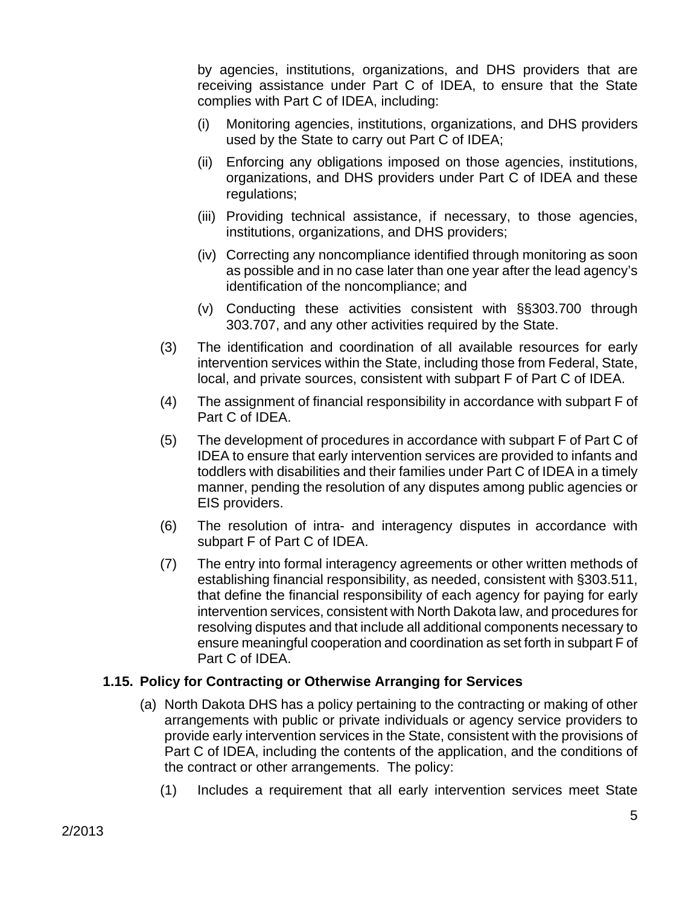by agencies, institutions, organizations, and DHS providers that are receiving assistance under Part C of IDEA, to ensure that the State complies with Part C of IDEA, including:

- (i) Monitoring agencies, institutions, organizations, and DHS providers used by the State to carry out Part C of IDEA;
- (ii) Enforcing any obligations imposed on those agencies, institutions, organizations, and DHS providers under Part C of IDEA and these regulations;
- (iii) Providing technical assistance, if necessary, to those agencies, institutions, organizations, and DHS providers;
- (iv) Correcting any noncompliance identified through monitoring as soon as possible and in no case later than one year after the lead agency's identification of the noncompliance; and
- (v) Conducting these activities consistent with §§303.700 through 303.707, and any other activities required by the State.
- (3) The identification and coordination of all available resources for early intervention services within the State, including those from Federal, State, local, and private sources, consistent with subpart F of Part C of IDEA.
- (4) The assignment of financial responsibility in accordance with subpart F of Part C of IDEA.
- (5) The development of procedures in accordance with subpart F of Part C of IDEA to ensure that early intervention services are provided to infants and toddlers with disabilities and their families under Part C of IDEA in a timely manner, pending the resolution of any disputes among public agencies or EIS providers.
- (6) The resolution of intra- and interagency disputes in accordance with subpart F of Part C of IDEA.
- (7) The entry into formal interagency agreements or other written methods of establishing financial responsibility, as needed, consistent with §303.511, that define the financial responsibility of each agency for paying for early intervention services, consistent with North Dakota law, and procedures for resolving disputes and that include all additional components necessary to ensure meaningful cooperation and coordination as set forth in subpart F of Part C of IDEA.

# **1.15. Policy for Contracting or Otherwise Arranging for Services**

- (a) North Dakota DHS has a policy pertaining to the contracting or making of other arrangements with public or private individuals or agency service providers to provide early intervention services in the State, consistent with the provisions of Part C of IDEA, including the contents of the application, and the conditions of the contract or other arrangements. The policy:
	- (1) Includes a requirement that all early intervention services meet State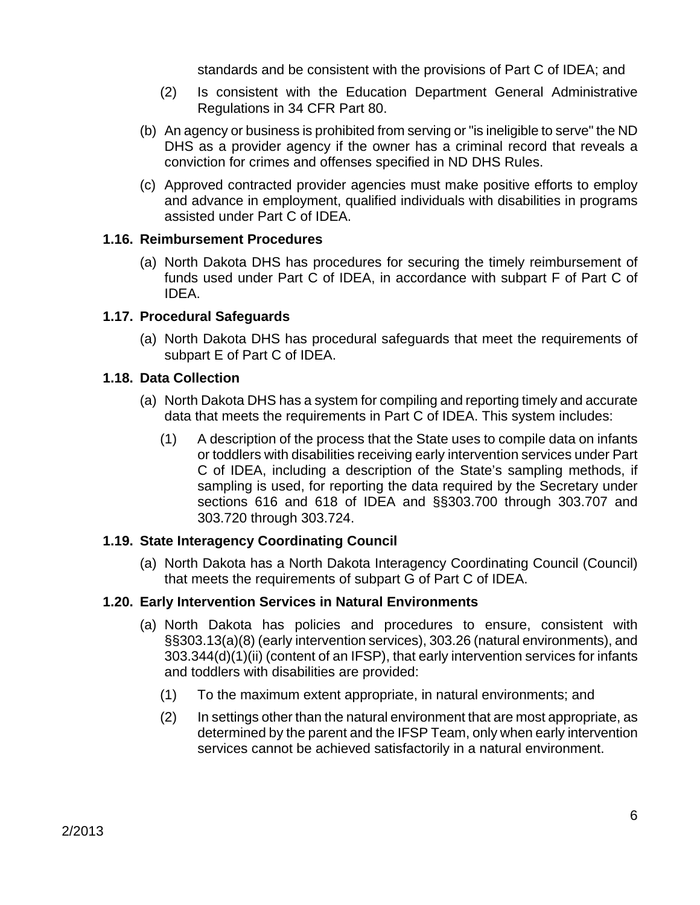standards and be consistent with the provisions of Part C of IDEA; and

- (2) Is consistent with the Education Department General Administrative Regulations in 34 CFR Part 80.
- (b) An agency or business is prohibited from serving or "is ineligible to serve" the ND DHS as a provider agency if the owner has a criminal record that reveals a conviction for crimes and offenses specified in ND DHS Rules.
- (c) Approved contracted provider agencies must make positive efforts to employ and advance in employment, qualified individuals with disabilities in programs assisted under Part C of IDEA.

### **1.16. Reimbursement Procedures**

(a) North Dakota DHS has procedures for securing the timely reimbursement of funds used under Part C of IDEA, in accordance with subpart F of Part C of IDEA.

### **1.17. Procedural Safeguards**

(a) North Dakota DHS has procedural safeguards that meet the requirements of subpart E of Part C of IDEA.

#### **1.18. Data Collection**

- (a) North Dakota DHS has a system for compiling and reporting timely and accurate data that meets the requirements in Part C of IDEA. This system includes:
	- (1) A description of the process that the State uses to compile data on infants or toddlers with disabilities receiving early intervention services under Part C of IDEA, including a description of the State's sampling methods, if sampling is used, for reporting the data required by the Secretary under sections 616 and 618 of IDEA and §§303.700 through 303.707 and 303.720 through 303.724.

# **1.19. State Interagency Coordinating Council**

(a) North Dakota has a North Dakota Interagency Coordinating Council (Council) that meets the requirements of subpart G of Part C of IDEA.

#### **1.20. Early Intervention Services in Natural Environments**

- (a) North Dakota has policies and procedures to ensure, consistent with §§303.13(a)(8) (early intervention services), 303.26 (natural environments), and 303.344(d)(1)(ii) (content of an IFSP), that early intervention services for infants and toddlers with disabilities are provided:
	- (1) To the maximum extent appropriate, in natural environments; and
	- (2) In settings other than the natural environment that are most appropriate, as determined by the parent and the IFSP Team, only when early intervention services cannot be achieved satisfactorily in a natural environment.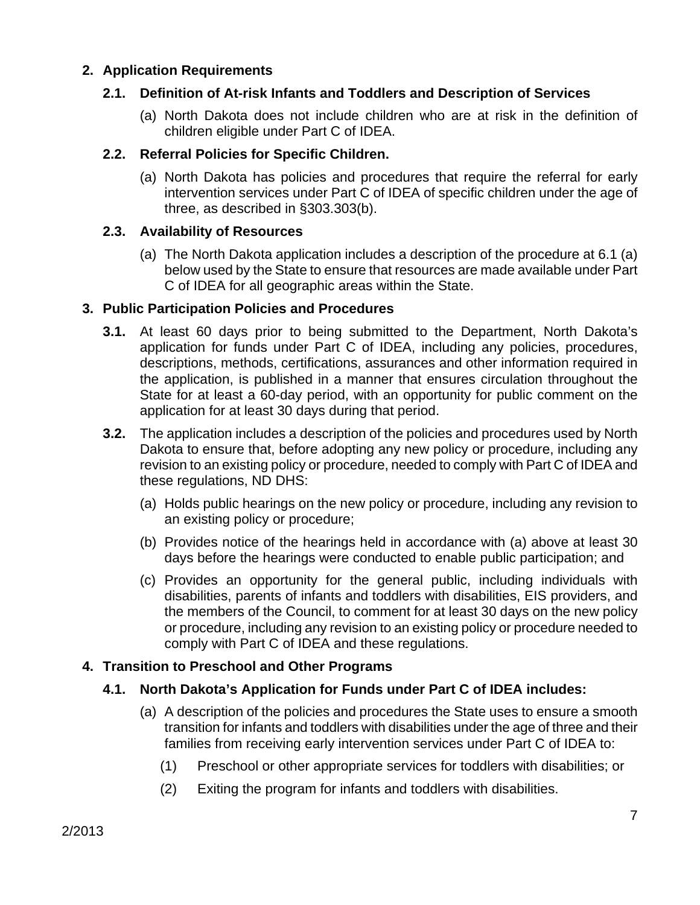### **2. Application Requirements**

### **2.1. Definition of At-risk Infants and Toddlers and Description of Services**

(a) North Dakota does not include children who are at risk in the definition of children eligible under Part C of IDEA.

### **2.2. Referral Policies for Specific Children.**

(a) North Dakota has policies and procedures that require the referral for early intervention services under Part C of IDEA of specific children under the age of three, as described in §303.303(b).

### **2.3. Availability of Resources**

(a) The North Dakota application includes a description of the procedure at 6.1 (a) below used by the State to ensure that resources are made available under Part C of IDEA for all geographic areas within the State.

#### **3. Public Participation Policies and Procedures**

- **3.1.** At least 60 days prior to being submitted to the Department, North Dakota's application for funds under Part C of IDEA, including any policies, procedures, descriptions, methods, certifications, assurances and other information required in the application, is published in a manner that ensures circulation throughout the State for at least a 60-day period, with an opportunity for public comment on the application for at least 30 days during that period.
- **3.2.** The application includes a description of the policies and procedures used by North Dakota to ensure that, before adopting any new policy or procedure, including any revision to an existing policy or procedure, needed to comply with Part C of IDEA and these regulations, ND DHS:
	- (a) Holds public hearings on the new policy or procedure, including any revision to an existing policy or procedure;
	- (b) Provides notice of the hearings held in accordance with (a) above at least 30 days before the hearings were conducted to enable public participation; and
	- (c) Provides an opportunity for the general public, including individuals with disabilities, parents of infants and toddlers with disabilities, EIS providers, and the members of the Council, to comment for at least 30 days on the new policy or procedure, including any revision to an existing policy or procedure needed to comply with Part C of IDEA and these regulations.

# **4. Transition to Preschool and Other Programs**

# **4.1. North Dakota's Application for Funds under Part C of IDEA includes:**

- (a) A description of the policies and procedures the State uses to ensure a smooth transition for infants and toddlers with disabilities under the age of three and their families from receiving early intervention services under Part C of IDEA to:
	- (1) Preschool or other appropriate services for toddlers with disabilities; or
	- (2) Exiting the program for infants and toddlers with disabilities.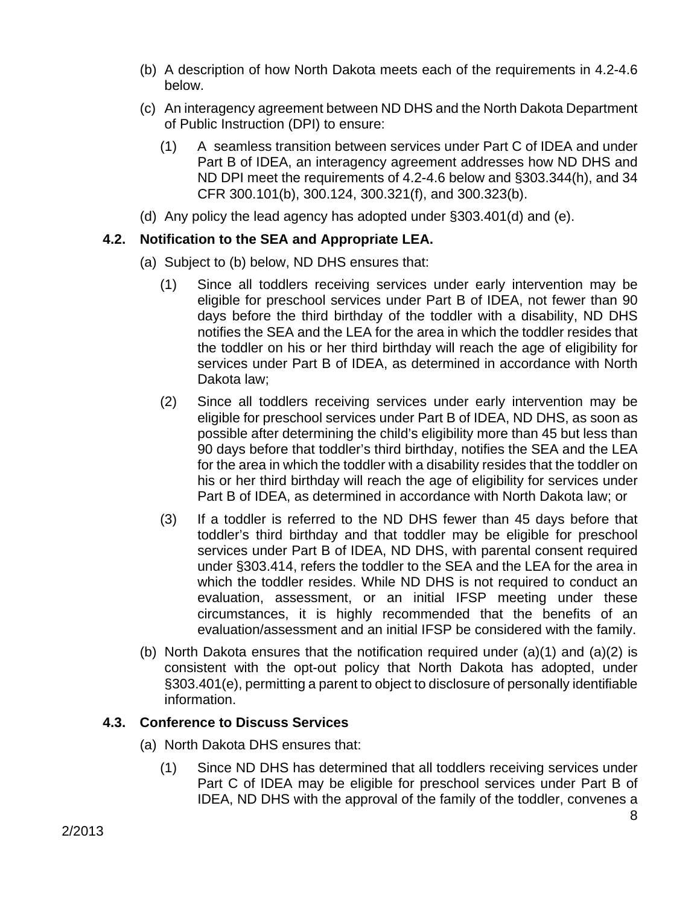- (b) A description of how North Dakota meets each of the requirements in 4.2-4.6 below.
- (c) An interagency agreement between ND DHS and the North Dakota Department of Public Instruction (DPI) to ensure:
	- (1) A seamless transition between services under Part C of IDEA and under Part B of IDEA, an interagency agreement addresses how ND DHS and ND DPI meet the requirements of 4.2-4.6 below and §303.344(h), and 34 CFR 300.101(b), 300.124, 300.321(f), and 300.323(b).
- (d) Any policy the lead agency has adopted under §303.401(d) and (e).

# **4.2. Notification to the SEA and Appropriate LEA.**

- (a) Subject to (b) below, ND DHS ensures that:
	- (1) Since all toddlers receiving services under early intervention may be eligible for preschool services under Part B of IDEA, not fewer than 90 days before the third birthday of the toddler with a disability, ND DHS notifies the SEA and the LEA for the area in which the toddler resides that the toddler on his or her third birthday will reach the age of eligibility for services under Part B of IDEA, as determined in accordance with North Dakota law;
	- (2) Since all toddlers receiving services under early intervention may be eligible for preschool services under Part B of IDEA, ND DHS, as soon as possible after determining the child's eligibility more than 45 but less than 90 days before that toddler's third birthday, notifies the SEA and the LEA for the area in which the toddler with a disability resides that the toddler on his or her third birthday will reach the age of eligibility for services under Part B of IDEA, as determined in accordance with North Dakota law; or
	- (3) If a toddler is referred to the ND DHS fewer than 45 days before that toddler's third birthday and that toddler may be eligible for preschool services under Part B of IDEA, ND DHS, with parental consent required under §303.414, refers the toddler to the SEA and the LEA for the area in which the toddler resides. While ND DHS is not required to conduct an evaluation, assessment, or an initial IFSP meeting under these circumstances, it is highly recommended that the benefits of an evaluation/assessment and an initial IFSP be considered with the family.
- (b) North Dakota ensures that the notification required under  $(a)(1)$  and  $(a)(2)$  is consistent with the opt-out policy that North Dakota has adopted, under §303.401(e), permitting a parent to object to disclosure of personally identifiable information.

# **4.3. Conference to Discuss Services**

- (a) North Dakota DHS ensures that:
	- (1) Since ND DHS has determined that all toddlers receiving services under Part C of IDEA may be eligible for preschool services under Part B of IDEA, ND DHS with the approval of the family of the toddler, convenes a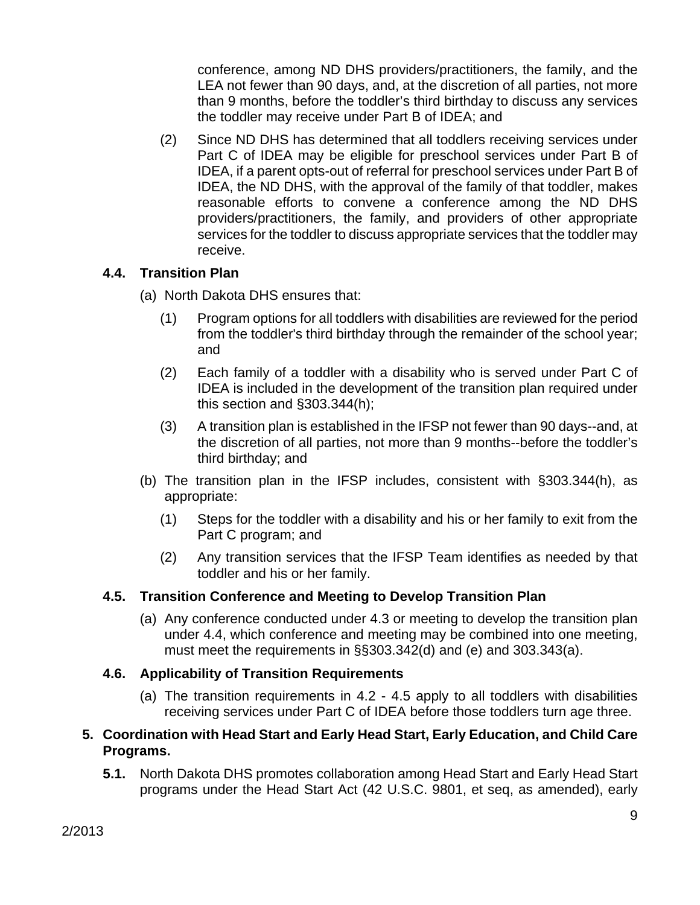conference, among ND DHS providers/practitioners, the family, and the LEA not fewer than 90 days, and, at the discretion of all parties, not more than 9 months, before the toddler's third birthday to discuss any services the toddler may receive under Part B of IDEA; and

(2) Since ND DHS has determined that all toddlers receiving services under Part C of IDEA may be eligible for preschool services under Part B of IDEA, if a parent opts-out of referral for preschool services under Part B of IDEA, the ND DHS, with the approval of the family of that toddler, makes reasonable efforts to convene a conference among the ND DHS providers/practitioners, the family, and providers of other appropriate services for the toddler to discuss appropriate services that the toddler may receive.

# **4.4. Transition Plan**

- (a) North Dakota DHS ensures that:
	- (1) Program options for all toddlers with disabilities are reviewed for the period from the toddler's third birthday through the remainder of the school year; and
	- (2) Each family of a toddler with a disability who is served under Part C of IDEA is included in the development of the transition plan required under this section and §303.344(h);
	- (3) A transition plan is established in the IFSP not fewer than 90 days--and, at the discretion of all parties, not more than 9 months--before the toddler's third birthday; and
- (b) The transition plan in the IFSP includes, consistent with §303.344(h), as appropriate:
	- (1) Steps for the toddler with a disability and his or her family to exit from the Part C program; and
	- (2) Any transition services that the IFSP Team identifies as needed by that toddler and his or her family.

# **4.5. Transition Conference and Meeting to Develop Transition Plan**

(a) Any conference conducted under 4.3 or meeting to develop the transition plan under 4.4, which conference and meeting may be combined into one meeting, must meet the requirements in §§303.342(d) and (e) and 303.343(a).

# **4.6. Applicability of Transition Requirements**

(a) The transition requirements in 4.2 - 4.5 apply to all toddlers with disabilities receiving services under Part C of IDEA before those toddlers turn age three.

# **5. Coordination with Head Start and Early Head Start, Early Education, and Child Care Programs.**

**5.1.** North Dakota DHS promotes collaboration among Head Start and Early Head Start programs under the Head Start Act (42 U.S.C. 9801, et seq, as amended), early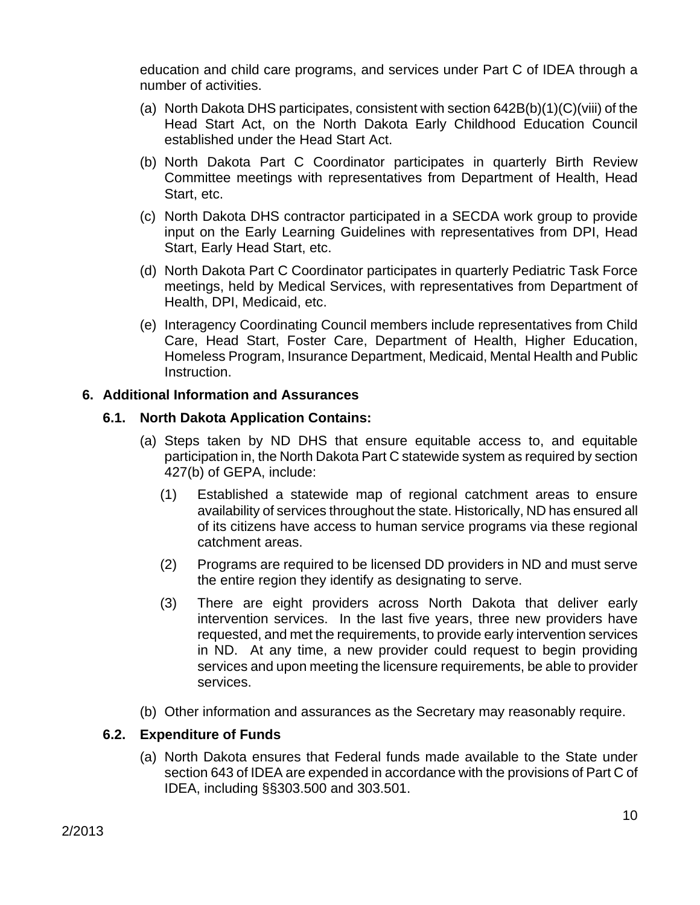education and child care programs, and services under Part C of IDEA through a number of activities.

- (a) North Dakota DHS participates, consistent with section 642B(b)(1)(C)(viii) of the Head Start Act, on the North Dakota Early Childhood Education Council established under the Head Start Act.
- (b) North Dakota Part C Coordinator participates in quarterly Birth Review Committee meetings with representatives from Department of Health, Head Start, etc.
- (c) North Dakota DHS contractor participated in a SECDA work group to provide input on the Early Learning Guidelines with representatives from DPI, Head Start, Early Head Start, etc.
- (d) North Dakota Part C Coordinator participates in quarterly Pediatric Task Force meetings, held by Medical Services, with representatives from Department of Health, DPI, Medicaid, etc.
- (e) Interagency Coordinating Council members include representatives from Child Care, Head Start, Foster Care, Department of Health, Higher Education, Homeless Program, Insurance Department, Medicaid, Mental Health and Public Instruction.

### **6. Additional Information and Assurances**

### **6.1. North Dakota Application Contains:**

- (a) Steps taken by ND DHS that ensure equitable access to, and equitable participation in, the North Dakota Part C statewide system as required by section 427(b) of GEPA, include:
	- (1) Established a statewide map of regional catchment areas to ensure availability of services throughout the state. Historically, ND has ensured all of its citizens have access to human service programs via these regional catchment areas.
	- (2) Programs are required to be licensed DD providers in ND and must serve the entire region they identify as designating to serve.
	- (3) There are eight providers across North Dakota that deliver early intervention services. In the last five years, three new providers have requested, and met the requirements, to provide early intervention services in ND. At any time, a new provider could request to begin providing services and upon meeting the licensure requirements, be able to provider services.
- (b) Other information and assurances as the Secretary may reasonably require.

# **6.2. Expenditure of Funds**

(a) North Dakota ensures that Federal funds made available to the State under section 643 of IDEA are expended in accordance with the provisions of Part C of IDEA, including §§303.500 and 303.501.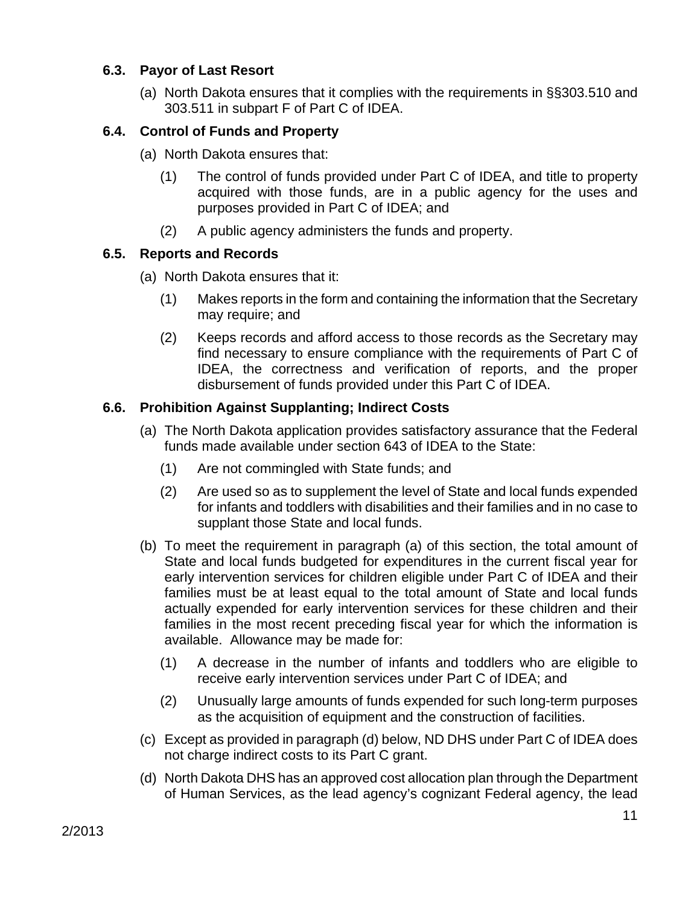# **6.3. Payor of Last Resort**

(a) North Dakota ensures that it complies with the requirements in §§303.510 and 303.511 in subpart F of Part C of IDEA.

# **6.4. Control of Funds and Property**

- (a) North Dakota ensures that:
	- (1) The control of funds provided under Part C of IDEA, and title to property acquired with those funds, are in a public agency for the uses and purposes provided in Part C of IDEA; and
	- (2) A public agency administers the funds and property.

# **6.5. Reports and Records**

- (a) North Dakota ensures that it:
	- (1) Makes reports in the form and containing the information that the Secretary may require; and
	- (2) Keeps records and afford access to those records as the Secretary may find necessary to ensure compliance with the requirements of Part C of IDEA, the correctness and verification of reports, and the proper disbursement of funds provided under this Part C of IDEA.

# **6.6. Prohibition Against Supplanting; Indirect Costs**

- (a) The North Dakota application provides satisfactory assurance that the Federal funds made available under section 643 of IDEA to the State:
	- (1) Are not commingled with State funds; and
	- (2) Are used so as to supplement the level of State and local funds expended for infants and toddlers with disabilities and their families and in no case to supplant those State and local funds.
- (b) To meet the requirement in paragraph (a) of this section, the total amount of State and local funds budgeted for expenditures in the current fiscal year for early intervention services for children eligible under Part C of IDEA and their families must be at least equal to the total amount of State and local funds actually expended for early intervention services for these children and their families in the most recent preceding fiscal year for which the information is available. Allowance may be made for:
	- (1) A decrease in the number of infants and toddlers who are eligible to receive early intervention services under Part C of IDEA; and
	- (2) Unusually large amounts of funds expended for such long-term purposes as the acquisition of equipment and the construction of facilities.
- (c) Except as provided in paragraph (d) below, ND DHS under Part C of IDEA does not charge indirect costs to its Part C grant.
- (d) North Dakota DHS has an approved cost allocation plan through the Department of Human Services, as the lead agency's cognizant Federal agency, the lead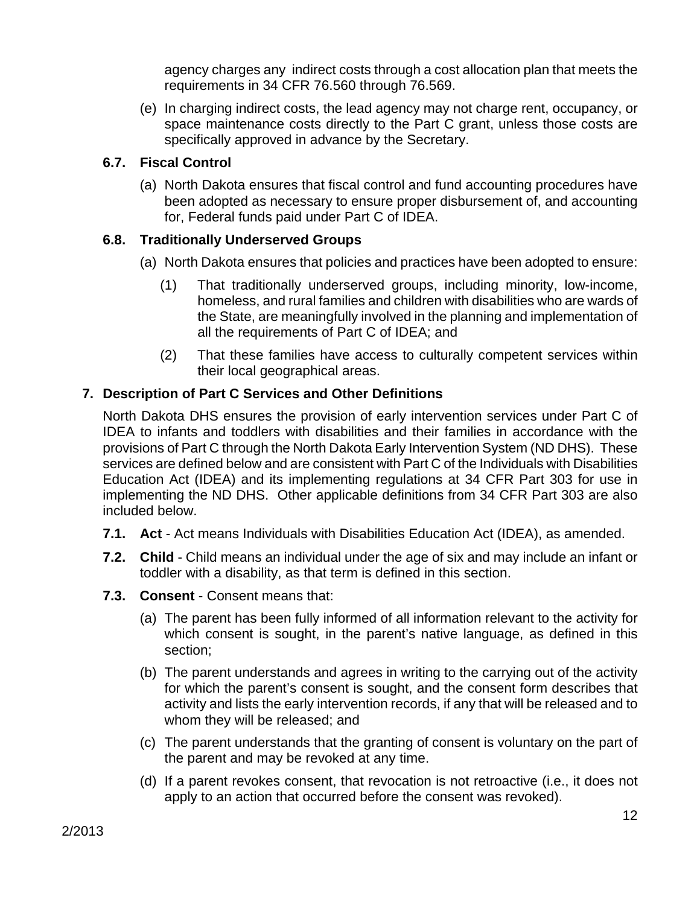agency charges any indirect costs through a cost allocation plan that meets the requirements in 34 CFR 76.560 through 76.569.

(e) In charging indirect costs, the lead agency may not charge rent, occupancy, or space maintenance costs directly to the Part C grant, unless those costs are specifically approved in advance by the Secretary.

# **6.7. Fiscal Control**

(a) North Dakota ensures that fiscal control and fund accounting procedures have been adopted as necessary to ensure proper disbursement of, and accounting for, Federal funds paid under Part C of IDEA.

# **6.8. Traditionally Underserved Groups**

- (a) North Dakota ensures that policies and practices have been adopted to ensure:
	- (1) That traditionally underserved groups, including minority, low-income, homeless, and rural families and children with disabilities who are wards of the State, are meaningfully involved in the planning and implementation of all the requirements of Part C of IDEA; and
	- (2) That these families have access to culturally competent services within their local geographical areas.

# **7. Description of Part C Services and Other Definitions**

North Dakota DHS ensures the provision of early intervention services under Part C of IDEA to infants and toddlers with disabilities and their families in accordance with the provisions of Part C through the North Dakota Early Intervention System (ND DHS). These services are defined below and are consistent with Part C of the Individuals with Disabilities Education Act (IDEA) and its implementing regulations at 34 CFR Part 303 for use in implementing the ND DHS. Other applicable definitions from 34 CFR Part 303 are also included below.

- **7.1. Act** Act means Individuals with Disabilities Education Act (IDEA), as amended.
- **7.2. Child** Child means an individual under the age of six and may include an infant or toddler with a disability, as that term is defined in this section.
- **7.3. Consent** Consent means that:
	- (a) The parent has been fully informed of all information relevant to the activity for which consent is sought, in the parent's native language, as defined in this section;
	- (b) The parent understands and agrees in writing to the carrying out of the activity for which the parent's consent is sought, and the consent form describes that activity and lists the early intervention records, if any that will be released and to whom they will be released; and
	- (c) The parent understands that the granting of consent is voluntary on the part of the parent and may be revoked at any time.
	- (d) If a parent revokes consent, that revocation is not retroactive (i.e., it does not apply to an action that occurred before the consent was revoked).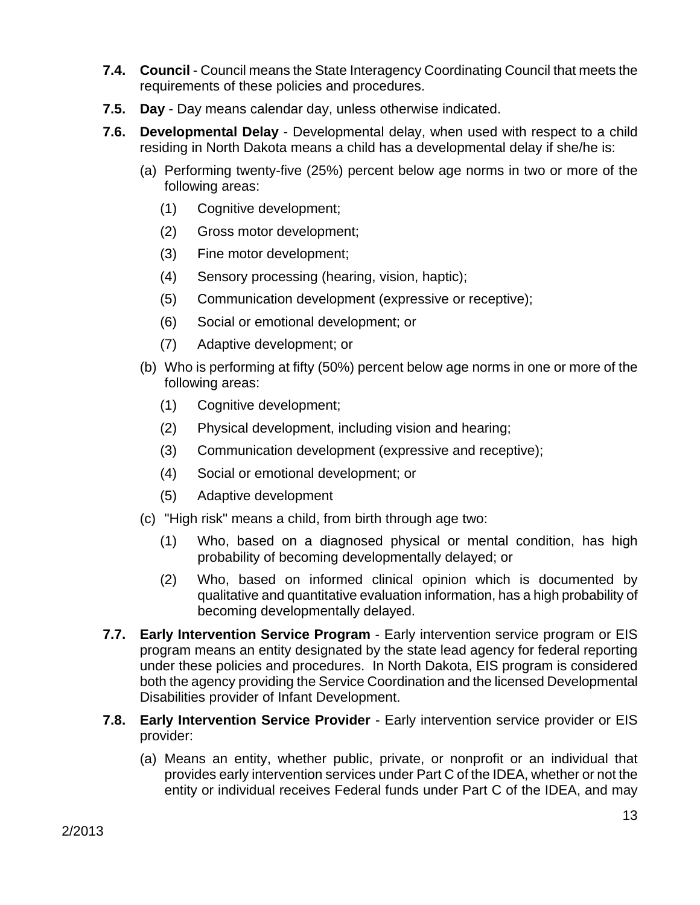- **7.4. Council** Council means the State Interagency Coordinating Council that meets the requirements of these policies and procedures.
- **7.5. Day** Day means calendar day, unless otherwise indicated.
- **7.6. Developmental Delay** Developmental delay, when used with respect to a child residing in North Dakota means a child has a developmental delay if she/he is:
	- (a) Performing twenty-five (25%) percent below age norms in two or more of the following areas:
		- (1) Cognitive development;
		- (2) Gross motor development;
		- (3) Fine motor development;
		- (4) Sensory processing (hearing, vision, haptic);
		- (5) Communication development (expressive or receptive);
		- (6) Social or emotional development; or
		- (7) Adaptive development; or
	- (b) Who is performing at fifty (50%) percent below age norms in one or more of the following areas:
		- (1) Cognitive development;
		- (2) Physical development, including vision and hearing;
		- (3) Communication development (expressive and receptive);
		- (4) Social or emotional development; or
		- (5) Adaptive development
	- (c) "High risk" means a child, from birth through age two:
		- (1) Who, based on a diagnosed physical or mental condition, has high probability of becoming developmentally delayed; or
		- (2) Who, based on informed clinical opinion which is documented by qualitative and quantitative evaluation information, has a high probability of becoming developmentally delayed.
- **7.7. Early Intervention Service Program** Early intervention service program or EIS program means an entity designated by the state lead agency for federal reporting under these policies and procedures. In North Dakota, EIS program is considered both the agency providing the Service Coordination and the licensed Developmental Disabilities provider of Infant Development.
- **7.8. Early Intervention Service Provider** Early intervention service provider or EIS provider:
	- (a) Means an entity, whether public, private, or nonprofit or an individual that provides early intervention services under Part C of the IDEA, whether or not the entity or individual receives Federal funds under Part C of the IDEA, and may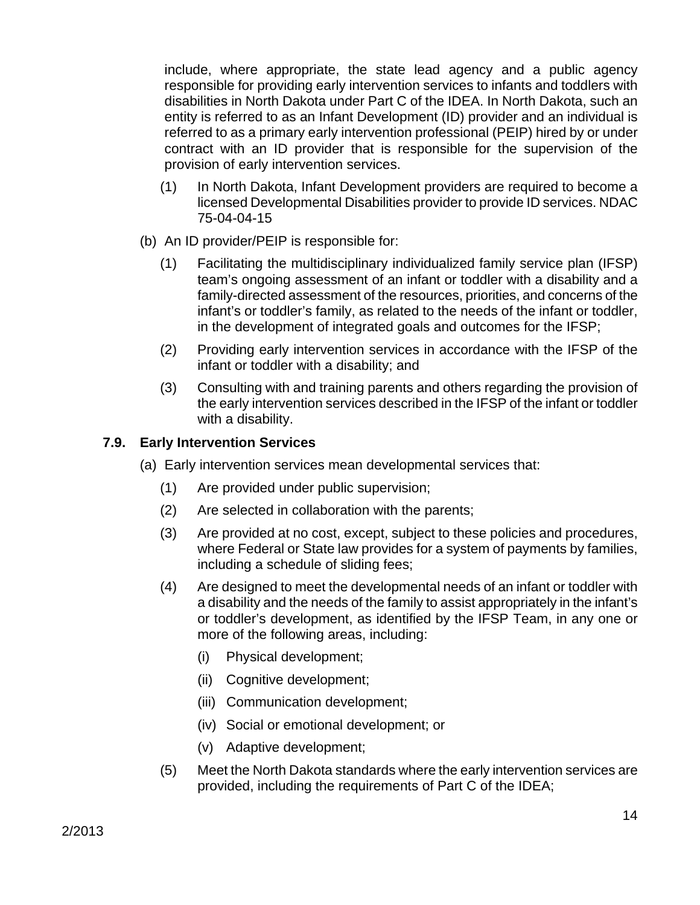include, where appropriate, the state lead agency and a public agency responsible for providing early intervention services to infants and toddlers with disabilities in North Dakota under Part C of the IDEA. In North Dakota, such an entity is referred to as an Infant Development (ID) provider and an individual is referred to as a primary early intervention professional (PEIP) hired by or under contract with an ID provider that is responsible for the supervision of the provision of early intervention services.

- (1) In North Dakota, Infant Development providers are required to become a licensed Developmental Disabilities provider to provide ID services. NDAC 75-04-04-15
- (b) An ID provider/PEIP is responsible for:
	- (1) Facilitating the multidisciplinary individualized family service plan (IFSP) team's ongoing assessment of an infant or toddler with a disability and a family-directed assessment of the resources, priorities, and concerns of the infant's or toddler's family, as related to the needs of the infant or toddler, in the development of integrated goals and outcomes for the IFSP;
	- (2) Providing early intervention services in accordance with the IFSP of the infant or toddler with a disability; and
	- (3) Consulting with and training parents and others regarding the provision of the early intervention services described in the IFSP of the infant or toddler with a disability.

# **7.9. Early Intervention Services**

- (a) Early intervention services mean developmental services that:
	- (1) Are provided under public supervision;
	- (2) Are selected in collaboration with the parents;
	- (3) Are provided at no cost, except, subject to these policies and procedures, where Federal or State law provides for a system of payments by families, including a schedule of sliding fees;
	- (4) Are designed to meet the developmental needs of an infant or toddler with a disability and the needs of the family to assist appropriately in the infant's or toddler's development, as identified by the IFSP Team, in any one or more of the following areas, including:
		- (i) Physical development;
		- (ii) Cognitive development;
		- (iii) Communication development;
		- (iv) Social or emotional development; or
		- (v) Adaptive development;
	- (5) Meet the North Dakota standards where the early intervention services are provided, including the requirements of Part C of the IDEA;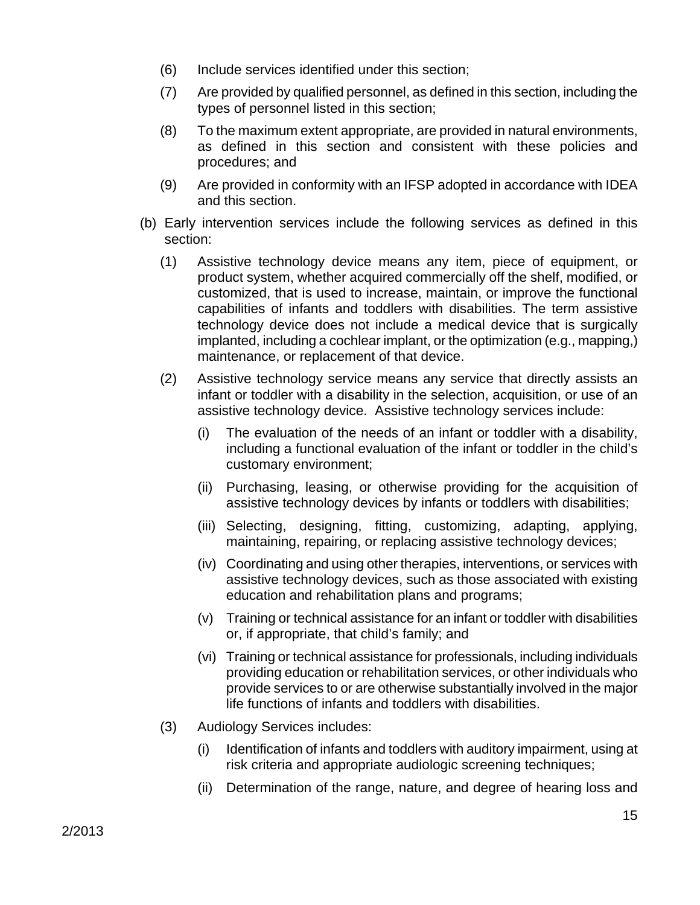- (6) Include services identified under this section;
- (7) Are provided by qualified personnel, as defined in this section, including the types of personnel listed in this section;
- (8) To the maximum extent appropriate, are provided in natural environments, as defined in this section and consistent with these policies and procedures; and
- (9) Are provided in conformity with an IFSP adopted in accordance with IDEA and this section.
- (b) Early intervention services include the following services as defined in this section:
	- (1) Assistive technology device means any item, piece of equipment, or product system, whether acquired commercially off the shelf, modified, or customized, that is used to increase, maintain, or improve the functional capabilities of infants and toddlers with disabilities. The term assistive technology device does not include a medical device that is surgically implanted, including a cochlear implant, or the optimization (e.g., mapping,) maintenance, or replacement of that device.
	- (2) Assistive technology service means any service that directly assists an infant or toddler with a disability in the selection, acquisition, or use of an assistive technology device. Assistive technology services include:
		- (i) The evaluation of the needs of an infant or toddler with a disability, including a functional evaluation of the infant or toddler in the child's customary environment;
		- (ii) Purchasing, leasing, or otherwise providing for the acquisition of assistive technology devices by infants or toddlers with disabilities;
		- (iii) Selecting, designing, fitting, customizing, adapting, applying, maintaining, repairing, or replacing assistive technology devices;
		- (iv) Coordinating and using other therapies, interventions, or services with assistive technology devices, such as those associated with existing education and rehabilitation plans and programs;
		- (v) Training or technical assistance for an infant or toddler with disabilities or, if appropriate, that child's family; and
		- (vi) Training or technical assistance for professionals, including individuals providing education or rehabilitation services, or other individuals who provide services to or are otherwise substantially involved in the major life functions of infants and toddlers with disabilities.
	- (3) Audiology Services includes:
		- (i) Identification of infants and toddlers with auditory impairment, using at risk criteria and appropriate audiologic screening techniques;
		- (ii) Determination of the range, nature, and degree of hearing loss and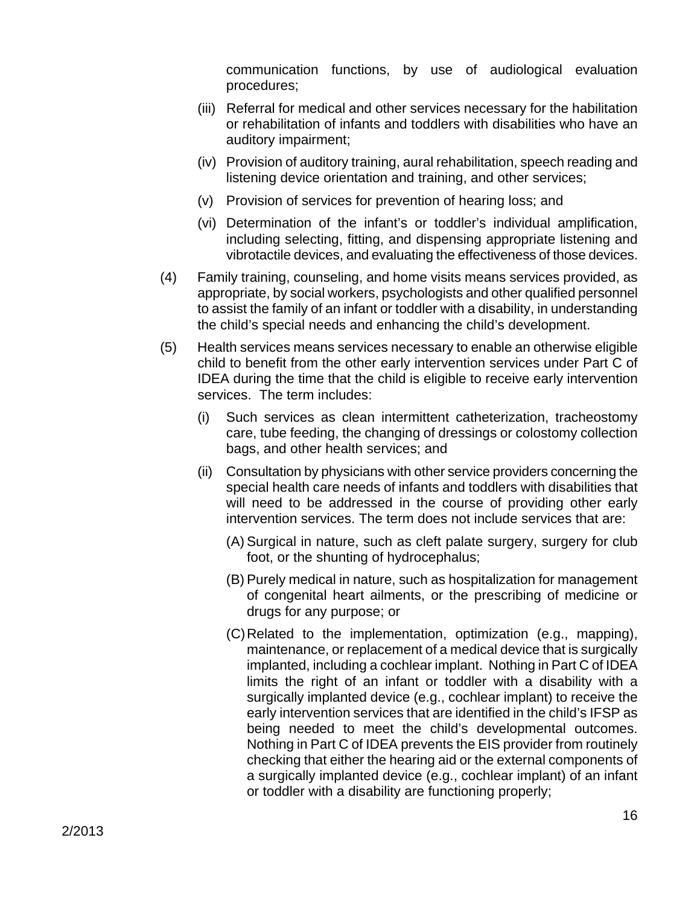communication functions, by use of audiological evaluation procedures;

- (iii) Referral for medical and other services necessary for the habilitation or rehabilitation of infants and toddlers with disabilities who have an auditory impairment;
- (iv) Provision of auditory training, aural rehabilitation, speech reading and listening device orientation and training, and other services;
- (v) Provision of services for prevention of hearing loss; and
- (vi) Determination of the infant's or toddler's individual amplification, including selecting, fitting, and dispensing appropriate listening and vibrotactile devices, and evaluating the effectiveness of those devices.
- (4) Family training, counseling, and home visits means services provided, as appropriate, by social workers, psychologists and other qualified personnel to assist the family of an infant or toddler with a disability, in understanding the child's special needs and enhancing the child's development.
- (5) Health services means services necessary to enable an otherwise eligible child to benefit from the other early intervention services under Part C of IDEA during the time that the child is eligible to receive early intervention services. The term includes:
	- (i) Such services as clean intermittent catheterization, tracheostomy care, tube feeding, the changing of dressings or colostomy collection bags, and other health services; and
	- (ii) Consultation by physicians with other service providers concerning the special health care needs of infants and toddlers with disabilities that will need to be addressed in the course of providing other early intervention services. The term does not include services that are:
		- (A) Surgical in nature, such as cleft palate surgery, surgery for club foot, or the shunting of hydrocephalus;
		- (B) Purely medical in nature, such as hospitalization for management of congenital heart ailments, or the prescribing of medicine or drugs for any purpose; or
		- (C) Related to the implementation, optimization (e.g., mapping), maintenance, or replacement of a medical device that is surgically implanted, including a cochlear implant. Nothing in Part C of IDEA limits the right of an infant or toddler with a disability with a surgically implanted device (e.g., cochlear implant) to receive the early intervention services that are identified in the child's IFSP as being needed to meet the child's developmental outcomes. Nothing in Part C of IDEA prevents the EIS provider from routinely checking that either the hearing aid or the external components of a surgically implanted device (e.g., cochlear implant) of an infant or toddler with a disability are functioning properly;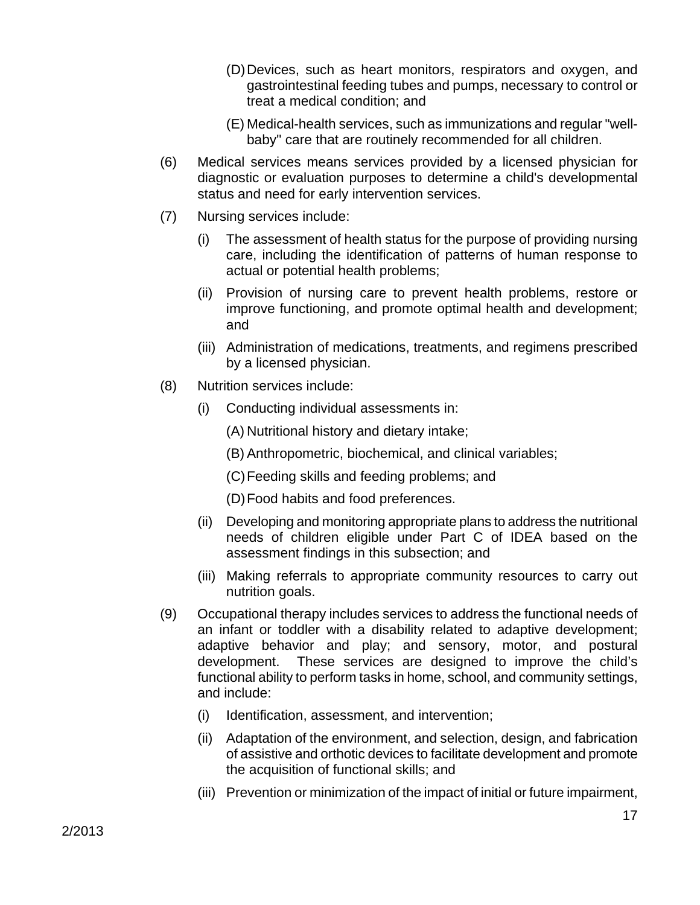- (D) Devices, such as heart monitors, respirators and oxygen, and gastrointestinal feeding tubes and pumps, necessary to control or treat a medical condition; and
- (E) Medical-health services, such as immunizations and regular "wellbaby" care that are routinely recommended for all children.
- (6) Medical services means services provided by a licensed physician for diagnostic or evaluation purposes to determine a child's developmental status and need for early intervention services.
- (7) Nursing services include:
	- (i) The assessment of health status for the purpose of providing nursing care, including the identification of patterns of human response to actual or potential health problems;
	- (ii) Provision of nursing care to prevent health problems, restore or improve functioning, and promote optimal health and development; and
	- (iii) Administration of medications, treatments, and regimens prescribed by a licensed physician.
- (8) Nutrition services include:
	- (i) Conducting individual assessments in:
		- (A) Nutritional history and dietary intake;
		- (B) Anthropometric, biochemical, and clinical variables;
		- (C) Feeding skills and feeding problems; and
		- (D) Food habits and food preferences.
	- (ii) Developing and monitoring appropriate plans to address the nutritional needs of children eligible under Part C of IDEA based on the assessment findings in this subsection; and
	- (iii) Making referrals to appropriate community resources to carry out nutrition goals.
- (9) Occupational therapy includes services to address the functional needs of an infant or toddler with a disability related to adaptive development; adaptive behavior and play; and sensory, motor, and postural development. These services are designed to improve the child's functional ability to perform tasks in home, school, and community settings, and include:
	- (i) Identification, assessment, and intervention;
	- (ii) Adaptation of the environment, and selection, design, and fabrication of assistive and orthotic devices to facilitate development and promote the acquisition of functional skills; and
	- (iii) Prevention or minimization of the impact of initial or future impairment,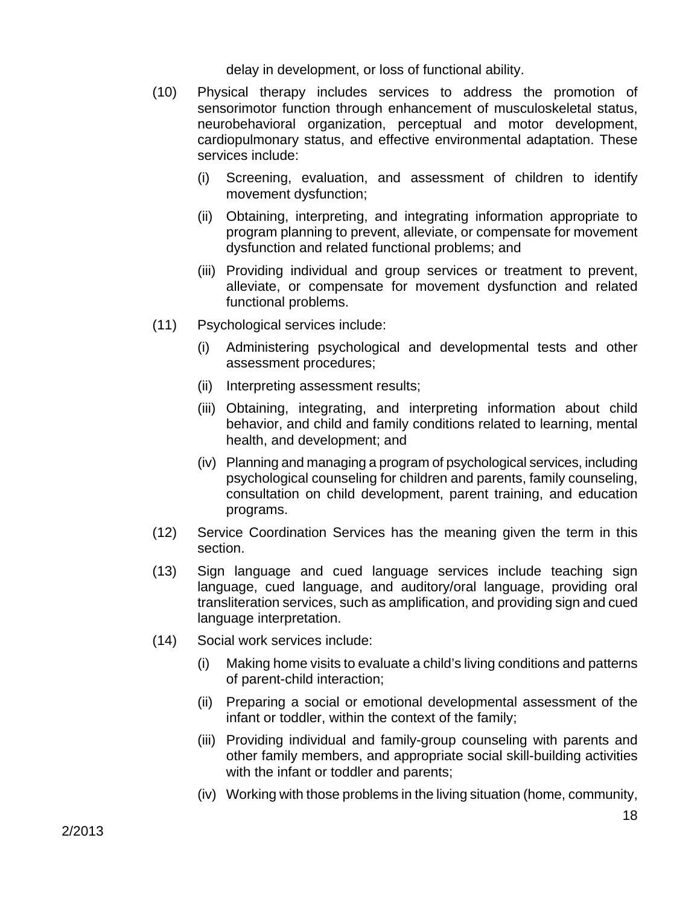delay in development, or loss of functional ability.

- (10) Physical therapy includes services to address the promotion of sensorimotor function through enhancement of musculoskeletal status, neurobehavioral organization, perceptual and motor development, cardiopulmonary status, and effective environmental adaptation. These services include:
	- (i) Screening, evaluation, and assessment of children to identify movement dysfunction;
	- (ii) Obtaining, interpreting, and integrating information appropriate to program planning to prevent, alleviate, or compensate for movement dysfunction and related functional problems; and
	- (iii) Providing individual and group services or treatment to prevent, alleviate, or compensate for movement dysfunction and related functional problems.
- (11) Psychological services include:
	- (i) Administering psychological and developmental tests and other assessment procedures;
	- (ii) Interpreting assessment results;
	- (iii) Obtaining, integrating, and interpreting information about child behavior, and child and family conditions related to learning, mental health, and development; and
	- (iv) Planning and managing a program of psychological services, including psychological counseling for children and parents, family counseling, consultation on child development, parent training, and education programs.
- (12) Service Coordination Services has the meaning given the term in this section.
- (13) Sign language and cued language services include teaching sign language, cued language, and auditory/oral language, providing oral transliteration services, such as amplification, and providing sign and cued language interpretation.
- (14) Social work services include:
	- (i) Making home visits to evaluate a child's living conditions and patterns of parent-child interaction;
	- (ii) Preparing a social or emotional developmental assessment of the infant or toddler, within the context of the family;
	- (iii) Providing individual and family-group counseling with parents and other family members, and appropriate social skill-building activities with the infant or toddler and parents;
	- (iv) Working with those problems in the living situation (home, community,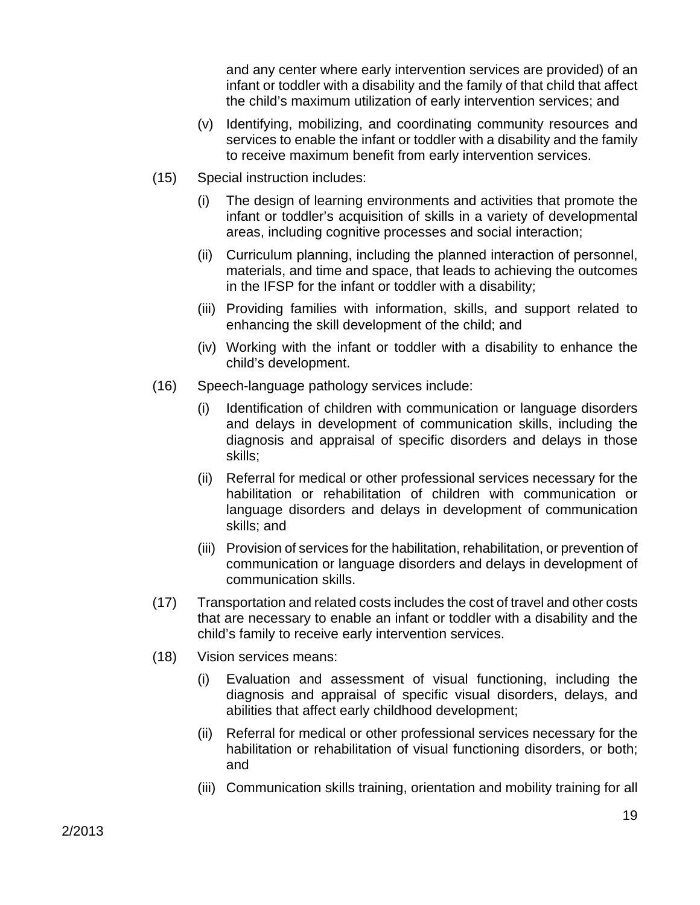and any center where early intervention services are provided) of an infant or toddler with a disability and the family of that child that affect the child's maximum utilization of early intervention services; and

- (v) Identifying, mobilizing, and coordinating community resources and services to enable the infant or toddler with a disability and the family to receive maximum benefit from early intervention services.
- (15) Special instruction includes:
	- (i) The design of learning environments and activities that promote the infant or toddler's acquisition of skills in a variety of developmental areas, including cognitive processes and social interaction;
	- (ii) Curriculum planning, including the planned interaction of personnel, materials, and time and space, that leads to achieving the outcomes in the IFSP for the infant or toddler with a disability;
	- (iii) Providing families with information, skills, and support related to enhancing the skill development of the child; and
	- (iv) Working with the infant or toddler with a disability to enhance the child's development.
- (16) Speech-language pathology services include:
	- (i) Identification of children with communication or language disorders and delays in development of communication skills, including the diagnosis and appraisal of specific disorders and delays in those skills;
	- (ii) Referral for medical or other professional services necessary for the habilitation or rehabilitation of children with communication or language disorders and delays in development of communication skills; and
	- (iii) Provision of services for the habilitation, rehabilitation, or prevention of communication or language disorders and delays in development of communication skills.
- (17) Transportation and related costs includes the cost of travel and other costs that are necessary to enable an infant or toddler with a disability and the child's family to receive early intervention services.
- (18) Vision services means:
	- (i) Evaluation and assessment of visual functioning, including the diagnosis and appraisal of specific visual disorders, delays, and abilities that affect early childhood development;
	- (ii) Referral for medical or other professional services necessary for the habilitation or rehabilitation of visual functioning disorders, or both; and
	- (iii) Communication skills training, orientation and mobility training for all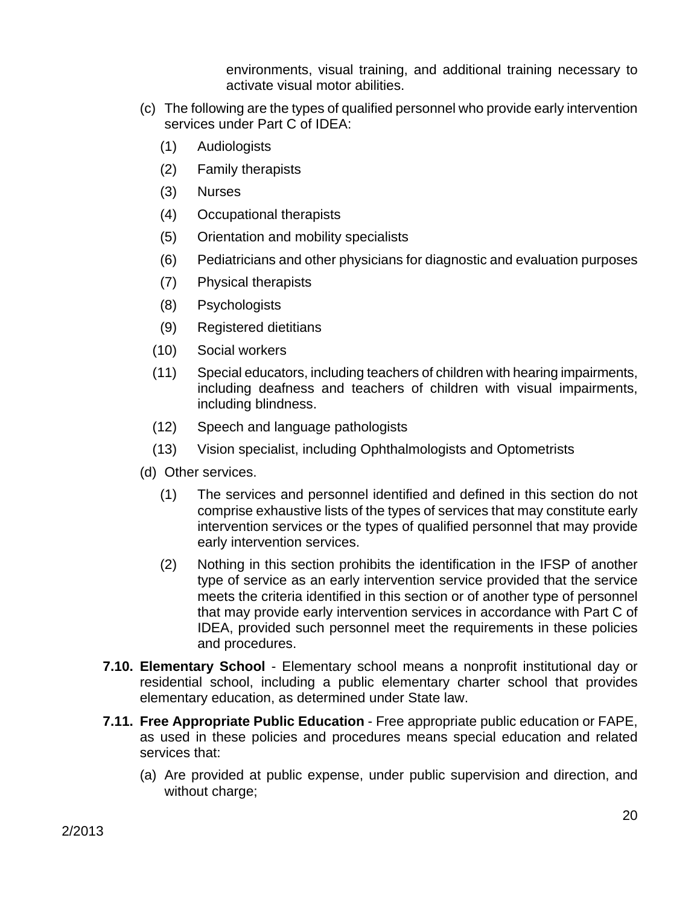environments, visual training, and additional training necessary to activate visual motor abilities.

- (c) The following are the types of qualified personnel who provide early intervention services under Part C of IDEA:
	- (1) Audiologists
	- (2) Family therapists
	- (3) Nurses
	- (4) Occupational therapists
	- (5) Orientation and mobility specialists
	- (6) Pediatricians and other physicians for diagnostic and evaluation purposes
	- (7) Physical therapists
	- (8) Psychologists
	- (9) Registered dietitians
	- (10) Social workers
	- (11) Special educators, including teachers of children with hearing impairments, including deafness and teachers of children with visual impairments, including blindness.
	- (12) Speech and language pathologists
	- (13) Vision specialist, including Ophthalmologists and Optometrists
- (d) Other services.
	- (1) The services and personnel identified and defined in this section do not comprise exhaustive lists of the types of services that may constitute early intervention services or the types of qualified personnel that may provide early intervention services.
	- (2) Nothing in this section prohibits the identification in the IFSP of another type of service as an early intervention service provided that the service meets the criteria identified in this section or of another type of personnel that may provide early intervention services in accordance with Part C of IDEA, provided such personnel meet the requirements in these policies and procedures.
- **7.10. Elementary School** Elementary school means a nonprofit institutional day or residential school, including a public elementary charter school that provides elementary education, as determined under State law.
- **7.11. Free Appropriate Public Education** Free appropriate public education or FAPE, as used in these policies and procedures means special education and related services that:
	- (a) Are provided at public expense, under public supervision and direction, and without charge;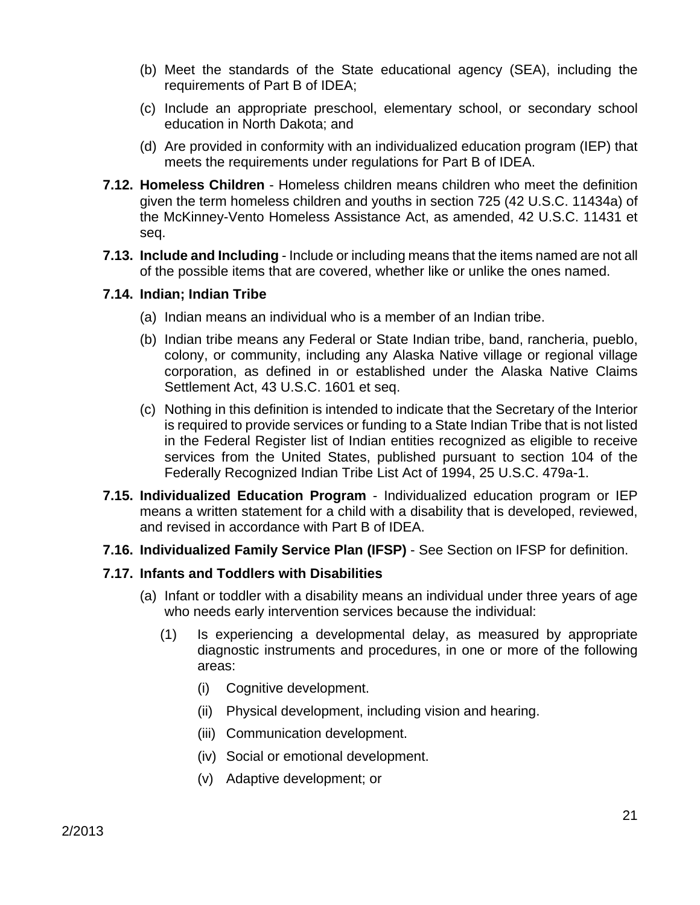- (b) Meet the standards of the State educational agency (SEA), including the requirements of Part B of IDEA;
- (c) Include an appropriate preschool, elementary school, or secondary school education in North Dakota; and
- (d) Are provided in conformity with an individualized education program (IEP) that meets the requirements under regulations for Part B of IDEA.
- **7.12. Homeless Children** Homeless children means children who meet the definition given the term homeless children and youths in section 725 (42 U.S.C. 11434a) of the McKinney-Vento Homeless Assistance Act, as amended, 42 U.S.C. 11431 et seq.
- **7.13. Include and Including** Include or including means that the items named are not all of the possible items that are covered, whether like or unlike the ones named.

#### **7.14. Indian; Indian Tribe**

- (a) Indian means an individual who is a member of an Indian tribe.
- (b) Indian tribe means any Federal or State Indian tribe, band, rancheria, pueblo, colony, or community, including any Alaska Native village or regional village corporation, as defined in or established under the Alaska Native Claims Settlement Act, 43 U.S.C. 1601 et seq.
- (c) Nothing in this definition is intended to indicate that the Secretary of the Interior is required to provide services or funding to a State Indian Tribe that is not listed in the Federal Register list of Indian entities recognized as eligible to receive services from the United States, published pursuant to section 104 of the Federally Recognized Indian Tribe List Act of 1994, 25 U.S.C. 479a-1.
- **7.15. Individualized Education Program** Individualized education program or IEP means a written statement for a child with a disability that is developed, reviewed, and revised in accordance with Part B of IDEA.
- **7.16. Individualized Family Service Plan (IFSP)** See Section on IFSP for definition.

#### **7.17. Infants and Toddlers with Disabilities**

- (a) Infant or toddler with a disability means an individual under three years of age who needs early intervention services because the individual:
	- (1) Is experiencing a developmental delay, as measured by appropriate diagnostic instruments and procedures, in one or more of the following areas:
		- (i) Cognitive development.
		- (ii) Physical development, including vision and hearing.
		- (iii) Communication development.
		- (iv) Social or emotional development.
		- (v) Adaptive development; or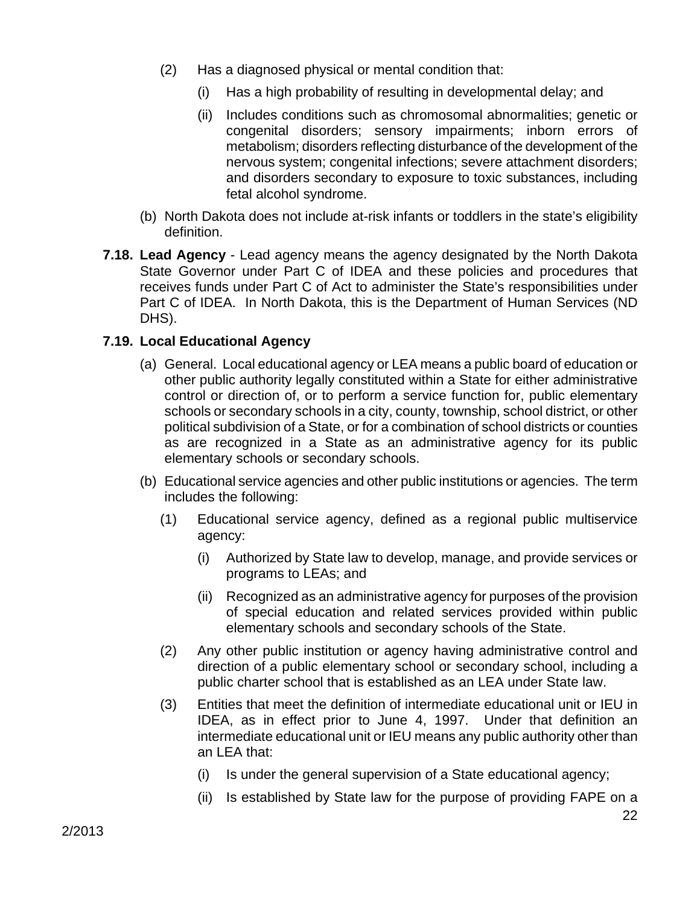- (2) Has a diagnosed physical or mental condition that:
	- (i) Has a high probability of resulting in developmental delay; and
	- (ii) Includes conditions such as chromosomal abnormalities; genetic or congenital disorders; sensory impairments; inborn errors of metabolism; disorders reflecting disturbance of the development of the nervous system; congenital infections; severe attachment disorders; and disorders secondary to exposure to toxic substances, including fetal alcohol syndrome.
- (b) North Dakota does not include at-risk infants or toddlers in the state's eligibility definition.
- **7.18. Lead Agency**  Lead agency means the agency designated by the North Dakota State Governor under Part C of IDEA and these policies and procedures that receives funds under Part C of Act to administer the State's responsibilities under Part C of IDEA. In North Dakota, this is the Department of Human Services (ND DHS).

### **7.19. Local Educational Agency**

- (a) General. Local educational agency or LEA means a public board of education or other public authority legally constituted within a State for either administrative control or direction of, or to perform a service function for, public elementary schools or secondary schools in a city, county, township, school district, or other political subdivision of a State, or for a combination of school districts or counties as are recognized in a State as an administrative agency for its public elementary schools or secondary schools.
- (b) Educational service agencies and other public institutions or agencies. The term includes the following:
	- (1) Educational service agency, defined as a regional public multiservice agency:
		- (i) Authorized by State law to develop, manage, and provide services or programs to LEAs; and
		- (ii) Recognized as an administrative agency for purposes of the provision of special education and related services provided within public elementary schools and secondary schools of the State.
	- (2) Any other public institution or agency having administrative control and direction of a public elementary school or secondary school, including a public charter school that is established as an LEA under State law.
	- (3) Entities that meet the definition of intermediate educational unit or IEU in IDEA, as in effect prior to June 4, 1997. Under that definition an intermediate educational unit or IEU means any public authority other than an LEA that:
		- (i) Is under the general supervision of a State educational agency;
		- (ii) Is established by State law for the purpose of providing FAPE on a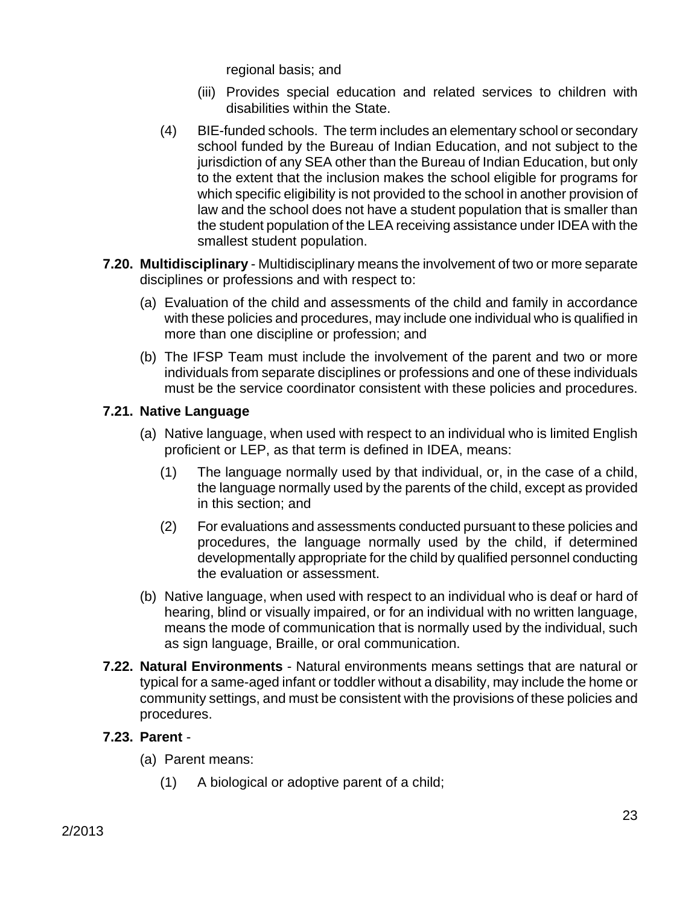regional basis; and

- (iii) Provides special education and related services to children with disabilities within the State.
- (4) BIE-funded schools. The term includes an elementary school or secondary school funded by the Bureau of Indian Education, and not subject to the jurisdiction of any SEA other than the Bureau of Indian Education, but only to the extent that the inclusion makes the school eligible for programs for which specific eligibility is not provided to the school in another provision of law and the school does not have a student population that is smaller than the student population of the LEA receiving assistance under IDEA with the smallest student population.
- **7.20. Multidisciplinary** Multidisciplinary means the involvement of two or more separate disciplines or professions and with respect to:
	- (a) Evaluation of the child and assessments of the child and family in accordance with these policies and procedures, may include one individual who is qualified in more than one discipline or profession; and
	- (b) The IFSP Team must include the involvement of the parent and two or more individuals from separate disciplines or professions and one of these individuals must be the service coordinator consistent with these policies and procedures.

### **7.21. Native Language**

- (a) Native language, when used with respect to an individual who is limited English proficient or LEP, as that term is defined in IDEA, means:
	- (1) The language normally used by that individual, or, in the case of a child, the language normally used by the parents of the child, except as provided in this section; and
	- (2) For evaluations and assessments conducted pursuant to these policies and procedures, the language normally used by the child, if determined developmentally appropriate for the child by qualified personnel conducting the evaluation or assessment.
- (b) Native language, when used with respect to an individual who is deaf or hard of hearing, blind or visually impaired, or for an individual with no written language, means the mode of communication that is normally used by the individual, such as sign language, Braille, or oral communication.
- **7.22. Natural Environments** Natural environments means settings that are natural or typical for a same-aged infant or toddler without a disability, may include the home or community settings, and must be consistent with the provisions of these policies and procedures.

# **7.23. Parent** -

- (a) Parent means:
	- (1) A biological or adoptive parent of a child;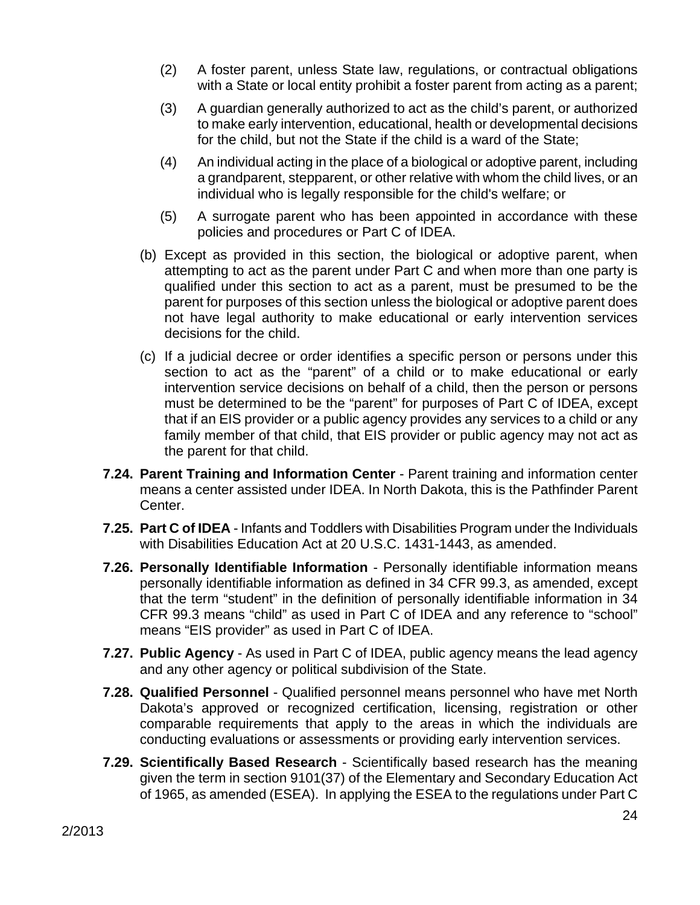- (2) A foster parent, unless State law, regulations, or contractual obligations with a State or local entity prohibit a foster parent from acting as a parent;
- (3) A guardian generally authorized to act as the child's parent, or authorized to make early intervention, educational, health or developmental decisions for the child, but not the State if the child is a ward of the State;
- (4) An individual acting in the place of a biological or adoptive parent, including a grandparent, stepparent, or other relative with whom the child lives, or an individual who is legally responsible for the child's welfare; or
- (5) A surrogate parent who has been appointed in accordance with these policies and procedures or Part C of IDEA.
- (b) Except as provided in this section, the biological or adoptive parent, when attempting to act as the parent under Part C and when more than one party is qualified under this section to act as a parent, must be presumed to be the parent for purposes of this section unless the biological or adoptive parent does not have legal authority to make educational or early intervention services decisions for the child.
- (c) If a judicial decree or order identifies a specific person or persons under this section to act as the "parent" of a child or to make educational or early intervention service decisions on behalf of a child, then the person or persons must be determined to be the "parent" for purposes of Part C of IDEA, except that if an EIS provider or a public agency provides any services to a child or any family member of that child, that EIS provider or public agency may not act as the parent for that child.
- **7.24. Parent Training and Information Center** Parent training and information center means a center assisted under IDEA. In North Dakota, this is the Pathfinder Parent Center.
- **7.25. Part C of IDEA** Infants and Toddlers with Disabilities Program under the Individuals with Disabilities Education Act at 20 U.S.C. 1431-1443, as amended.
- **7.26. Personally Identifiable Information** Personally identifiable information means personally identifiable information as defined in 34 CFR 99.3, as amended, except that the term "student" in the definition of personally identifiable information in 34 CFR 99.3 means "child" as used in Part C of IDEA and any reference to "school" means "EIS provider" as used in Part C of IDEA.
- **7.27. Public Agency** As used in Part C of IDEA, public agency means the lead agency and any other agency or political subdivision of the State.
- **7.28. Qualified Personnel**  Qualified personnel means personnel who have met North Dakota's approved or recognized certification, licensing, registration or other comparable requirements that apply to the areas in which the individuals are conducting evaluations or assessments or providing early intervention services.
- **7.29. Scientifically Based Research** Scientifically based research has the meaning given the term in section 9101(37) of the Elementary and Secondary Education Act of 1965, as amended (ESEA). In applying the ESEA to the regulations under Part C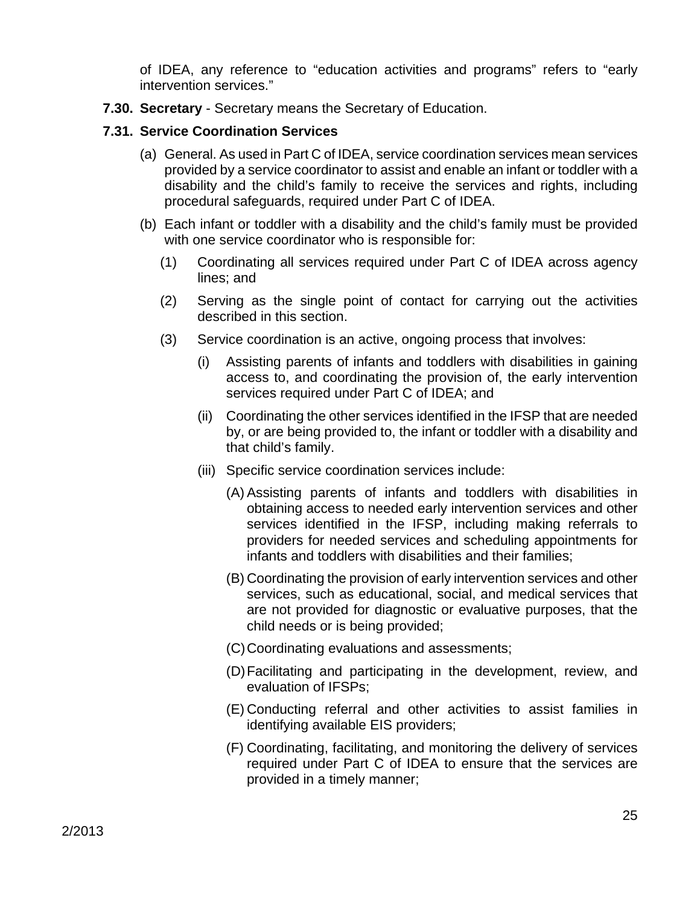of IDEA, any reference to "education activities and programs" refers to "early intervention services."

**7.30. Secretary** - Secretary means the Secretary of Education.

### **7.31. Service Coordination Services**

- (a) General. As used in Part C of IDEA, service coordination services mean services provided by a service coordinator to assist and enable an infant or toddler with a disability and the child's family to receive the services and rights, including procedural safeguards, required under Part C of IDEA.
- (b) Each infant or toddler with a disability and the child's family must be provided with one service coordinator who is responsible for:
	- (1) Coordinating all services required under Part C of IDEA across agency lines; and
	- (2) Serving as the single point of contact for carrying out the activities described in this section.
	- (3) Service coordination is an active, ongoing process that involves:
		- (i) Assisting parents of infants and toddlers with disabilities in gaining access to, and coordinating the provision of, the early intervention services required under Part C of IDEA; and
		- (ii) Coordinating the other services identified in the IFSP that are needed by, or are being provided to, the infant or toddler with a disability and that child's family.
		- (iii) Specific service coordination services include:
			- (A) Assisting parents of infants and toddlers with disabilities in obtaining access to needed early intervention services and other services identified in the IFSP, including making referrals to providers for needed services and scheduling appointments for infants and toddlers with disabilities and their families;
			- (B) Coordinating the provision of early intervention services and other services, such as educational, social, and medical services that are not provided for diagnostic or evaluative purposes, that the child needs or is being provided;
			- (C) Coordinating evaluations and assessments;
			- (D) Facilitating and participating in the development, review, and evaluation of IFSPs;
			- (E) Conducting referral and other activities to assist families in identifying available EIS providers;
			- (F) Coordinating, facilitating, and monitoring the delivery of services required under Part C of IDEA to ensure that the services are provided in a timely manner;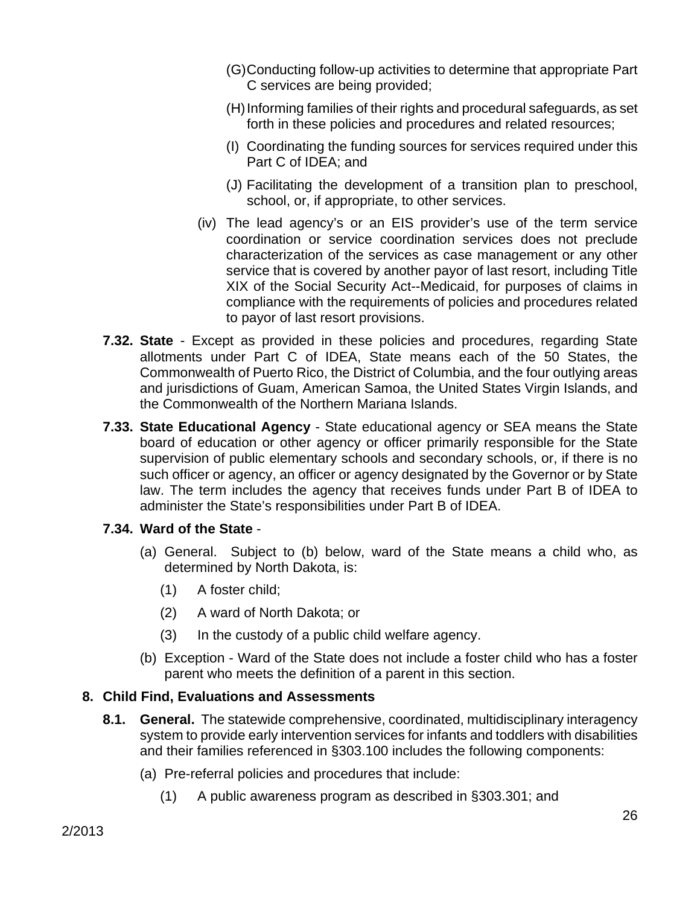- (G) Conducting follow-up activities to determine that appropriate Part C services are being provided;
- (H) Informing families of their rights and procedural safeguards, as set forth in these policies and procedures and related resources;
- (I) Coordinating the funding sources for services required under this Part C of IDEA; and
- (J) Facilitating the development of a transition plan to preschool, school, or, if appropriate, to other services.
- (iv) The lead agency's or an EIS provider's use of the term service coordination or service coordination services does not preclude characterization of the services as case management or any other service that is covered by another payor of last resort, including Title XIX of the Social Security Act--Medicaid, for purposes of claims in compliance with the requirements of policies and procedures related to payor of last resort provisions.
- **7.32. State**  Except as provided in these policies and procedures, regarding State allotments under Part C of IDEA, State means each of the 50 States, the Commonwealth of Puerto Rico, the District of Columbia, and the four outlying areas and jurisdictions of Guam, American Samoa, the United States Virgin Islands, and the Commonwealth of the Northern Mariana Islands.
- **7.33. State Educational Agency**  State educational agency or SEA means the State board of education or other agency or officer primarily responsible for the State supervision of public elementary schools and secondary schools, or, if there is no such officer or agency, an officer or agency designated by the Governor or by State law. The term includes the agency that receives funds under Part B of IDEA to administer the State's responsibilities under Part B of IDEA.

# **7.34. Ward of the State** -

- (a) General. Subject to (b) below, ward of the State means a child who, as determined by North Dakota, is:
	- (1) A foster child;
	- (2) A ward of North Dakota; or
	- (3) In the custody of a public child welfare agency.
- (b) Exception Ward of the State does not include a foster child who has a foster parent who meets the definition of a parent in this section.

# **8. Child Find, Evaluations and Assessments**

- **8.1. General.** The statewide comprehensive, coordinated, multidisciplinary interagency system to provide early intervention services for infants and toddlers with disabilities and their families referenced in §303.100 includes the following components:
	- (a) Pre-referral policies and procedures that include:
		- (1) A public awareness program as described in §303.301; and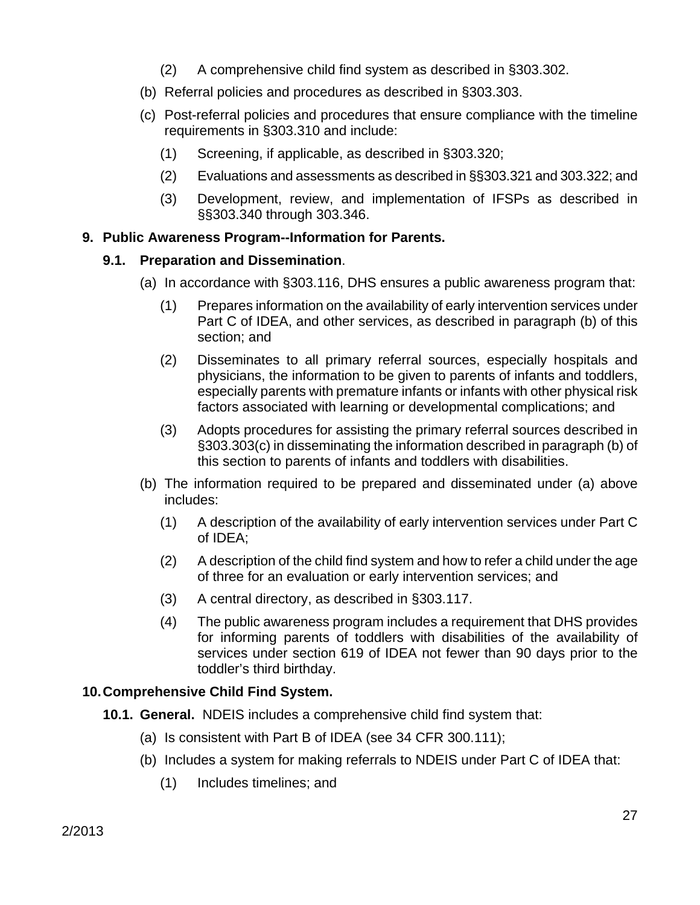- (2) A comprehensive child find system as described in §303.302.
- (b) Referral policies and procedures as described in §303.303.
- (c) Post-referral policies and procedures that ensure compliance with the timeline requirements in §303.310 and include:
	- (1) Screening, if applicable, as described in §303.320;
	- (2) Evaluations and assessments as described in §§303.321 and 303.322; and
	- (3) Development, review, and implementation of IFSPs as described in §§303.340 through 303.346.

### **9. Public Awareness Program--Information for Parents.**

### **9.1. Preparation and Dissemination**.

- (a) In accordance with §303.116, DHS ensures a public awareness program that:
	- (1) Prepares information on the availability of early intervention services under Part C of IDEA, and other services, as described in paragraph (b) of this section; and
	- (2) Disseminates to all primary referral sources, especially hospitals and physicians, the information to be given to parents of infants and toddlers, especially parents with premature infants or infants with other physical risk factors associated with learning or developmental complications; and
	- (3) Adopts procedures for assisting the primary referral sources described in §303.303(c) in disseminating the information described in paragraph (b) of this section to parents of infants and toddlers with disabilities.
- (b) The information required to be prepared and disseminated under (a) above includes:
	- (1) A description of the availability of early intervention services under Part C of IDEA;
	- (2) A description of the child find system and how to refer a child under the age of three for an evaluation or early intervention services; and
	- (3) A central directory, as described in §303.117.
	- (4) The public awareness program includes a requirement that DHS provides for informing parents of toddlers with disabilities of the availability of services under section 619 of IDEA not fewer than 90 days prior to the toddler's third birthday.

# **10. Comprehensive Child Find System.**

- **10.1. General.** NDEIS includes a comprehensive child find system that:
	- (a) Is consistent with Part B of IDEA (see 34 CFR 300.111);
	- (b) Includes a system for making referrals to NDEIS under Part C of IDEA that:
		- (1) Includes timelines; and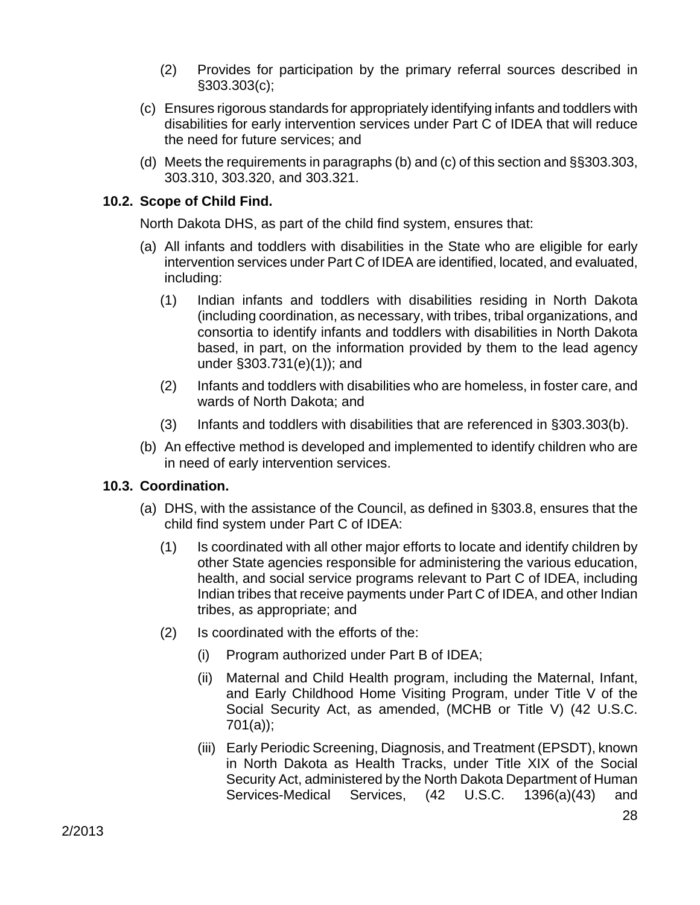- (2) Provides for participation by the primary referral sources described in §303.303(c);
- (c) Ensures rigorous standards for appropriately identifying infants and toddlers with disabilities for early intervention services under Part C of IDEA that will reduce the need for future services; and
- (d) Meets the requirements in paragraphs (b) and (c) of this section and §§303.303, 303.310, 303.320, and 303.321.

### **10.2. Scope of Child Find.**

North Dakota DHS, as part of the child find system, ensures that:

- (a) All infants and toddlers with disabilities in the State who are eligible for early intervention services under Part C of IDEA are identified, located, and evaluated, including:
	- (1) Indian infants and toddlers with disabilities residing in North Dakota (including coordination, as necessary, with tribes, tribal organizations, and consortia to identify infants and toddlers with disabilities in North Dakota based, in part, on the information provided by them to the lead agency under §303.731(e)(1)); and
	- (2) Infants and toddlers with disabilities who are homeless, in foster care, and wards of North Dakota; and
	- (3) Infants and toddlers with disabilities that are referenced in §303.303(b).
- (b) An effective method is developed and implemented to identify children who are in need of early intervention services.

# **10.3. Coordination.**

- (a) DHS, with the assistance of the Council, as defined in §303.8, ensures that the child find system under Part C of IDEA:
	- (1) Is coordinated with all other major efforts to locate and identify children by other State agencies responsible for administering the various education, health, and social service programs relevant to Part C of IDEA, including Indian tribes that receive payments under Part C of IDEA, and other Indian tribes, as appropriate; and
	- (2) Is coordinated with the efforts of the:
		- (i) Program authorized under Part B of IDEA;
		- (ii) Maternal and Child Health program, including the Maternal, Infant, and Early Childhood Home Visiting Program, under Title V of the Social Security Act, as amended, (MCHB or Title V) (42 U.S.C. 701(a));
		- (iii) Early Periodic Screening, Diagnosis, and Treatment (EPSDT), known in North Dakota as Health Tracks, under Title XIX of the Social Security Act, administered by the North Dakota Department of Human Services-Medical Services, (42 U.S.C. 1396(a)(43) and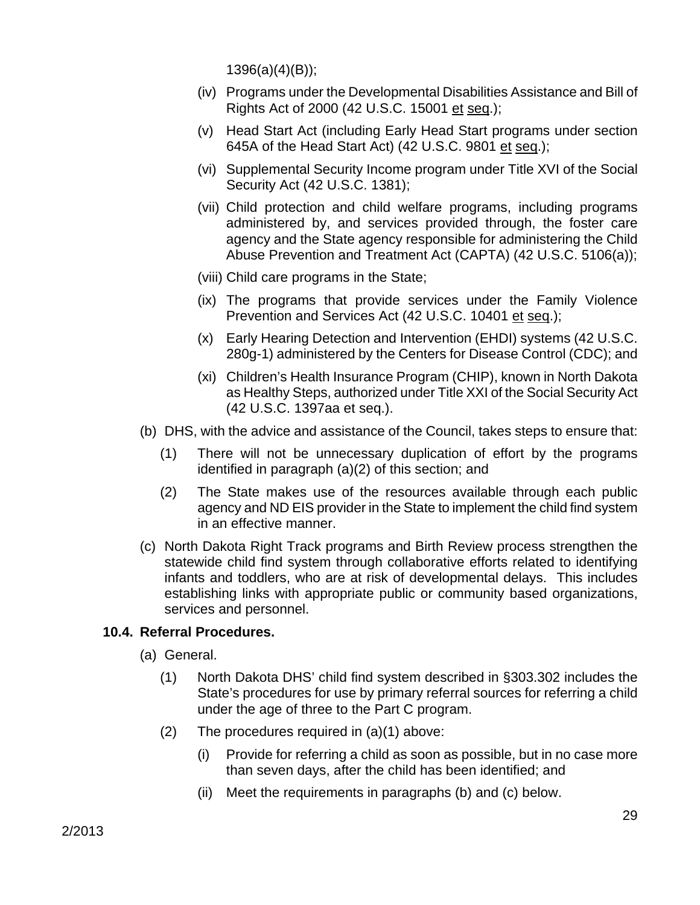1396(a)(4)(B));

- (iv) Programs under the Developmental Disabilities Assistance and Bill of Rights Act of 2000 (42 U.S.C. 15001 et seq.);
- (v) Head Start Act (including Early Head Start programs under section 645A of the Head Start Act) (42 U.S.C. 9801 et seq.);
- (vi) Supplemental Security Income program under Title XVI of the Social Security Act (42 U.S.C. 1381);
- (vii) Child protection and child welfare programs, including programs administered by, and services provided through, the foster care agency and the State agency responsible for administering the Child Abuse Prevention and Treatment Act (CAPTA) (42 U.S.C. 5106(a));
- (viii) Child care programs in the State;
- (ix) The programs that provide services under the Family Violence Prevention and Services Act (42 U.S.C. 10401 et seq.);
- (x) Early Hearing Detection and Intervention (EHDI) systems (42 U.S.C. 280g-1) administered by the Centers for Disease Control (CDC); and
- (xi) Children's Health Insurance Program (CHIP), known in North Dakota as Healthy Steps, authorized under Title XXI of the Social Security Act (42 U.S.C. 1397aa et seq.).
- (b) DHS, with the advice and assistance of the Council, takes steps to ensure that:
	- (1) There will not be unnecessary duplication of effort by the programs identified in paragraph (a)(2) of this section; and
	- (2) The State makes use of the resources available through each public agency and ND EIS provider in the State to implement the child find system in an effective manner.
- (c) North Dakota Right Track programs and Birth Review process strengthen the statewide child find system through collaborative efforts related to identifying infants and toddlers, who are at risk of developmental delays. This includes establishing links with appropriate public or community based organizations, services and personnel.

#### **10.4. Referral Procedures.**

- (a) General.
	- (1) North Dakota DHS' child find system described in §303.302 includes the State's procedures for use by primary referral sources for referring a child under the age of three to the Part C program.
	- (2) The procedures required in (a)(1) above:
		- (i) Provide for referring a child as soon as possible, but in no case more than seven days, after the child has been identified; and
		- (ii) Meet the requirements in paragraphs (b) and (c) below.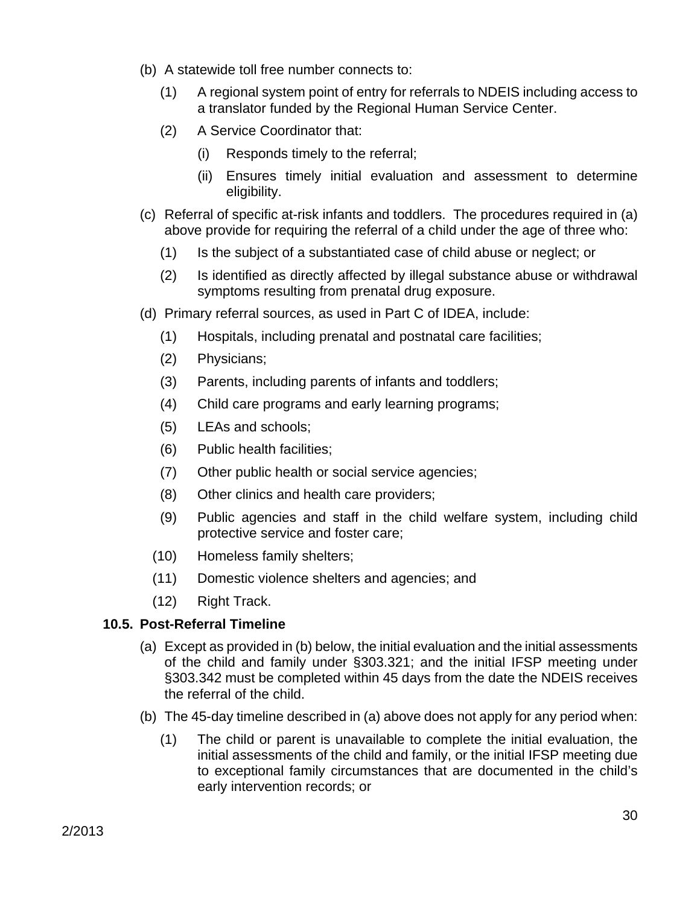- (b) A statewide toll free number connects to:
	- (1) A regional system point of entry for referrals to NDEIS including access to a translator funded by the Regional Human Service Center.
	- (2) A Service Coordinator that:
		- (i) Responds timely to the referral;
		- (ii) Ensures timely initial evaluation and assessment to determine eligibility.
- (c) Referral of specific at-risk infants and toddlers. The procedures required in (a) above provide for requiring the referral of a child under the age of three who:
	- (1) Is the subject of a substantiated case of child abuse or neglect; or
	- (2) Is identified as directly affected by illegal substance abuse or withdrawal symptoms resulting from prenatal drug exposure.
- (d) Primary referral sources, as used in Part C of IDEA, include:
	- (1) Hospitals, including prenatal and postnatal care facilities;
	- (2) Physicians;
	- (3) Parents, including parents of infants and toddlers;
	- (4) Child care programs and early learning programs;
	- (5) LEAs and schools;
	- (6) Public health facilities;
	- (7) Other public health or social service agencies;
	- (8) Other clinics and health care providers;
	- (9) Public agencies and staff in the child welfare system, including child protective service and foster care;
	- (10) Homeless family shelters;
	- (11) Domestic violence shelters and agencies; and
	- (12) Right Track.

# **10.5. Post-Referral Timeline**

- (a) Except as provided in (b) below, the initial evaluation and the initial assessments of the child and family under §303.321; and the initial IFSP meeting under §303.342 must be completed within 45 days from the date the NDEIS receives the referral of the child.
- (b) The 45-day timeline described in (a) above does not apply for any period when:
	- (1) The child or parent is unavailable to complete the initial evaluation, the initial assessments of the child and family, or the initial IFSP meeting due to exceptional family circumstances that are documented in the child's early intervention records; or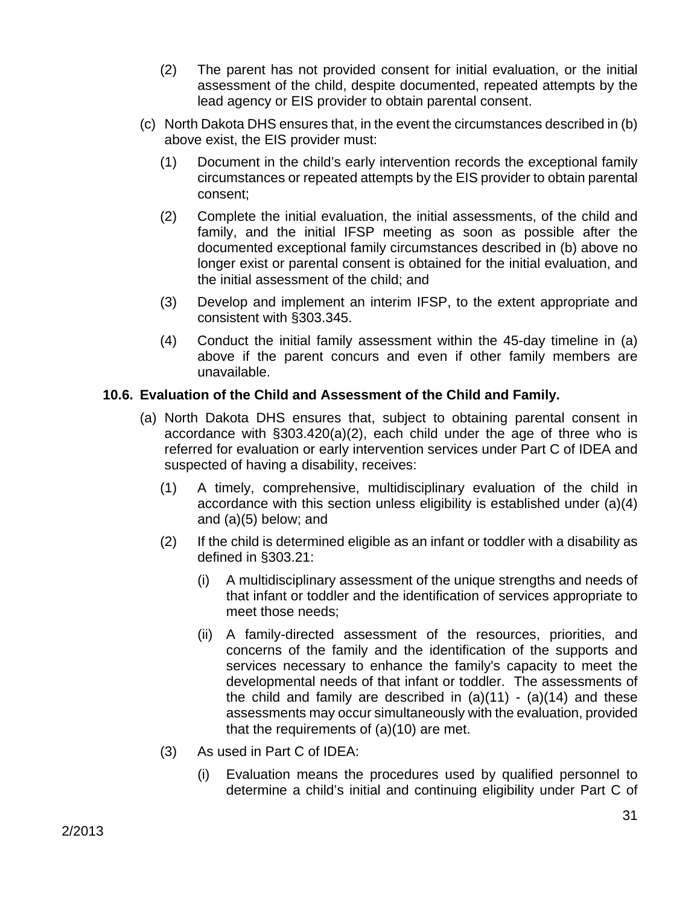- (2) The parent has not provided consent for initial evaluation, or the initial assessment of the child, despite documented, repeated attempts by the lead agency or EIS provider to obtain parental consent.
- (c) North Dakota DHS ensures that, in the event the circumstances described in (b) above exist, the EIS provider must:
	- (1) Document in the child's early intervention records the exceptional family circumstances or repeated attempts by the EIS provider to obtain parental consent;
	- (2) Complete the initial evaluation, the initial assessments, of the child and family, and the initial IFSP meeting as soon as possible after the documented exceptional family circumstances described in (b) above no longer exist or parental consent is obtained for the initial evaluation, and the initial assessment of the child; and
	- (3) Develop and implement an interim IFSP, to the extent appropriate and consistent with §303.345.
	- (4) Conduct the initial family assessment within the 45-day timeline in (a) above if the parent concurs and even if other family members are unavailable.

# **10.6. Evaluation of the Child and Assessment of the Child and Family.**

- (a) North Dakota DHS ensures that, subject to obtaining parental consent in accordance with §303.420(a)(2), each child under the age of three who is referred for evaluation or early intervention services under Part C of IDEA and suspected of having a disability, receives:
	- (1) A timely, comprehensive, multidisciplinary evaluation of the child in accordance with this section unless eligibility is established under (a)(4) and (a)(5) below; and
	- (2) If the child is determined eligible as an infant or toddler with a disability as defined in §303.21:
		- (i) A multidisciplinary assessment of the unique strengths and needs of that infant or toddler and the identification of services appropriate to meet those needs;
		- (ii) A family-directed assessment of the resources, priorities, and concerns of the family and the identification of the supports and services necessary to enhance the family's capacity to meet the developmental needs of that infant or toddler. The assessments of the child and family are described in  $(a)(11) - (a)(14)$  and these assessments may occur simultaneously with the evaluation, provided that the requirements of (a)(10) are met.
	- (3) As used in Part C of IDEA:
		- (i) Evaluation means the procedures used by qualified personnel to determine a child's initial and continuing eligibility under Part C of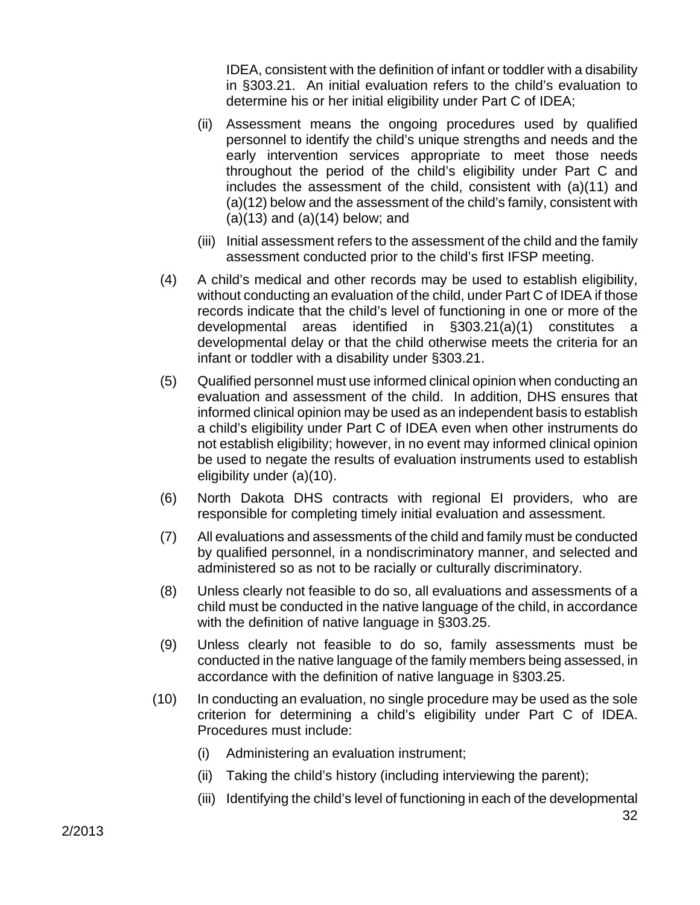IDEA, consistent with the definition of infant or toddler with a disability in §303.21. An initial evaluation refers to the child's evaluation to determine his or her initial eligibility under Part C of IDEA;

- (ii) Assessment means the ongoing procedures used by qualified personnel to identify the child's unique strengths and needs and the early intervention services appropriate to meet those needs throughout the period of the child's eligibility under Part C and includes the assessment of the child, consistent with (a)(11) and (a)(12) below and the assessment of the child's family, consistent with  $(a)(13)$  and  $(a)(14)$  below; and
- (iii) Initial assessment refers to the assessment of the child and the family assessment conducted prior to the child's first IFSP meeting.
- (4) A child's medical and other records may be used to establish eligibility, without conducting an evaluation of the child, under Part C of IDEA if those records indicate that the child's level of functioning in one or more of the developmental areas identified in §303.21(a)(1) constitutes a developmental delay or that the child otherwise meets the criteria for an infant or toddler with a disability under §303.21.
- (5) Qualified personnel must use informed clinical opinion when conducting an evaluation and assessment of the child. In addition, DHS ensures that informed clinical opinion may be used as an independent basis to establish a child's eligibility under Part C of IDEA even when other instruments do not establish eligibility; however, in no event may informed clinical opinion be used to negate the results of evaluation instruments used to establish eligibility under (a)(10).
- (6) North Dakota DHS contracts with regional EI providers, who are responsible for completing timely initial evaluation and assessment.
- (7) All evaluations and assessments of the child and family must be conducted by qualified personnel, in a nondiscriminatory manner, and selected and administered so as not to be racially or culturally discriminatory.
- (8) Unless clearly not feasible to do so, all evaluations and assessments of a child must be conducted in the native language of the child, in accordance with the definition of native language in §303.25.
- (9) Unless clearly not feasible to do so, family assessments must be conducted in the native language of the family members being assessed, in accordance with the definition of native language in §303.25.
- (10) In conducting an evaluation, no single procedure may be used as the sole criterion for determining a child's eligibility under Part C of IDEA. Procedures must include:
	- (i) Administering an evaluation instrument;
	- (ii) Taking the child's history (including interviewing the parent);
	- (iii) Identifying the child's level of functioning in each of the developmental

32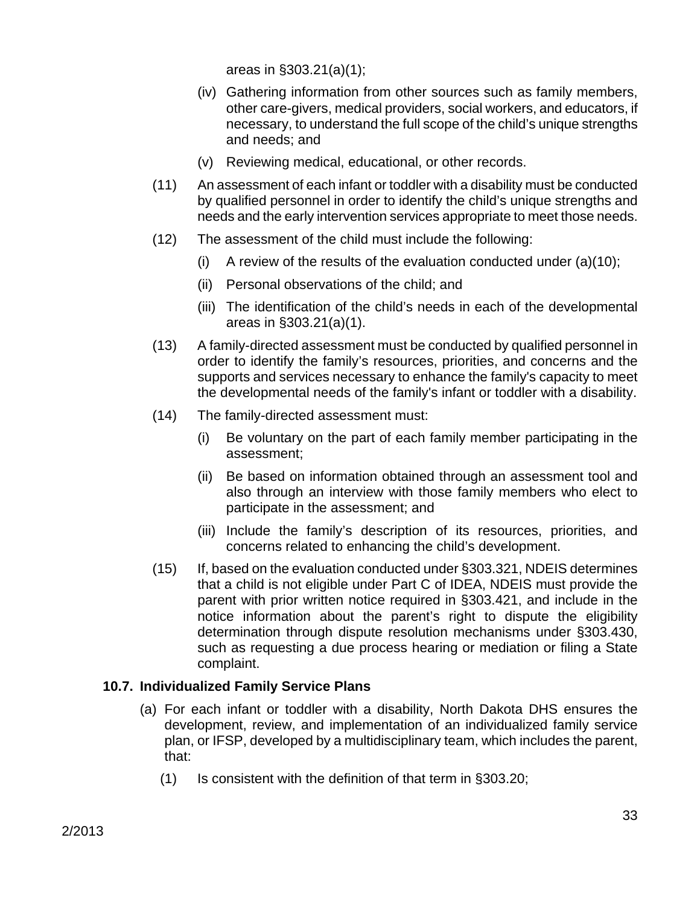areas in §303.21(a)(1);

- (iv) Gathering information from other sources such as family members, other care-givers, medical providers, social workers, and educators, if necessary, to understand the full scope of the child's unique strengths and needs; and
- (v) Reviewing medical, educational, or other records.
- (11) An assessment of each infant or toddler with a disability must be conducted by qualified personnel in order to identify the child's unique strengths and needs and the early intervention services appropriate to meet those needs.
- (12) The assessment of the child must include the following:
	- (i) A review of the results of the evaluation conducted under  $(a)(10)$ ;
	- (ii) Personal observations of the child; and
	- (iii) The identification of the child's needs in each of the developmental areas in §303.21(a)(1).
- (13) A family-directed assessment must be conducted by qualified personnel in order to identify the family's resources, priorities, and concerns and the supports and services necessary to enhance the family's capacity to meet the developmental needs of the family's infant or toddler with a disability.
- (14) The family-directed assessment must:
	- (i) Be voluntary on the part of each family member participating in the assessment;
	- (ii) Be based on information obtained through an assessment tool and also through an interview with those family members who elect to participate in the assessment; and
	- (iii) Include the family's description of its resources, priorities, and concerns related to enhancing the child's development.
- (15) If, based on the evaluation conducted under §303.321, NDEIS determines that a child is not eligible under Part C of IDEA, NDEIS must provide the parent with prior written notice required in §303.421, and include in the notice information about the parent's right to dispute the eligibility determination through dispute resolution mechanisms under §303.430, such as requesting a due process hearing or mediation or filing a State complaint.

# **10.7. Individualized Family Service Plans**

- (a) For each infant or toddler with a disability, North Dakota DHS ensures the development, review, and implementation of an individualized family service plan, or IFSP, developed by a multidisciplinary team, which includes the parent, that:
	- (1) Is consistent with the definition of that term in §303.20;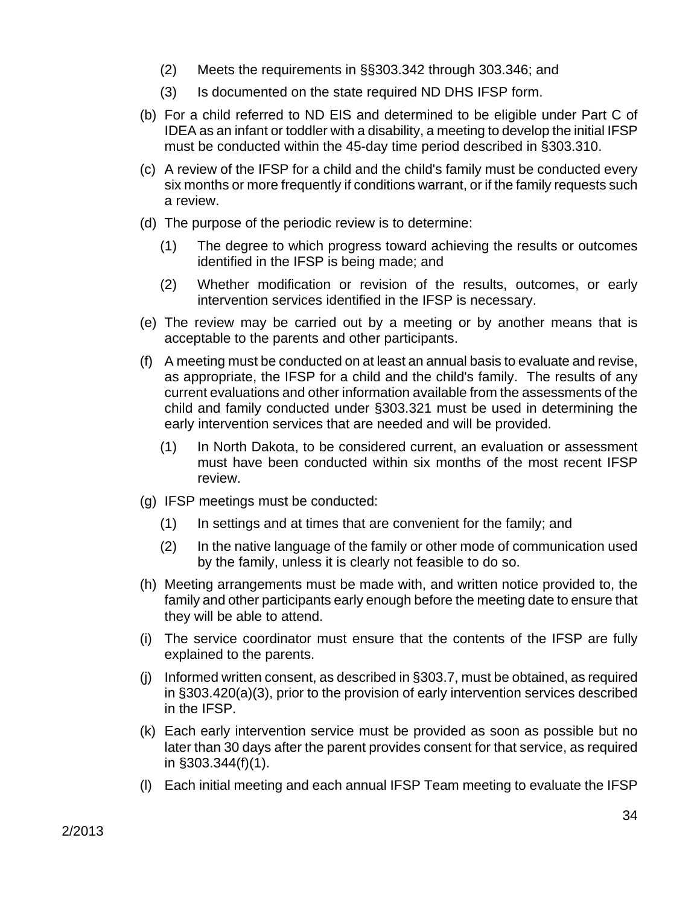- (2) Meets the requirements in §§303.342 through 303.346; and
- (3) Is documented on the state required ND DHS IFSP form.
- (b) For a child referred to ND EIS and determined to be eligible under Part C of IDEA as an infant or toddler with a disability, a meeting to develop the initial IFSP must be conducted within the 45-day time period described in §303.310.
- (c) A review of the IFSP for a child and the child's family must be conducted every six months or more frequently if conditions warrant, or if the family requests such a review.
- (d) The purpose of the periodic review is to determine:
	- (1) The degree to which progress toward achieving the results or outcomes identified in the IFSP is being made; and
	- (2) Whether modification or revision of the results, outcomes, or early intervention services identified in the IFSP is necessary.
- (e) The review may be carried out by a meeting or by another means that is acceptable to the parents and other participants.
- (f) A meeting must be conducted on at least an annual basis to evaluate and revise, as appropriate, the IFSP for a child and the child's family. The results of any current evaluations and other information available from the assessments of the child and family conducted under §303.321 must be used in determining the early intervention services that are needed and will be provided.
	- (1) In North Dakota, to be considered current, an evaluation or assessment must have been conducted within six months of the most recent IFSP review.
- (g) IFSP meetings must be conducted:
	- (1) In settings and at times that are convenient for the family; and
	- (2) In the native language of the family or other mode of communication used by the family, unless it is clearly not feasible to do so.
- (h) Meeting arrangements must be made with, and written notice provided to, the family and other participants early enough before the meeting date to ensure that they will be able to attend.
- (i) The service coordinator must ensure that the contents of the IFSP are fully explained to the parents.
- (j) Informed written consent, as described in §303.7, must be obtained, as required in §303.420(a)(3), prior to the provision of early intervention services described in the IFSP.
- (k) Each early intervention service must be provided as soon as possible but no later than 30 days after the parent provides consent for that service, as required in §303.344(f)(1).
- (l) Each initial meeting and each annual IFSP Team meeting to evaluate the IFSP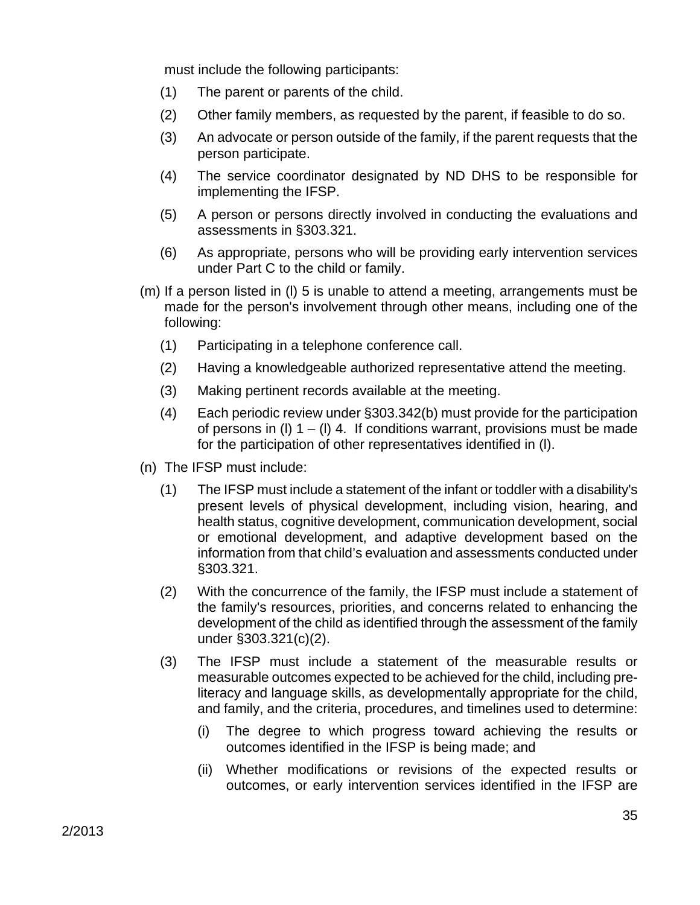must include the following participants:

- (1) The parent or parents of the child.
- (2) Other family members, as requested by the parent, if feasible to do so.
- (3) An advocate or person outside of the family, if the parent requests that the person participate.
- (4) The service coordinator designated by ND DHS to be responsible for implementing the IFSP.
- (5) A person or persons directly involved in conducting the evaluations and assessments in §303.321.
- (6) As appropriate, persons who will be providing early intervention services under Part C to the child or family.
- (m) If a person listed in (l) 5 is unable to attend a meeting, arrangements must be made for the person's involvement through other means, including one of the following:
	- (1) Participating in a telephone conference call.
	- (2) Having a knowledgeable authorized representative attend the meeting.
	- (3) Making pertinent records available at the meeting.
	- (4) Each periodic review under §303.342(b) must provide for the participation of persons in (I)  $1 - (1)$  4. If conditions warrant, provisions must be made for the participation of other representatives identified in (l).
- (n) The IFSP must include:
	- (1) The IFSP must include a statement of the infant or toddler with a disability's present levels of physical development, including vision, hearing, and health status, cognitive development, communication development, social or emotional development, and adaptive development based on the information from that child's evaluation and assessments conducted under §303.321.
	- (2) With the concurrence of the family, the IFSP must include a statement of the family's resources, priorities, and concerns related to enhancing the development of the child as identified through the assessment of the family under §303.321(c)(2).
	- (3) The IFSP must include a statement of the measurable results or measurable outcomes expected to be achieved for the child, including preliteracy and language skills, as developmentally appropriate for the child, and family, and the criteria, procedures, and timelines used to determine:
		- (i) The degree to which progress toward achieving the results or outcomes identified in the IFSP is being made; and
		- (ii) Whether modifications or revisions of the expected results or outcomes, or early intervention services identified in the IFSP are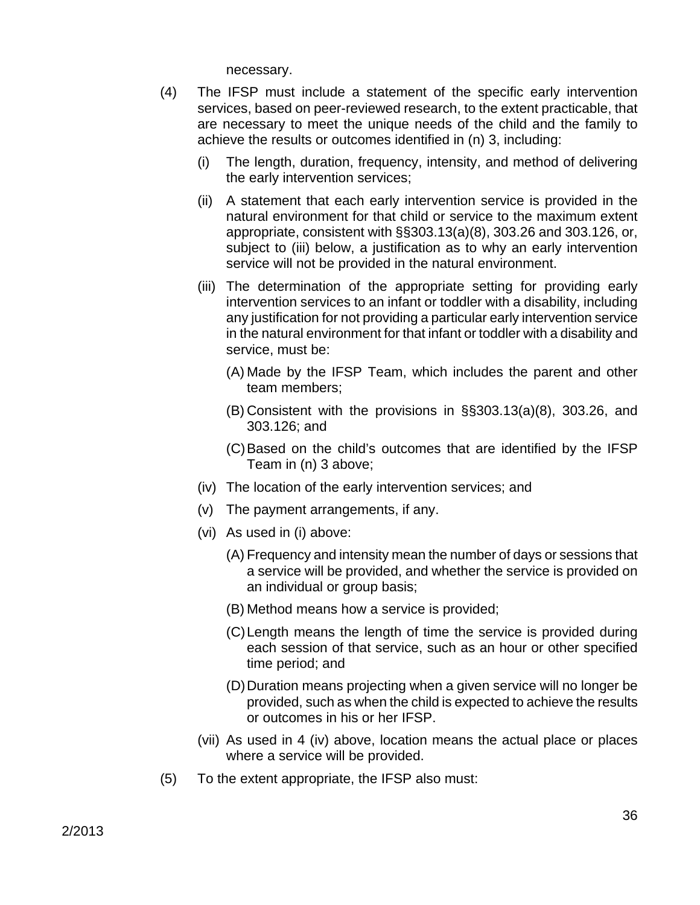necessary.

- (4) The IFSP must include a statement of the specific early intervention services, based on peer-reviewed research, to the extent practicable, that are necessary to meet the unique needs of the child and the family to achieve the results or outcomes identified in (n) 3, including:
	- (i) The length, duration, frequency, intensity, and method of delivering the early intervention services;
	- (ii) A statement that each early intervention service is provided in the natural environment for that child or service to the maximum extent appropriate, consistent with §§303.13(a)(8), 303.26 and 303.126, or, subject to (iii) below, a justification as to why an early intervention service will not be provided in the natural environment.
	- (iii) The determination of the appropriate setting for providing early intervention services to an infant or toddler with a disability, including any justification for not providing a particular early intervention service in the natural environment for that infant or toddler with a disability and service, must be:
		- (A) Made by the IFSP Team, which includes the parent and other team members;
		- (B) Consistent with the provisions in §§303.13(a)(8), 303.26, and 303.126; and
		- (C) Based on the child's outcomes that are identified by the IFSP Team in (n) 3 above;
	- (iv) The location of the early intervention services; and
	- (v) The payment arrangements, if any.
	- (vi) As used in (i) above:
		- (A) Frequency and intensity mean the number of days or sessions that a service will be provided, and whether the service is provided on an individual or group basis;
		- (B) Method means how a service is provided;
		- (C) Length means the length of time the service is provided during each session of that service, such as an hour or other specified time period; and
		- (D) Duration means projecting when a given service will no longer be provided, such as when the child is expected to achieve the results or outcomes in his or her IFSP.
	- (vii) As used in 4 (iv) above, location means the actual place or places where a service will be provided.
- (5) To the extent appropriate, the IFSP also must: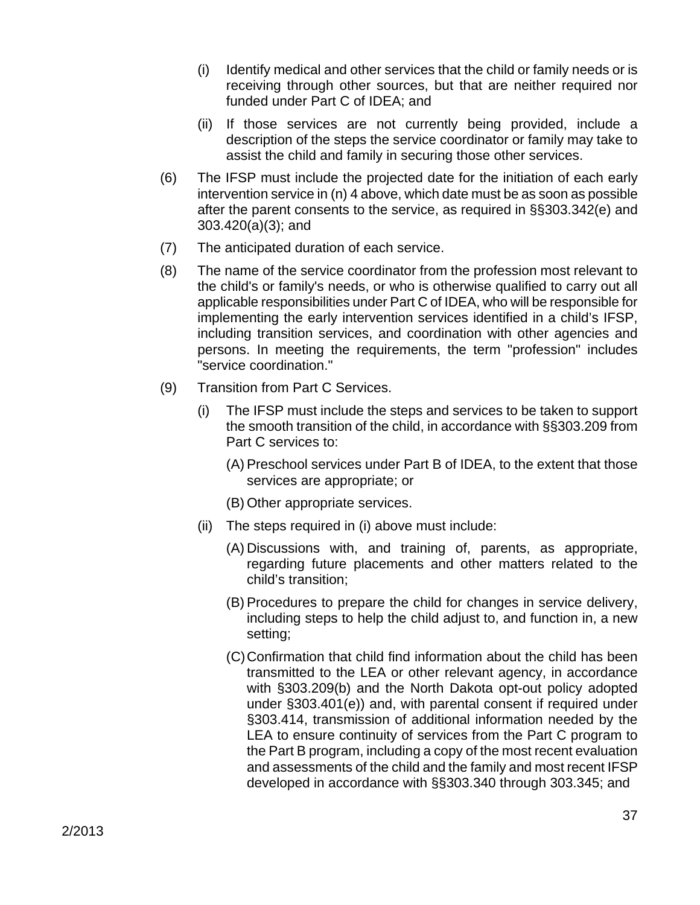- (i) Identify medical and other services that the child or family needs or is receiving through other sources, but that are neither required nor funded under Part C of IDEA; and
- (ii) If those services are not currently being provided, include a description of the steps the service coordinator or family may take to assist the child and family in securing those other services.
- (6) The IFSP must include the projected date for the initiation of each early intervention service in (n) 4 above, which date must be as soon as possible after the parent consents to the service, as required in §§303.342(e) and 303.420(a)(3); and
- (7) The anticipated duration of each service.
- (8) The name of the service coordinator from the profession most relevant to the child's or family's needs, or who is otherwise qualified to carry out all applicable responsibilities under Part C of IDEA, who will be responsible for implementing the early intervention services identified in a child's IFSP, including transition services, and coordination with other agencies and persons. In meeting the requirements, the term "profession" includes "service coordination."
- (9) Transition from Part C Services.
	- (i) The IFSP must include the steps and services to be taken to support the smooth transition of the child, in accordance with §§303.209 from Part C services to:
		- (A) Preschool services under Part B of IDEA, to the extent that those services are appropriate; or
		- (B) Other appropriate services.
	- (ii) The steps required in (i) above must include:
		- (A) Discussions with, and training of, parents, as appropriate, regarding future placements and other matters related to the child's transition;
		- (B) Procedures to prepare the child for changes in service delivery, including steps to help the child adjust to, and function in, a new setting;
		- (C) Confirmation that child find information about the child has been transmitted to the LEA or other relevant agency, in accordance with §303.209(b) and the North Dakota opt-out policy adopted under §303.401(e)) and, with parental consent if required under §303.414, transmission of additional information needed by the LEA to ensure continuity of services from the Part C program to the Part B program, including a copy of the most recent evaluation and assessments of the child and the family and most recent IFSP developed in accordance with §§303.340 through 303.345; and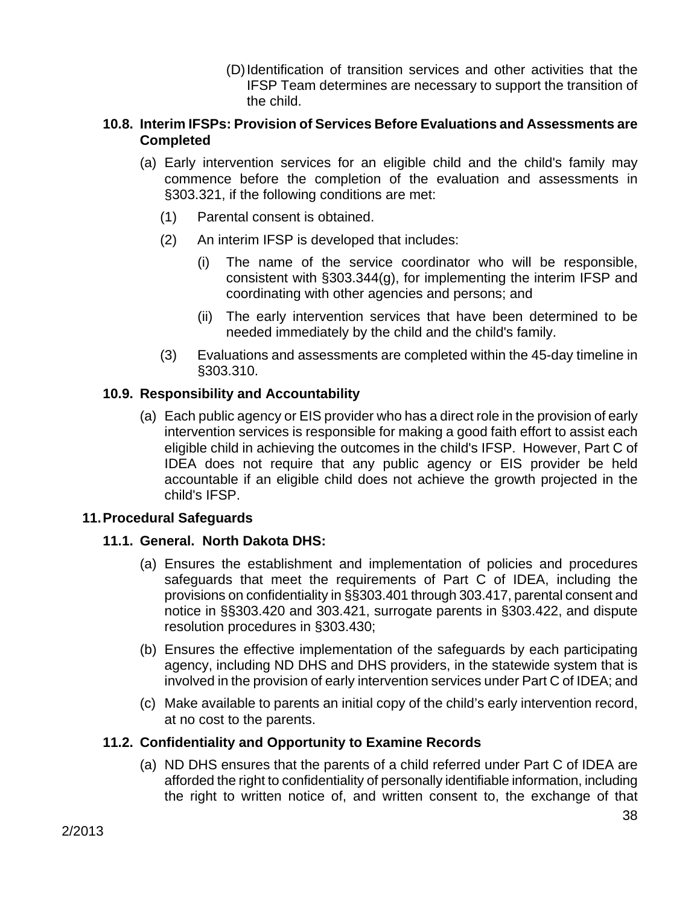(D) Identification of transition services and other activities that the IFSP Team determines are necessary to support the transition of the child.

### **10.8. Interim IFSPs: Provision of Services Before Evaluations and Assessments are Completed**

- (a) Early intervention services for an eligible child and the child's family may commence before the completion of the evaluation and assessments in §303.321, if the following conditions are met:
	- (1) Parental consent is obtained.
	- (2) An interim IFSP is developed that includes:
		- (i) The name of the service coordinator who will be responsible, consistent with §303.344(g), for implementing the interim IFSP and coordinating with other agencies and persons; and
		- (ii) The early intervention services that have been determined to be needed immediately by the child and the child's family.
	- (3) Evaluations and assessments are completed within the 45-day timeline in §303.310.

# **10.9. Responsibility and Accountability**

(a) Each public agency or EIS provider who has a direct role in the provision of early intervention services is responsible for making a good faith effort to assist each eligible child in achieving the outcomes in the child's IFSP. However, Part C of IDEA does not require that any public agency or EIS provider be held accountable if an eligible child does not achieve the growth projected in the child's IFSP.

# **11. Procedural Safeguards**

#### **11.1. General. North Dakota DHS:**

- (a) Ensures the establishment and implementation of policies and procedures safeguards that meet the requirements of Part C of IDEA, including the provisions on confidentiality in §§303.401 through 303.417, parental consent and notice in §§303.420 and 303.421, surrogate parents in §303.422, and dispute resolution procedures in §303.430;
- (b) Ensures the effective implementation of the safeguards by each participating agency, including ND DHS and DHS providers, in the statewide system that is involved in the provision of early intervention services under Part C of IDEA; and
- (c) Make available to parents an initial copy of the child's early intervention record, at no cost to the parents.

#### **11.2. Confidentiality and Opportunity to Examine Records**

(a) ND DHS ensures that the parents of a child referred under Part C of IDEA are afforded the right to confidentiality of personally identifiable information, including the right to written notice of, and written consent to, the exchange of that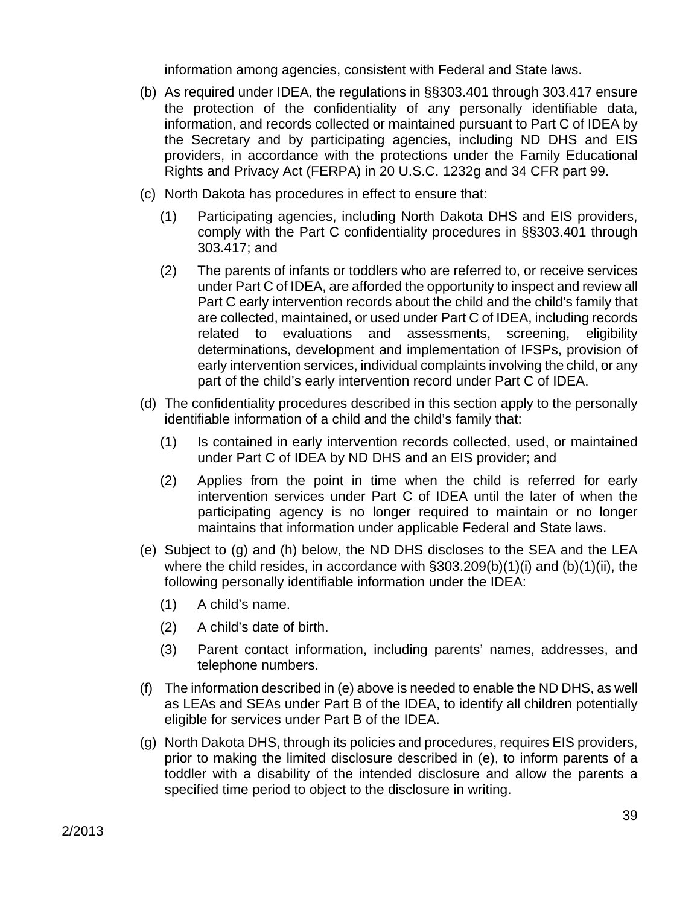information among agencies, consistent with Federal and State laws.

- (b) As required under IDEA, the regulations in §§303.401 through 303.417 ensure the protection of the confidentiality of any personally identifiable data, information, and records collected or maintained pursuant to Part C of IDEA by the Secretary and by participating agencies, including ND DHS and EIS providers, in accordance with the protections under the Family Educational Rights and Privacy Act (FERPA) in 20 U.S.C. 1232g and 34 CFR part 99.
- (c) North Dakota has procedures in effect to ensure that:
	- (1) Participating agencies, including North Dakota DHS and EIS providers, comply with the Part C confidentiality procedures in §§303.401 through 303.417; and
	- (2) The parents of infants or toddlers who are referred to, or receive services under Part C of IDEA, are afforded the opportunity to inspect and review all Part C early intervention records about the child and the child's family that are collected, maintained, or used under Part C of IDEA, including records related to evaluations and assessments, screening, eligibility determinations, development and implementation of IFSPs, provision of early intervention services, individual complaints involving the child, or any part of the child's early intervention record under Part C of IDEA.
- (d) The confidentiality procedures described in this section apply to the personally identifiable information of a child and the child's family that:
	- (1) Is contained in early intervention records collected, used, or maintained under Part C of IDEA by ND DHS and an EIS provider; and
	- (2) Applies from the point in time when the child is referred for early intervention services under Part C of IDEA until the later of when the participating agency is no longer required to maintain or no longer maintains that information under applicable Federal and State laws.
- (e) Subject to (g) and (h) below, the ND DHS discloses to the SEA and the LEA where the child resides, in accordance with §303.209(b)(1)(i) and (b)(1)(ii), the following personally identifiable information under the IDEA:
	- (1) A child's name.
	- (2) A child's date of birth.
	- (3) Parent contact information, including parents' names, addresses, and telephone numbers.
- (f) The information described in (e) above is needed to enable the ND DHS, as well as LEAs and SEAs under Part B of the IDEA, to identify all children potentially eligible for services under Part B of the IDEA.
- (g) North Dakota DHS, through its policies and procedures, requires EIS providers, prior to making the limited disclosure described in (e), to inform parents of a toddler with a disability of the intended disclosure and allow the parents a specified time period to object to the disclosure in writing.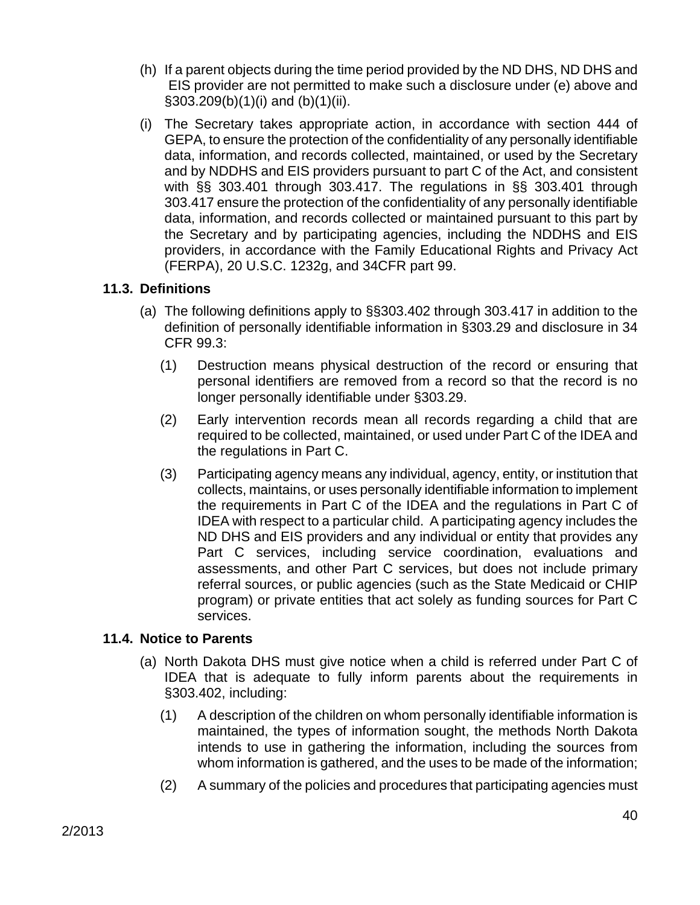- (h) If a parent objects during the time period provided by the ND DHS, ND DHS and EIS provider are not permitted to make such a disclosure under (e) above and §303.209(b)(1)(i) and (b)(1)(ii).
- (i) The Secretary takes appropriate action, in accordance with section 444 of GEPA, to ensure the protection of the confidentiality of any personally identifiable data, information, and records collected, maintained, or used by the Secretary and by NDDHS and EIS providers pursuant to part C of the Act, and consistent with §§ 303.401 through 303.417. The regulations in §§ 303.401 through 303.417 ensure the protection of the confidentiality of any personally identifiable data, information, and records collected or maintained pursuant to this part by the Secretary and by participating agencies, including the NDDHS and EIS providers, in accordance with the Family Educational Rights and Privacy Act (FERPA), 20 U.S.C. 1232g, and 34CFR part 99.

# **11.3. Definitions**

- (a) The following definitions apply to §§303.402 through 303.417 in addition to the definition of personally identifiable information in §303.29 and disclosure in 34 CFR 99.3:
	- (1) Destruction means physical destruction of the record or ensuring that personal identifiers are removed from a record so that the record is no longer personally identifiable under §303.29.
	- (2) Early intervention records mean all records regarding a child that are required to be collected, maintained, or used under Part C of the IDEA and the regulations in Part C.
	- (3) Participating agency means any individual, agency, entity, or institution that collects, maintains, or uses personally identifiable information to implement the requirements in Part C of the IDEA and the regulations in Part C of IDEA with respect to a particular child. A participating agency includes the ND DHS and EIS providers and any individual or entity that provides any Part C services, including service coordination, evaluations and assessments, and other Part C services, but does not include primary referral sources, or public agencies (such as the State Medicaid or CHIP program) or private entities that act solely as funding sources for Part C services.

# **11.4. Notice to Parents**

- (a) North Dakota DHS must give notice when a child is referred under Part C of IDEA that is adequate to fully inform parents about the requirements in §303.402, including:
	- (1) A description of the children on whom personally identifiable information is maintained, the types of information sought, the methods North Dakota intends to use in gathering the information, including the sources from whom information is gathered, and the uses to be made of the information;
	- (2) A summary of the policies and procedures that participating agencies must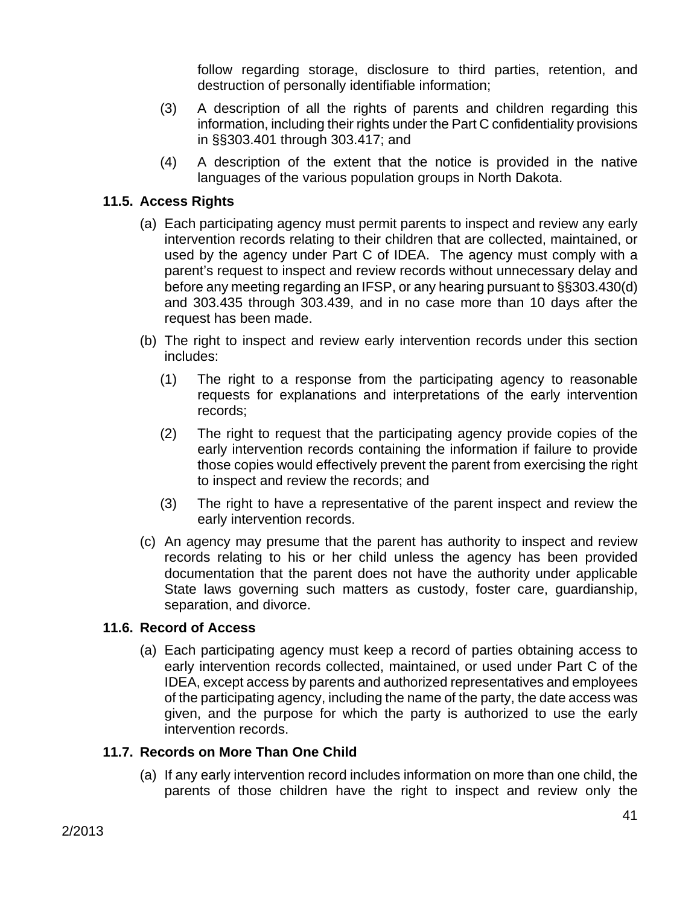follow regarding storage, disclosure to third parties, retention, and destruction of personally identifiable information;

- (3) A description of all the rights of parents and children regarding this information, including their rights under the Part C confidentiality provisions in §§303.401 through 303.417; and
- (4) A description of the extent that the notice is provided in the native languages of the various population groups in North Dakota.

### **11.5. Access Rights**

- (a) Each participating agency must permit parents to inspect and review any early intervention records relating to their children that are collected, maintained, or used by the agency under Part C of IDEA. The agency must comply with a parent's request to inspect and review records without unnecessary delay and before any meeting regarding an IFSP, or any hearing pursuant to §§303.430(d) and 303.435 through 303.439, and in no case more than 10 days after the request has been made.
- (b) The right to inspect and review early intervention records under this section includes:
	- (1) The right to a response from the participating agency to reasonable requests for explanations and interpretations of the early intervention records;
	- (2) The right to request that the participating agency provide copies of the early intervention records containing the information if failure to provide those copies would effectively prevent the parent from exercising the right to inspect and review the records; and
	- (3) The right to have a representative of the parent inspect and review the early intervention records.
- (c) An agency may presume that the parent has authority to inspect and review records relating to his or her child unless the agency has been provided documentation that the parent does not have the authority under applicable State laws governing such matters as custody, foster care, guardianship, separation, and divorce.

#### **11.6. Record of Access**

(a) Each participating agency must keep a record of parties obtaining access to early intervention records collected, maintained, or used under Part C of the IDEA, except access by parents and authorized representatives and employees of the participating agency, including the name of the party, the date access was given, and the purpose for which the party is authorized to use the early intervention records.

#### **11.7. Records on More Than One Child**

(a) If any early intervention record includes information on more than one child, the parents of those children have the right to inspect and review only the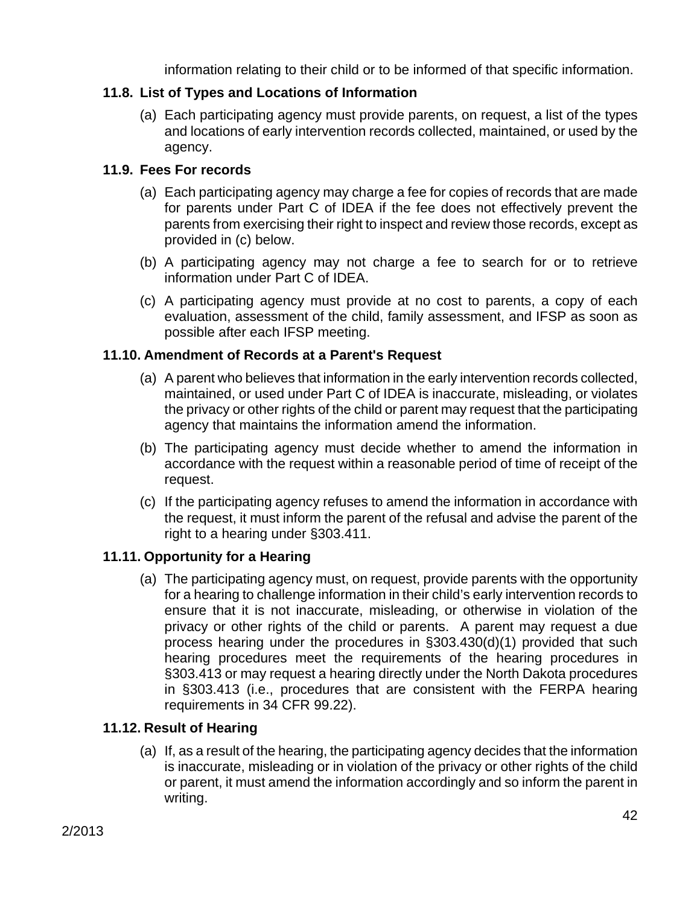information relating to their child or to be informed of that specific information.

# **11.8. List of Types and Locations of Information**

(a) Each participating agency must provide parents, on request, a list of the types and locations of early intervention records collected, maintained, or used by the agency.

### **11.9. Fees For records**

- (a) Each participating agency may charge a fee for copies of records that are made for parents under Part C of IDEA if the fee does not effectively prevent the parents from exercising their right to inspect and review those records, except as provided in (c) below.
- (b) A participating agency may not charge a fee to search for or to retrieve information under Part C of IDEA.
- (c) A participating agency must provide at no cost to parents, a copy of each evaluation, assessment of the child, family assessment, and IFSP as soon as possible after each IFSP meeting.

### **11.10. Amendment of Records at a Parent's Request**

- (a) A parent who believes that information in the early intervention records collected, maintained, or used under Part C of IDEA is inaccurate, misleading, or violates the privacy or other rights of the child or parent may request that the participating agency that maintains the information amend the information.
- (b) The participating agency must decide whether to amend the information in accordance with the request within a reasonable period of time of receipt of the request.
- (c) If the participating agency refuses to amend the information in accordance with the request, it must inform the parent of the refusal and advise the parent of the right to a hearing under §303.411.

# **11.11. Opportunity for a Hearing**

(a) The participating agency must, on request, provide parents with the opportunity for a hearing to challenge information in their child's early intervention records to ensure that it is not inaccurate, misleading, or otherwise in violation of the privacy or other rights of the child or parents. A parent may request a due process hearing under the procedures in §303.430(d)(1) provided that such hearing procedures meet the requirements of the hearing procedures in §303.413 or may request a hearing directly under the North Dakota procedures in §303.413 (i.e., procedures that are consistent with the FERPA hearing requirements in 34 CFR 99.22).

# **11.12. Result of Hearing**

(a) If, as a result of the hearing, the participating agency decides that the information is inaccurate, misleading or in violation of the privacy or other rights of the child or parent, it must amend the information accordingly and so inform the parent in writing.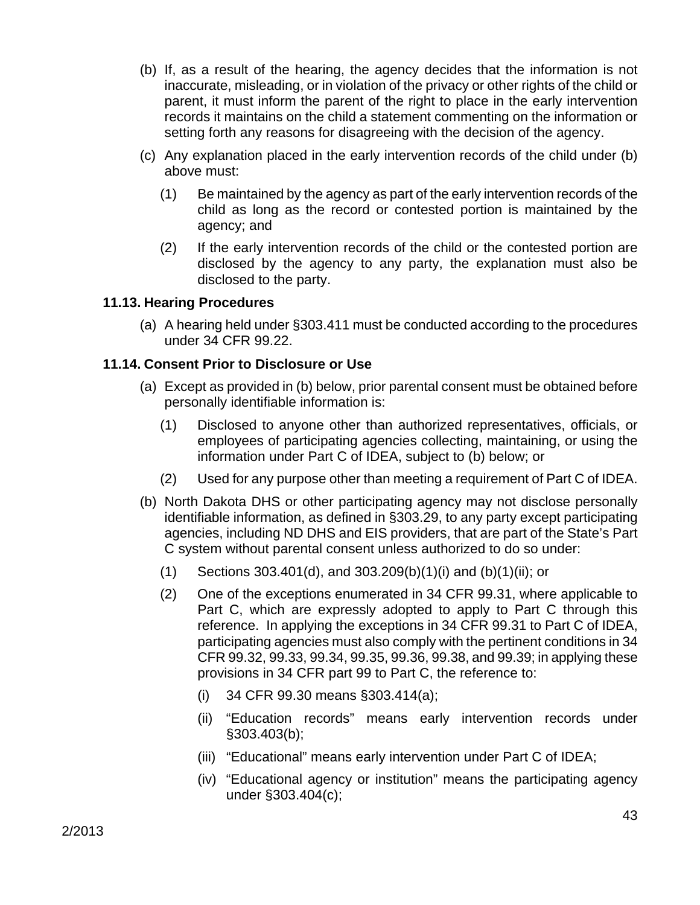- (b) If, as a result of the hearing, the agency decides that the information is not inaccurate, misleading, or in violation of the privacy or other rights of the child or parent, it must inform the parent of the right to place in the early intervention records it maintains on the child a statement commenting on the information or setting forth any reasons for disagreeing with the decision of the agency.
- (c) Any explanation placed in the early intervention records of the child under (b) above must:
	- (1) Be maintained by the agency as part of the early intervention records of the child as long as the record or contested portion is maintained by the agency; and
	- (2) If the early intervention records of the child or the contested portion are disclosed by the agency to any party, the explanation must also be disclosed to the party.

### **11.13. Hearing Procedures**

(a) A hearing held under §303.411 must be conducted according to the procedures under 34 CFR 99.22.

### **11.14. Consent Prior to Disclosure or Use**

- (a) Except as provided in (b) below, prior parental consent must be obtained before personally identifiable information is:
	- (1) Disclosed to anyone other than authorized representatives, officials, or employees of participating agencies collecting, maintaining, or using the information under Part C of IDEA, subject to (b) below; or
	- (2) Used for any purpose other than meeting a requirement of Part C of IDEA.
- (b) North Dakota DHS or other participating agency may not disclose personally identifiable information, as defined in §303.29, to any party except participating agencies, including ND DHS and EIS providers, that are part of the State's Part C system without parental consent unless authorized to do so under:
	- (1) Sections 303.401(d), and 303.209(b)(1)(i) and (b)(1)(ii); or
	- (2) One of the exceptions enumerated in 34 CFR 99.31, where applicable to Part C, which are expressly adopted to apply to Part C through this reference. In applying the exceptions in 34 CFR 99.31 to Part C of IDEA, participating agencies must also comply with the pertinent conditions in 34 CFR 99.32, 99.33, 99.34, 99.35, 99.36, 99.38, and 99.39; in applying these provisions in 34 CFR part 99 to Part C, the reference to:
		- (i) 34 CFR 99.30 means §303.414(a);
		- (ii) "Education records" means early intervention records under §303.403(b);
		- (iii) "Educational" means early intervention under Part C of IDEA;
		- (iv) "Educational agency or institution" means the participating agency under §303.404(c);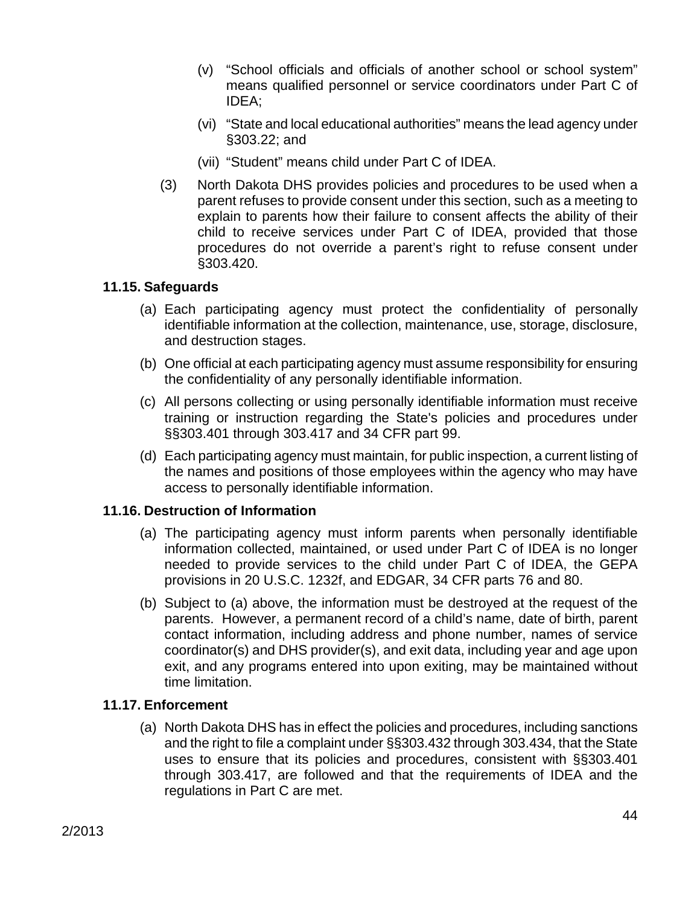- (v) "School officials and officials of another school or school system" means qualified personnel or service coordinators under Part C of IDEA;
- (vi) "State and local educational authorities" means the lead agency under §303.22; and
- (vii) "Student" means child under Part C of IDEA.
- (3) North Dakota DHS provides policies and procedures to be used when a parent refuses to provide consent under this section, such as a meeting to explain to parents how their failure to consent affects the ability of their child to receive services under Part C of IDEA, provided that those procedures do not override a parent's right to refuse consent under §303.420.

#### **11.15. Safeguards**

- (a) Each participating agency must protect the confidentiality of personally identifiable information at the collection, maintenance, use, storage, disclosure, and destruction stages.
- (b) One official at each participating agency must assume responsibility for ensuring the confidentiality of any personally identifiable information.
- (c) All persons collecting or using personally identifiable information must receive training or instruction regarding the State's policies and procedures under §§303.401 through 303.417 and 34 CFR part 99.
- (d) Each participating agency must maintain, for public inspection, a current listing of the names and positions of those employees within the agency who may have access to personally identifiable information.

#### **11.16. Destruction of Information**

- (a) The participating agency must inform parents when personally identifiable information collected, maintained, or used under Part C of IDEA is no longer needed to provide services to the child under Part C of IDEA, the GEPA provisions in 20 U.S.C. 1232f, and EDGAR, 34 CFR parts 76 and 80.
- (b) Subject to (a) above, the information must be destroyed at the request of the parents. However, a permanent record of a child's name, date of birth, parent contact information, including address and phone number, names of service coordinator(s) and DHS provider(s), and exit data, including year and age upon exit, and any programs entered into upon exiting, may be maintained without time limitation.

#### **11.17. Enforcement**

(a) North Dakota DHS has in effect the policies and procedures, including sanctions and the right to file a complaint under §§303.432 through 303.434, that the State uses to ensure that its policies and procedures, consistent with §§303.401 through 303.417, are followed and that the requirements of IDEA and the regulations in Part C are met.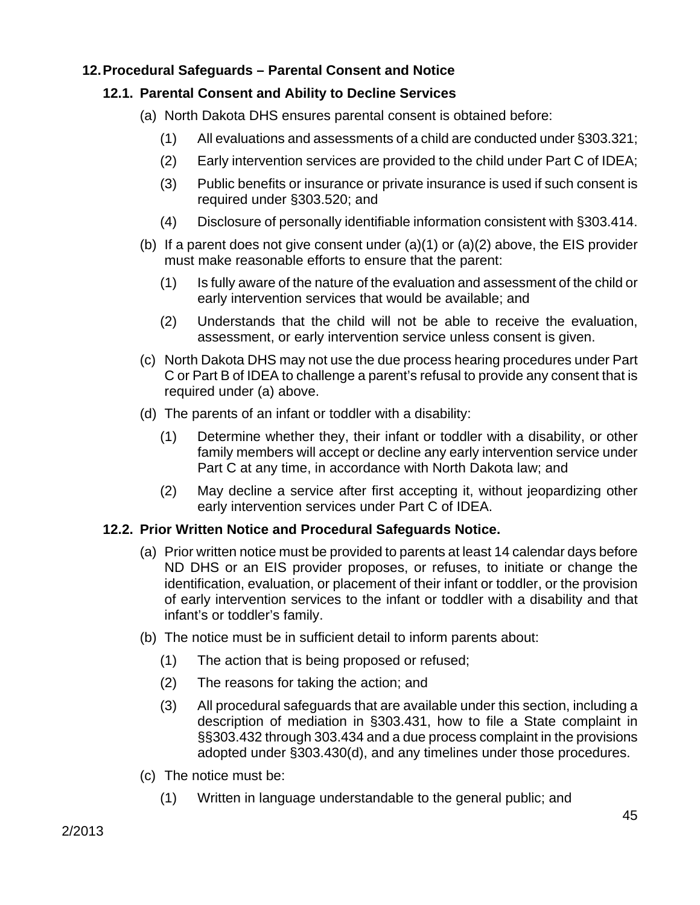# **12. Procedural Safeguards – Parental Consent and Notice**

# **12.1. Parental Consent and Ability to Decline Services**

- (a) North Dakota DHS ensures parental consent is obtained before:
	- (1) All evaluations and assessments of a child are conducted under §303.321;
	- (2) Early intervention services are provided to the child under Part C of IDEA;
	- (3) Public benefits or insurance or private insurance is used if such consent is required under §303.520; and
	- (4) Disclosure of personally identifiable information consistent with §303.414.
- (b) If a parent does not give consent under  $(a)(1)$  or  $(a)(2)$  above, the EIS provider must make reasonable efforts to ensure that the parent:
	- (1) Is fully aware of the nature of the evaluation and assessment of the child or early intervention services that would be available; and
	- (2) Understands that the child will not be able to receive the evaluation, assessment, or early intervention service unless consent is given.
- (c) North Dakota DHS may not use the due process hearing procedures under Part C or Part B of IDEA to challenge a parent's refusal to provide any consent that is required under (a) above.
- (d) The parents of an infant or toddler with a disability:
	- (1) Determine whether they, their infant or toddler with a disability, or other family members will accept or decline any early intervention service under Part C at any time, in accordance with North Dakota law; and
	- (2) May decline a service after first accepting it, without jeopardizing other early intervention services under Part C of IDEA.

# **12.2. Prior Written Notice and Procedural Safeguards Notice.**

- (a) Prior written notice must be provided to parents at least 14 calendar days before ND DHS or an EIS provider proposes, or refuses, to initiate or change the identification, evaluation, or placement of their infant or toddler, or the provision of early intervention services to the infant or toddler with a disability and that infant's or toddler's family.
- (b) The notice must be in sufficient detail to inform parents about:
	- (1) The action that is being proposed or refused;
	- (2) The reasons for taking the action; and
	- (3) All procedural safeguards that are available under this section, including a description of mediation in §303.431, how to file a State complaint in §§303.432 through 303.434 and a due process complaint in the provisions adopted under §303.430(d), and any timelines under those procedures.
- (c) The notice must be:
	- (1) Written in language understandable to the general public; and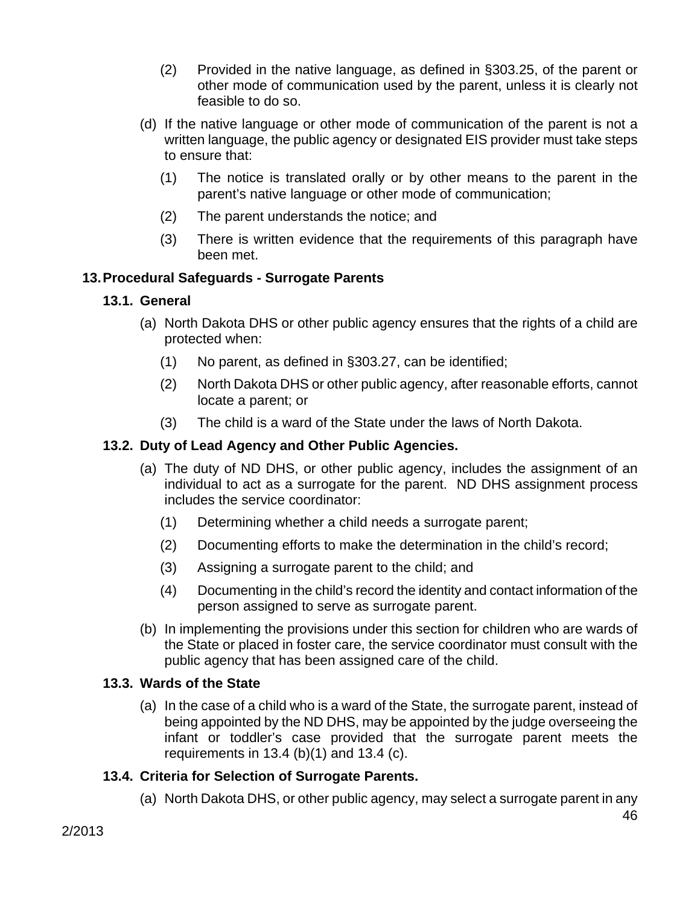- (2) Provided in the native language, as defined in §303.25, of the parent or other mode of communication used by the parent, unless it is clearly not feasible to do so.
- (d) If the native language or other mode of communication of the parent is not a written language, the public agency or designated EIS provider must take steps to ensure that:
	- (1) The notice is translated orally or by other means to the parent in the parent's native language or other mode of communication;
	- (2) The parent understands the notice; and
	- (3) There is written evidence that the requirements of this paragraph have been met.

# **13. Procedural Safeguards - Surrogate Parents**

# **13.1. General**

- (a) North Dakota DHS or other public agency ensures that the rights of a child are protected when:
	- (1) No parent, as defined in §303.27, can be identified;
	- (2) North Dakota DHS or other public agency, after reasonable efforts, cannot locate a parent; or
	- (3) The child is a ward of the State under the laws of North Dakota.

# **13.2. Duty of Lead Agency and Other Public Agencies.**

- (a) The duty of ND DHS, or other public agency, includes the assignment of an individual to act as a surrogate for the parent. ND DHS assignment process includes the service coordinator:
	- (1) Determining whether a child needs a surrogate parent;
	- (2) Documenting efforts to make the determination in the child's record;
	- (3) Assigning a surrogate parent to the child; and
	- (4) Documenting in the child's record the identity and contact information of the person assigned to serve as surrogate parent.
- (b) In implementing the provisions under this section for children who are wards of the State or placed in foster care, the service coordinator must consult with the public agency that has been assigned care of the child.

# **13.3. Wards of the State**

(a) In the case of a child who is a ward of the State, the surrogate parent, instead of being appointed by the ND DHS, may be appointed by the judge overseeing the infant or toddler's case provided that the surrogate parent meets the requirements in 13.4 (b)(1) and 13.4 (c).

# **13.4. Criteria for Selection of Surrogate Parents.**

(a) North Dakota DHS, or other public agency, may select a surrogate parent in any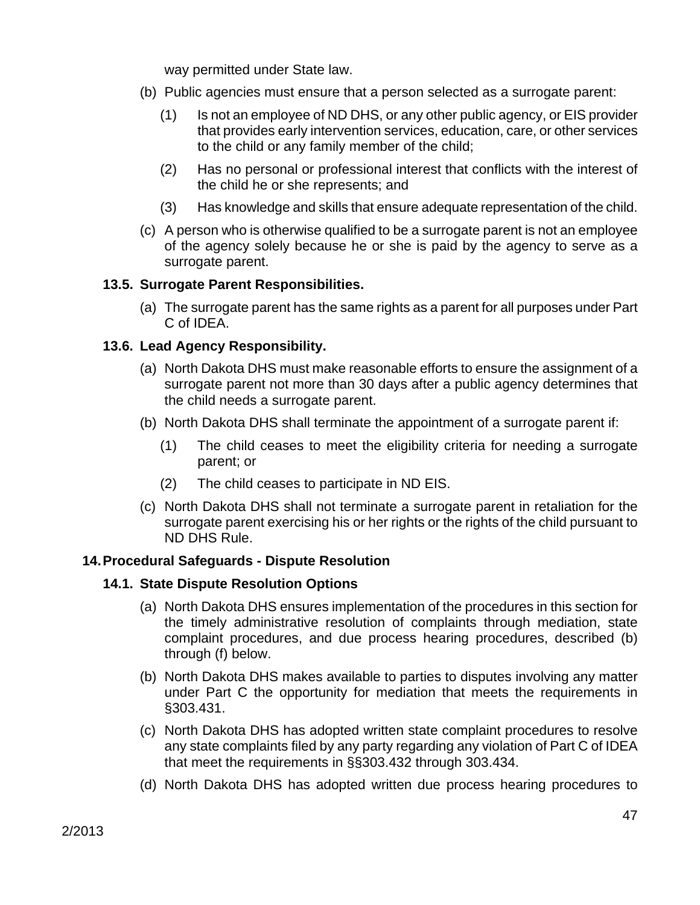way permitted under State law.

- (b) Public agencies must ensure that a person selected as a surrogate parent:
	- (1) Is not an employee of ND DHS, or any other public agency, or EIS provider that provides early intervention services, education, care, or other services to the child or any family member of the child;
	- (2) Has no personal or professional interest that conflicts with the interest of the child he or she represents; and
	- (3) Has knowledge and skills that ensure adequate representation of the child.
- (c) A person who is otherwise qualified to be a surrogate parent is not an employee of the agency solely because he or she is paid by the agency to serve as a surrogate parent.

### **13.5. Surrogate Parent Responsibilities.**

(a) The surrogate parent has the same rights as a parent for all purposes under Part C of IDEA.

### **13.6. Lead Agency Responsibility.**

- (a) North Dakota DHS must make reasonable efforts to ensure the assignment of a surrogate parent not more than 30 days after a public agency determines that the child needs a surrogate parent.
- (b) North Dakota DHS shall terminate the appointment of a surrogate parent if:
	- (1) The child ceases to meet the eligibility criteria for needing a surrogate parent; or
	- (2) The child ceases to participate in ND EIS.
- (c) North Dakota DHS shall not terminate a surrogate parent in retaliation for the surrogate parent exercising his or her rights or the rights of the child pursuant to ND DHS Rule.

#### **14. Procedural Safeguards - Dispute Resolution**

#### **14.1. State Dispute Resolution Options**

- (a) North Dakota DHS ensures implementation of the procedures in this section for the timely administrative resolution of complaints through mediation, state complaint procedures, and due process hearing procedures, described (b) through (f) below.
- (b) North Dakota DHS makes available to parties to disputes involving any matter under Part C the opportunity for mediation that meets the requirements in §303.431.
- (c) North Dakota DHS has adopted written state complaint procedures to resolve any state complaints filed by any party regarding any violation of Part C of IDEA that meet the requirements in §§303.432 through 303.434.
- (d) North Dakota DHS has adopted written due process hearing procedures to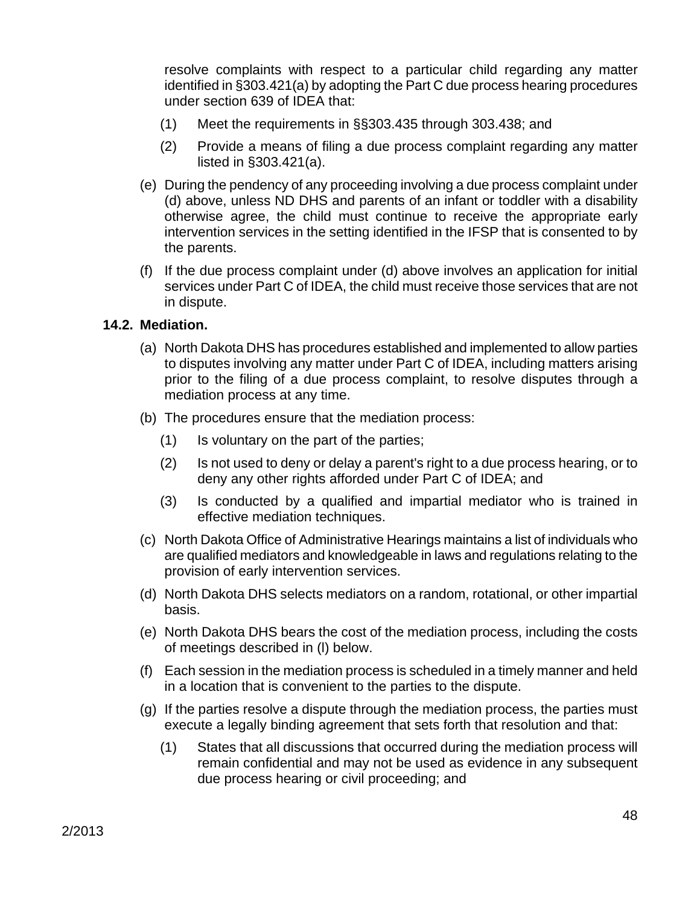resolve complaints with respect to a particular child regarding any matter identified in §303.421(a) by adopting the Part C due process hearing procedures under section 639 of IDEA that:

- (1) Meet the requirements in §§303.435 through 303.438; and
- (2) Provide a means of filing a due process complaint regarding any matter listed in §303.421(a).
- (e) During the pendency of any proceeding involving a due process complaint under (d) above, unless ND DHS and parents of an infant or toddler with a disability otherwise agree, the child must continue to receive the appropriate early intervention services in the setting identified in the IFSP that is consented to by the parents.
- (f) If the due process complaint under (d) above involves an application for initial services under Part C of IDEA, the child must receive those services that are not in dispute.

#### **14.2. Mediation.**

- (a) North Dakota DHS has procedures established and implemented to allow parties to disputes involving any matter under Part C of IDEA, including matters arising prior to the filing of a due process complaint, to resolve disputes through a mediation process at any time.
- (b) The procedures ensure that the mediation process:
	- (1) Is voluntary on the part of the parties;
	- (2) Is not used to deny or delay a parent's right to a due process hearing, or to deny any other rights afforded under Part C of IDEA; and
	- (3) Is conducted by a qualified and impartial mediator who is trained in effective mediation techniques.
- (c) North Dakota Office of Administrative Hearings maintains a list of individuals who are qualified mediators and knowledgeable in laws and regulations relating to the provision of early intervention services.
- (d) North Dakota DHS selects mediators on a random, rotational, or other impartial basis.
- (e) North Dakota DHS bears the cost of the mediation process, including the costs of meetings described in (l) below.
- (f) Each session in the mediation process is scheduled in a timely manner and held in a location that is convenient to the parties to the dispute.
- (g) If the parties resolve a dispute through the mediation process, the parties must execute a legally binding agreement that sets forth that resolution and that:
	- (1) States that all discussions that occurred during the mediation process will remain confidential and may not be used as evidence in any subsequent due process hearing or civil proceeding; and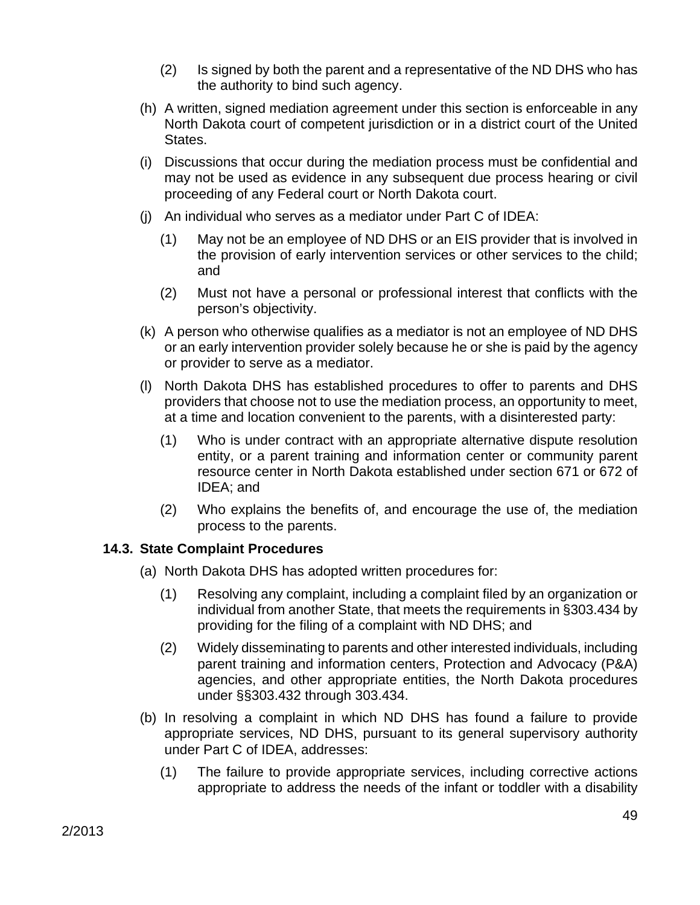- (2) Is signed by both the parent and a representative of the ND DHS who has the authority to bind such agency.
- (h) A written, signed mediation agreement under this section is enforceable in any North Dakota court of competent jurisdiction or in a district court of the United States.
- (i) Discussions that occur during the mediation process must be confidential and may not be used as evidence in any subsequent due process hearing or civil proceeding of any Federal court or North Dakota court.
- (j) An individual who serves as a mediator under Part C of IDEA:
	- (1) May not be an employee of ND DHS or an EIS provider that is involved in the provision of early intervention services or other services to the child; and
	- (2) Must not have a personal or professional interest that conflicts with the person's objectivity.
- (k) A person who otherwise qualifies as a mediator is not an employee of ND DHS or an early intervention provider solely because he or she is paid by the agency or provider to serve as a mediator.
- (l) North Dakota DHS has established procedures to offer to parents and DHS providers that choose not to use the mediation process, an opportunity to meet, at a time and location convenient to the parents, with a disinterested party:
	- (1) Who is under contract with an appropriate alternative dispute resolution entity, or a parent training and information center or community parent resource center in North Dakota established under section 671 or 672 of IDEA; and
	- (2) Who explains the benefits of, and encourage the use of, the mediation process to the parents.

# **14.3. State Complaint Procedures**

- (a) North Dakota DHS has adopted written procedures for:
	- (1) Resolving any complaint, including a complaint filed by an organization or individual from another State, that meets the requirements in §303.434 by providing for the filing of a complaint with ND DHS; and
	- (2) Widely disseminating to parents and other interested individuals, including parent training and information centers, Protection and Advocacy (P&A) agencies, and other appropriate entities, the North Dakota procedures under §§303.432 through 303.434.
- (b) In resolving a complaint in which ND DHS has found a failure to provide appropriate services, ND DHS, pursuant to its general supervisory authority under Part C of IDEA, addresses:
	- (1) The failure to provide appropriate services, including corrective actions appropriate to address the needs of the infant or toddler with a disability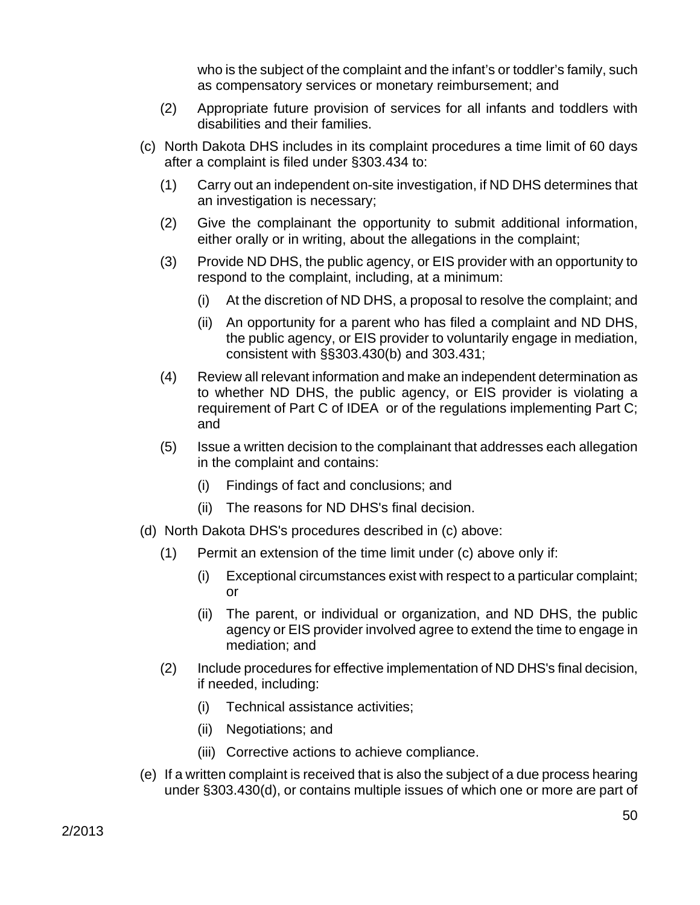who is the subject of the complaint and the infant's or toddler's family, such as compensatory services or monetary reimbursement; and

- (2) Appropriate future provision of services for all infants and toddlers with disabilities and their families.
- (c) North Dakota DHS includes in its complaint procedures a time limit of 60 days after a complaint is filed under §303.434 to:
	- (1) Carry out an independent on-site investigation, if ND DHS determines that an investigation is necessary;
	- (2) Give the complainant the opportunity to submit additional information, either orally or in writing, about the allegations in the complaint;
	- (3) Provide ND DHS, the public agency, or EIS provider with an opportunity to respond to the complaint, including, at a minimum:
		- (i) At the discretion of ND DHS, a proposal to resolve the complaint; and
		- (ii) An opportunity for a parent who has filed a complaint and ND DHS, the public agency, or EIS provider to voluntarily engage in mediation, consistent with §§303.430(b) and 303.431;
	- (4) Review all relevant information and make an independent determination as to whether ND DHS, the public agency, or EIS provider is violating a requirement of Part C of IDEA or of the regulations implementing Part C; and
	- (5) Issue a written decision to the complainant that addresses each allegation in the complaint and contains:
		- (i) Findings of fact and conclusions; and
		- (ii) The reasons for ND DHS's final decision.
- (d) North Dakota DHS's procedures described in (c) above:
	- (1) Permit an extension of the time limit under (c) above only if:
		- (i) Exceptional circumstances exist with respect to a particular complaint; or
		- (ii) The parent, or individual or organization, and ND DHS, the public agency or EIS provider involved agree to extend the time to engage in mediation; and
	- (2) Include procedures for effective implementation of ND DHS's final decision, if needed, including:
		- (i) Technical assistance activities;
		- (ii) Negotiations; and
		- (iii) Corrective actions to achieve compliance.
- (e) If a written complaint is received that is also the subject of a due process hearing under §303.430(d), or contains multiple issues of which one or more are part of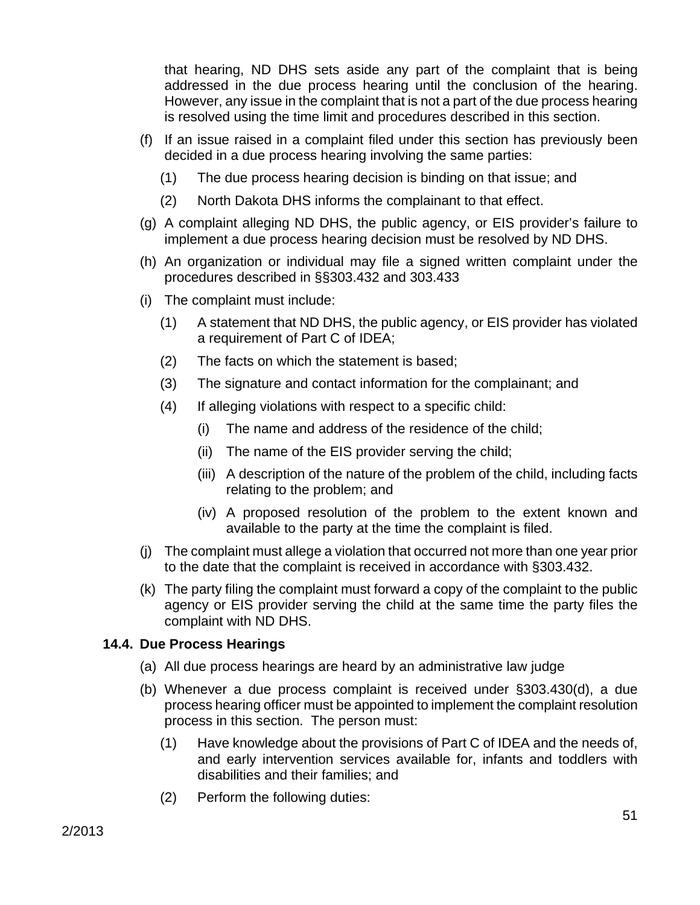that hearing, ND DHS sets aside any part of the complaint that is being addressed in the due process hearing until the conclusion of the hearing. However, any issue in the complaint that is not a part of the due process hearing is resolved using the time limit and procedures described in this section.

- (f) If an issue raised in a complaint filed under this section has previously been decided in a due process hearing involving the same parties:
	- (1) The due process hearing decision is binding on that issue; and
	- (2) North Dakota DHS informs the complainant to that effect.
- (g) A complaint alleging ND DHS, the public agency, or EIS provider's failure to implement a due process hearing decision must be resolved by ND DHS.
- (h) An organization or individual may file a signed written complaint under the procedures described in §§303.432 and 303.433
- (i) The complaint must include:
	- (1) A statement that ND DHS, the public agency, or EIS provider has violated a requirement of Part C of IDEA;
	- (2) The facts on which the statement is based;
	- (3) The signature and contact information for the complainant; and
	- (4) If alleging violations with respect to a specific child:
		- (i) The name and address of the residence of the child;
		- (ii) The name of the EIS provider serving the child;
		- (iii) A description of the nature of the problem of the child, including facts relating to the problem; and
		- (iv) A proposed resolution of the problem to the extent known and available to the party at the time the complaint is filed.
- (j) The complaint must allege a violation that occurred not more than one year prior to the date that the complaint is received in accordance with §303.432.
- (k) The party filing the complaint must forward a copy of the complaint to the public agency or EIS provider serving the child at the same time the party files the complaint with ND DHS.

#### **14.4. Due Process Hearings**

- (a) All due process hearings are heard by an administrative law judge
- (b) Whenever a due process complaint is received under §303.430(d), a due process hearing officer must be appointed to implement the complaint resolution process in this section. The person must:
	- (1) Have knowledge about the provisions of Part C of IDEA and the needs of, and early intervention services available for, infants and toddlers with disabilities and their families; and
	- (2) Perform the following duties: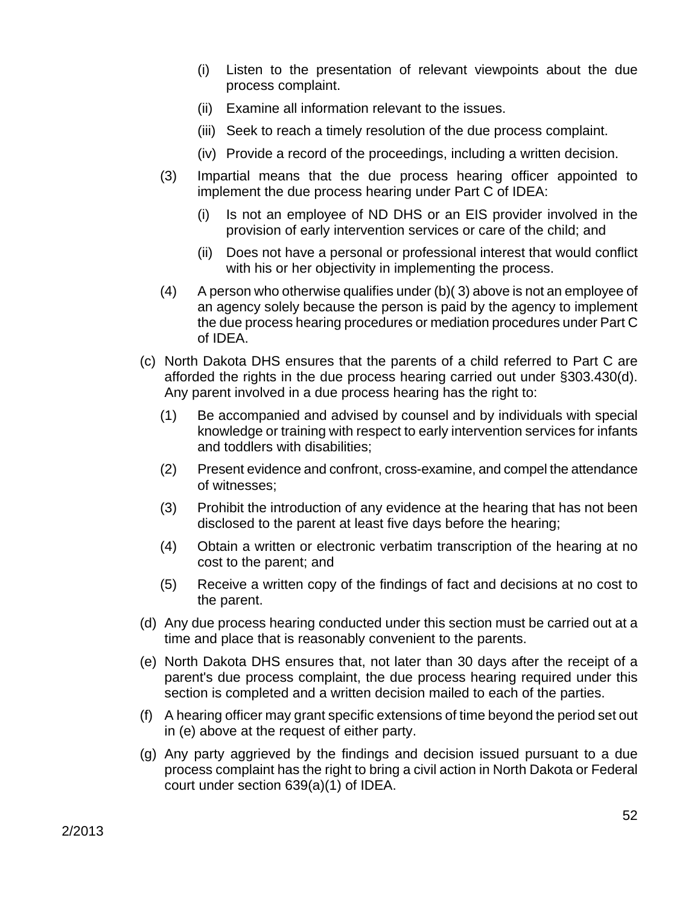- (i) Listen to the presentation of relevant viewpoints about the due process complaint.
- (ii) Examine all information relevant to the issues.
- (iii) Seek to reach a timely resolution of the due process complaint.
- (iv) Provide a record of the proceedings, including a written decision.
- (3) Impartial means that the due process hearing officer appointed to implement the due process hearing under Part C of IDEA:
	- (i) Is not an employee of ND DHS or an EIS provider involved in the provision of early intervention services or care of the child; and
	- (ii) Does not have a personal or professional interest that would conflict with his or her objectivity in implementing the process.
- (4) A person who otherwise qualifies under (b)( 3) above is not an employee of an agency solely because the person is paid by the agency to implement the due process hearing procedures or mediation procedures under Part C of IDEA.
- (c) North Dakota DHS ensures that the parents of a child referred to Part C are afforded the rights in the due process hearing carried out under §303.430(d). Any parent involved in a due process hearing has the right to:
	- (1) Be accompanied and advised by counsel and by individuals with special knowledge or training with respect to early intervention services for infants and toddlers with disabilities;
	- (2) Present evidence and confront, cross-examine, and compel the attendance of witnesses;
	- (3) Prohibit the introduction of any evidence at the hearing that has not been disclosed to the parent at least five days before the hearing;
	- (4) Obtain a written or electronic verbatim transcription of the hearing at no cost to the parent; and
	- (5) Receive a written copy of the findings of fact and decisions at no cost to the parent.
- (d) Any due process hearing conducted under this section must be carried out at a time and place that is reasonably convenient to the parents.
- (e) North Dakota DHS ensures that, not later than 30 days after the receipt of a parent's due process complaint, the due process hearing required under this section is completed and a written decision mailed to each of the parties.
- (f) A hearing officer may grant specific extensions of time beyond the period set out in (e) above at the request of either party.
- (g) Any party aggrieved by the findings and decision issued pursuant to a due process complaint has the right to bring a civil action in North Dakota or Federal court under section 639(a)(1) of IDEA.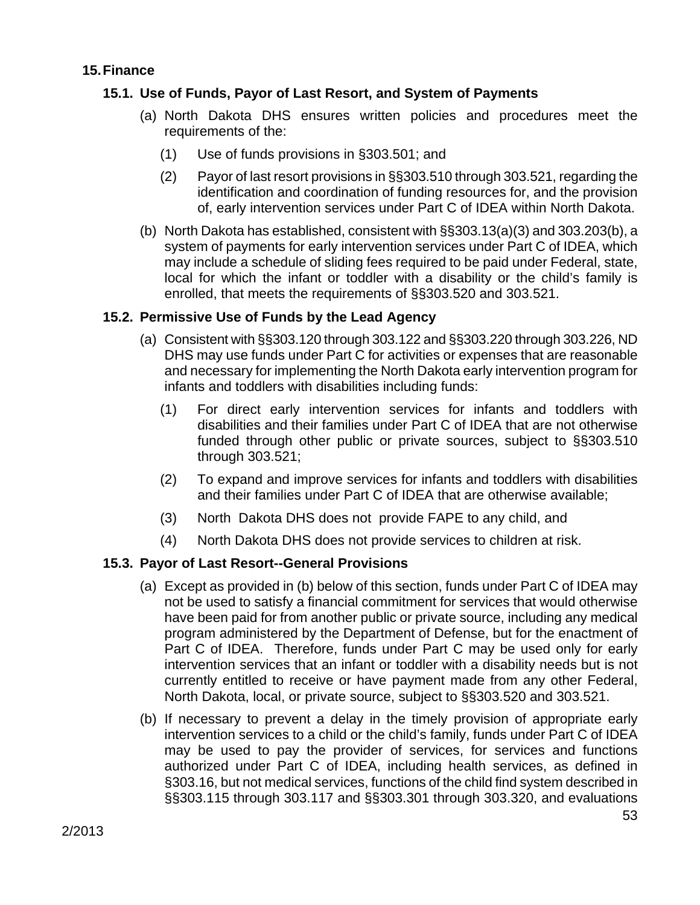#### **15. Finance**

# **15.1. Use of Funds, Payor of Last Resort, and System of Payments**

- (a) North Dakota DHS ensures written policies and procedures meet the requirements of the:
	- (1) Use of funds provisions in §303.501; and
	- (2) Payor of last resort provisions in §§303.510 through 303.521, regarding the identification and coordination of funding resources for, and the provision of, early intervention services under Part C of IDEA within North Dakota.
- (b) North Dakota has established, consistent with §§303.13(a)(3) and 303.203(b), a system of payments for early intervention services under Part C of IDEA, which may include a schedule of sliding fees required to be paid under Federal, state, local for which the infant or toddler with a disability or the child's family is enrolled, that meets the requirements of §§303.520 and 303.521.

# **15.2. Permissive Use of Funds by the Lead Agency**

- (a) Consistent with §§303.120 through 303.122 and §§303.220 through 303.226, ND DHS may use funds under Part C for activities or expenses that are reasonable and necessary for implementing the North Dakota early intervention program for infants and toddlers with disabilities including funds:
	- (1) For direct early intervention services for infants and toddlers with disabilities and their families under Part C of IDEA that are not otherwise funded through other public or private sources, subject to §§303.510 through 303.521;
	- (2) To expand and improve services for infants and toddlers with disabilities and their families under Part C of IDEA that are otherwise available;
	- (3) North Dakota DHS does not provide FAPE to any child, and
	- (4) North Dakota DHS does not provide services to children at risk.

# **15.3. Payor of Last Resort--General Provisions**

- (a) Except as provided in (b) below of this section, funds under Part C of IDEA may not be used to satisfy a financial commitment for services that would otherwise have been paid for from another public or private source, including any medical program administered by the Department of Defense, but for the enactment of Part C of IDEA. Therefore, funds under Part C may be used only for early intervention services that an infant or toddler with a disability needs but is not currently entitled to receive or have payment made from any other Federal, North Dakota, local, or private source, subject to §§303.520 and 303.521.
- (b) If necessary to prevent a delay in the timely provision of appropriate early intervention services to a child or the child's family, funds under Part C of IDEA may be used to pay the provider of services, for services and functions authorized under Part C of IDEA, including health services, as defined in §303.16, but not medical services, functions of the child find system described in §§303.115 through 303.117 and §§303.301 through 303.320, and evaluations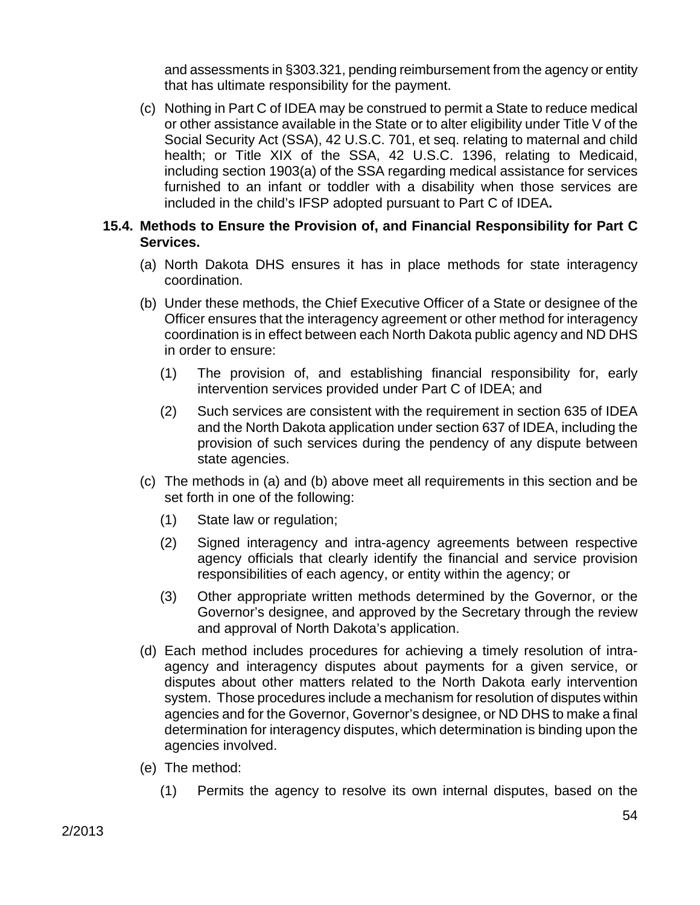and assessments in §303.321, pending reimbursement from the agency or entity that has ultimate responsibility for the payment.

(c) Nothing in Part C of IDEA may be construed to permit a State to reduce medical or other assistance available in the State or to alter eligibility under Title V of the Social Security Act (SSA), 42 U.S.C. 701, et seq. relating to maternal and child health; or Title XIX of the SSA, 42 U.S.C. 1396, relating to Medicaid, including section 1903(a) of the SSA regarding medical assistance for services furnished to an infant or toddler with a disability when those services are included in the child's IFSP adopted pursuant to Part C of IDEA**.** 

#### **15.4. Methods to Ensure the Provision of, and Financial Responsibility for Part C Services.**

- (a) North Dakota DHS ensures it has in place methods for state interagency coordination.
- (b) Under these methods, the Chief Executive Officer of a State or designee of the Officer ensures that the interagency agreement or other method for interagency coordination is in effect between each North Dakota public agency and ND DHS in order to ensure:
	- (1) The provision of, and establishing financial responsibility for, early intervention services provided under Part C of IDEA; and
	- (2) Such services are consistent with the requirement in section 635 of IDEA and the North Dakota application under section 637 of IDEA, including the provision of such services during the pendency of any dispute between state agencies.
- (c) The methods in (a) and (b) above meet all requirements in this section and be set forth in one of the following:
	- (1) State law or regulation;
	- (2) Signed interagency and intra-agency agreements between respective agency officials that clearly identify the financial and service provision responsibilities of each agency, or entity within the agency; or
	- (3) Other appropriate written methods determined by the Governor, or the Governor's designee, and approved by the Secretary through the review and approval of North Dakota's application.
- (d) Each method includes procedures for achieving a timely resolution of intraagency and interagency disputes about payments for a given service, or disputes about other matters related to the North Dakota early intervention system. Those procedures include a mechanism for resolution of disputes within agencies and for the Governor, Governor's designee, or ND DHS to make a final determination for interagency disputes, which determination is binding upon the agencies involved.
- (e) The method:
	- (1) Permits the agency to resolve its own internal disputes, based on the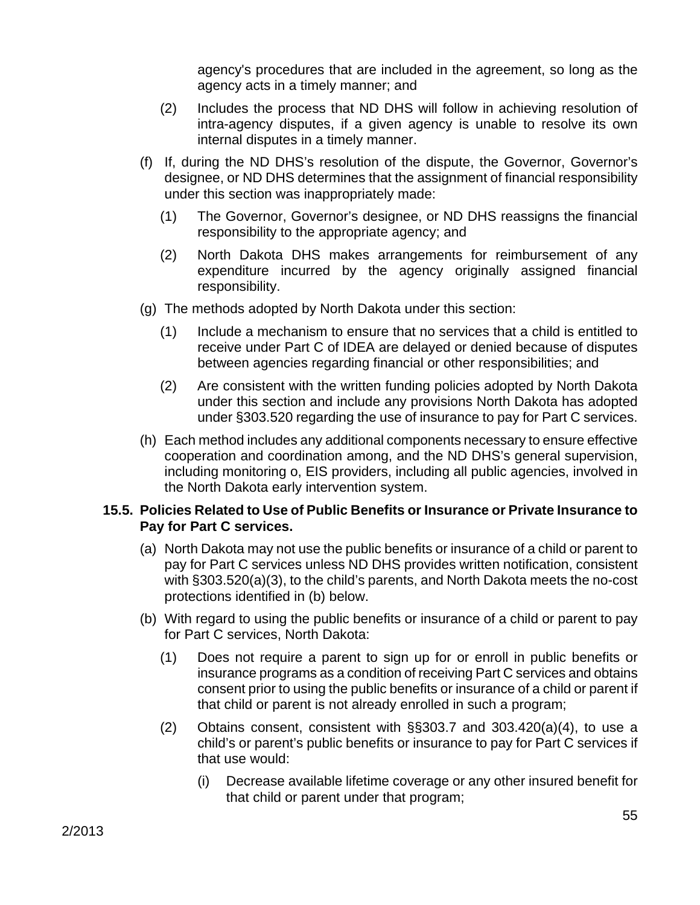agency's procedures that are included in the agreement, so long as the agency acts in a timely manner; and

- (2) Includes the process that ND DHS will follow in achieving resolution of intra-agency disputes, if a given agency is unable to resolve its own internal disputes in a timely manner.
- (f) If, during the ND DHS's resolution of the dispute, the Governor, Governor's designee, or ND DHS determines that the assignment of financial responsibility under this section was inappropriately made:
	- (1) The Governor, Governor's designee, or ND DHS reassigns the financial responsibility to the appropriate agency; and
	- (2) North Dakota DHS makes arrangements for reimbursement of any expenditure incurred by the agency originally assigned financial responsibility.
- (g) The methods adopted by North Dakota under this section:
	- (1) Include a mechanism to ensure that no services that a child is entitled to receive under Part C of IDEA are delayed or denied because of disputes between agencies regarding financial or other responsibilities; and
	- (2) Are consistent with the written funding policies adopted by North Dakota under this section and include any provisions North Dakota has adopted under §303.520 regarding the use of insurance to pay for Part C services.
- (h) Each method includes any additional components necessary to ensure effective cooperation and coordination among, and the ND DHS's general supervision, including monitoring o, EIS providers, including all public agencies, involved in the North Dakota early intervention system.

### **15.5. Policies Related to Use of Public Benefits or Insurance or Private Insurance to Pay for Part C services.**

- (a) North Dakota may not use the public benefits or insurance of a child or parent to pay for Part C services unless ND DHS provides written notification, consistent with §303.520(a)(3), to the child's parents, and North Dakota meets the no-cost protections identified in (b) below.
- (b) With regard to using the public benefits or insurance of a child or parent to pay for Part C services, North Dakota:
	- (1) Does not require a parent to sign up for or enroll in public benefits or insurance programs as a condition of receiving Part C services and obtains consent prior to using the public benefits or insurance of a child or parent if that child or parent is not already enrolled in such a program;
	- (2) Obtains consent, consistent with §§303.7 and 303.420(a)(4), to use a child's or parent's public benefits or insurance to pay for Part C services if that use would:
		- (i) Decrease available lifetime coverage or any other insured benefit for that child or parent under that program;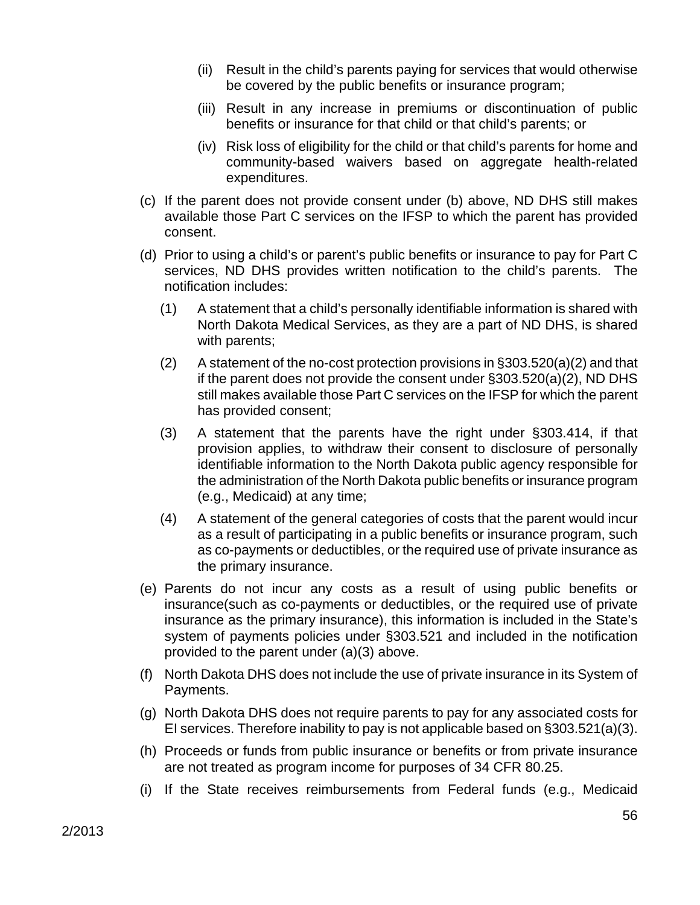- (ii) Result in the child's parents paying for services that would otherwise be covered by the public benefits or insurance program;
- (iii) Result in any increase in premiums or discontinuation of public benefits or insurance for that child or that child's parents; or
- (iv) Risk loss of eligibility for the child or that child's parents for home and community-based waivers based on aggregate health-related expenditures.
- (c) If the parent does not provide consent under (b) above, ND DHS still makes available those Part C services on the IFSP to which the parent has provided consent.
- (d) Prior to using a child's or parent's public benefits or insurance to pay for Part C services, ND DHS provides written notification to the child's parents. The notification includes:
	- (1) A statement that a child's personally identifiable information is shared with North Dakota Medical Services, as they are a part of ND DHS, is shared with parents;
	- (2) A statement of the no-cost protection provisions in §303.520(a)(2) and that if the parent does not provide the consent under §303.520(a)(2), ND DHS still makes available those Part C services on the IFSP for which the parent has provided consent;
	- (3) A statement that the parents have the right under §303.414, if that provision applies, to withdraw their consent to disclosure of personally identifiable information to the North Dakota public agency responsible for the administration of the North Dakota public benefits or insurance program (e.g., Medicaid) at any time;
	- (4) A statement of the general categories of costs that the parent would incur as a result of participating in a public benefits or insurance program, such as co-payments or deductibles, or the required use of private insurance as the primary insurance.
- (e) Parents do not incur any costs as a result of using public benefits or insurance(such as co-payments or deductibles, or the required use of private insurance as the primary insurance), this information is included in the State's system of payments policies under §303.521 and included in the notification provided to the parent under (a)(3) above.
- (f) North Dakota DHS does not include the use of private insurance in its System of Payments.
- (g) North Dakota DHS does not require parents to pay for any associated costs for EI services. Therefore inability to pay is not applicable based on §303.521(a)(3).
- (h) Proceeds or funds from public insurance or benefits or from private insurance are not treated as program income for purposes of 34 CFR 80.25.
- (i) If the State receives reimbursements from Federal funds (e.g., Medicaid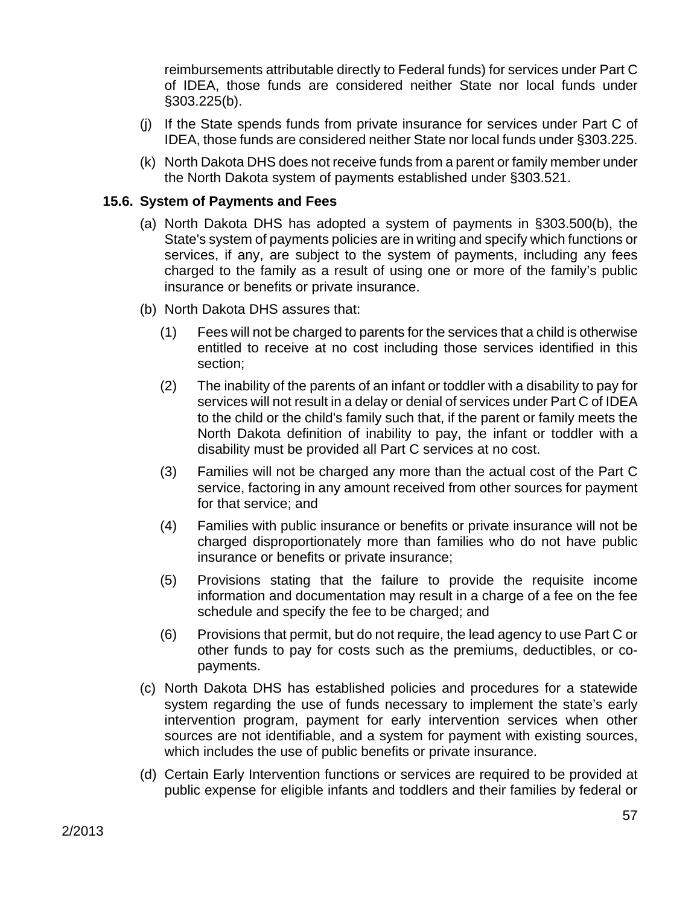reimbursements attributable directly to Federal funds) for services under Part C of IDEA, those funds are considered neither State nor local funds under §303.225(b).

- (j) If the State spends funds from private insurance for services under Part C of IDEA, those funds are considered neither State nor local funds under §303.225.
- (k) North Dakota DHS does not receive funds from a parent or family member under the North Dakota system of payments established under §303.521.

### **15.6. System of Payments and Fees**

- (a) North Dakota DHS has adopted a system of payments in §303.500(b), the State's system of payments policies are in writing and specify which functions or services, if any, are subject to the system of payments, including any fees charged to the family as a result of using one or more of the family's public insurance or benefits or private insurance.
- (b) North Dakota DHS assures that:
	- (1) Fees will not be charged to parents for the services that a child is otherwise entitled to receive at no cost including those services identified in this section;
	- (2) The inability of the parents of an infant or toddler with a disability to pay for services will not result in a delay or denial of services under Part C of IDEA to the child or the child's family such that, if the parent or family meets the North Dakota definition of inability to pay, the infant or toddler with a disability must be provided all Part C services at no cost.
	- (3) Families will not be charged any more than the actual cost of the Part C service, factoring in any amount received from other sources for payment for that service; and
	- (4) Families with public insurance or benefits or private insurance will not be charged disproportionately more than families who do not have public insurance or benefits or private insurance;
	- (5) Provisions stating that the failure to provide the requisite income information and documentation may result in a charge of a fee on the fee schedule and specify the fee to be charged; and
	- (6) Provisions that permit, but do not require, the lead agency to use Part C or other funds to pay for costs such as the premiums, deductibles, or copayments.
- (c) North Dakota DHS has established policies and procedures for a statewide system regarding the use of funds necessary to implement the state's early intervention program, payment for early intervention services when other sources are not identifiable, and a system for payment with existing sources, which includes the use of public benefits or private insurance.
- (d) Certain Early Intervention functions or services are required to be provided at public expense for eligible infants and toddlers and their families by federal or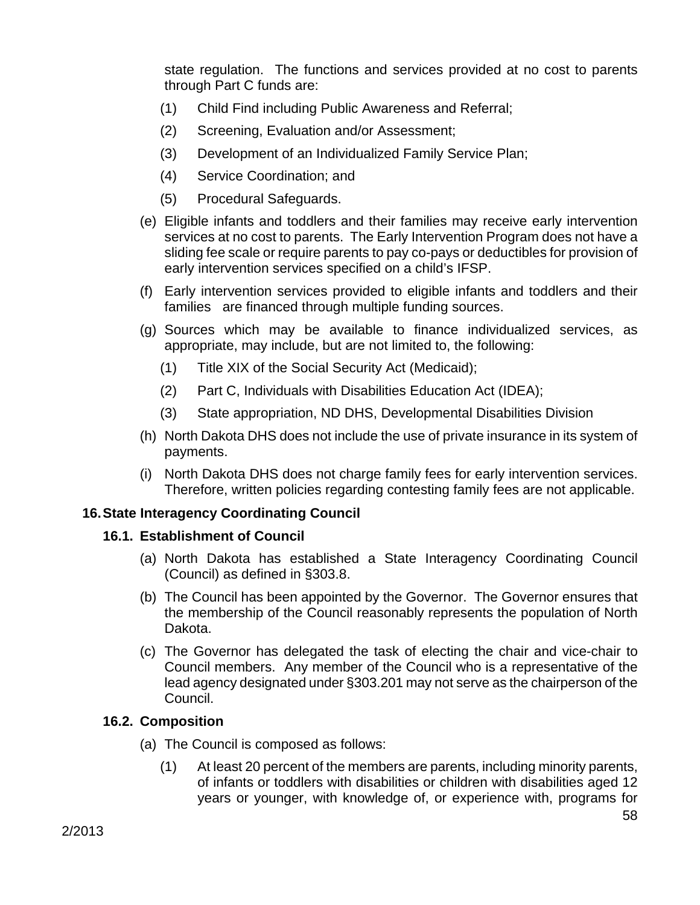state regulation. The functions and services provided at no cost to parents through Part C funds are:

- (1) Child Find including Public Awareness and Referral;
- (2) Screening, Evaluation and/or Assessment;
- (3) Development of an Individualized Family Service Plan;
- (4) Service Coordination; and
- (5) Procedural Safeguards.
- (e) Eligible infants and toddlers and their families may receive early intervention services at no cost to parents. The Early Intervention Program does not have a sliding fee scale or require parents to pay co-pays or deductibles for provision of early intervention services specified on a child's IFSP.
- (f) Early intervention services provided to eligible infants and toddlers and their families are financed through multiple funding sources.
- (g) Sources which may be available to finance individualized services, as appropriate, may include, but are not limited to, the following:
	- (1) Title XIX of the Social Security Act (Medicaid);
	- (2) Part C, Individuals with Disabilities Education Act (IDEA);
	- (3) State appropriation, ND DHS, Developmental Disabilities Division
- (h) North Dakota DHS does not include the use of private insurance in its system of payments.
- (i) North Dakota DHS does not charge family fees for early intervention services. Therefore, written policies regarding contesting family fees are not applicable.

#### **16. State Interagency Coordinating Council**

#### **16.1. Establishment of Council**

- (a) North Dakota has established a State Interagency Coordinating Council (Council) as defined in §303.8.
- (b) The Council has been appointed by the Governor. The Governor ensures that the membership of the Council reasonably represents the population of North Dakota.
- (c) The Governor has delegated the task of electing the chair and vice-chair to Council members. Any member of the Council who is a representative of the lead agency designated under §303.201 may not serve as the chairperson of the Council.

#### **16.2. Composition**

- (a) The Council is composed as follows:
	- (1) At least 20 percent of the members are parents, including minority parents, of infants or toddlers with disabilities or children with disabilities aged 12 years or younger, with knowledge of, or experience with, programs for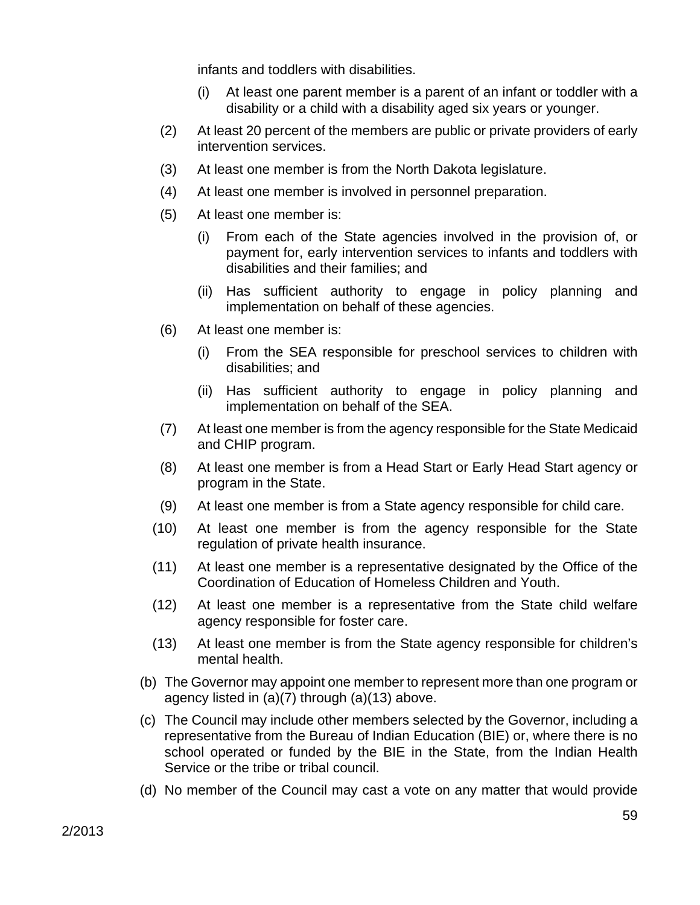infants and toddlers with disabilities.

- (i) At least one parent member is a parent of an infant or toddler with a disability or a child with a disability aged six years or younger.
- (2) At least 20 percent of the members are public or private providers of early intervention services.
- (3) At least one member is from the North Dakota legislature.
- (4) At least one member is involved in personnel preparation.
- (5) At least one member is:
	- (i) From each of the State agencies involved in the provision of, or payment for, early intervention services to infants and toddlers with disabilities and their families; and
	- (ii) Has sufficient authority to engage in policy planning and implementation on behalf of these agencies.
- (6) At least one member is:
	- (i) From the SEA responsible for preschool services to children with disabilities; and
	- (ii) Has sufficient authority to engage in policy planning and implementation on behalf of the SEA.
- (7) At least one member is from the agency responsible for the State Medicaid and CHIP program.
- (8) At least one member is from a Head Start or Early Head Start agency or program in the State.
- (9) At least one member is from a State agency responsible for child care.
- (10) At least one member is from the agency responsible for the State regulation of private health insurance.
- (11) At least one member is a representative designated by the Office of the Coordination of Education of Homeless Children and Youth.
- (12) At least one member is a representative from the State child welfare agency responsible for foster care.
- (13) At least one member is from the State agency responsible for children's mental health.
- (b) The Governor may appoint one member to represent more than one program or agency listed in (a)(7) through (a)(13) above.
- (c) The Council may include other members selected by the Governor, including a representative from the Bureau of Indian Education (BIE) or, where there is no school operated or funded by the BIE in the State, from the Indian Health Service or the tribe or tribal council.
- (d) No member of the Council may cast a vote on any matter that would provide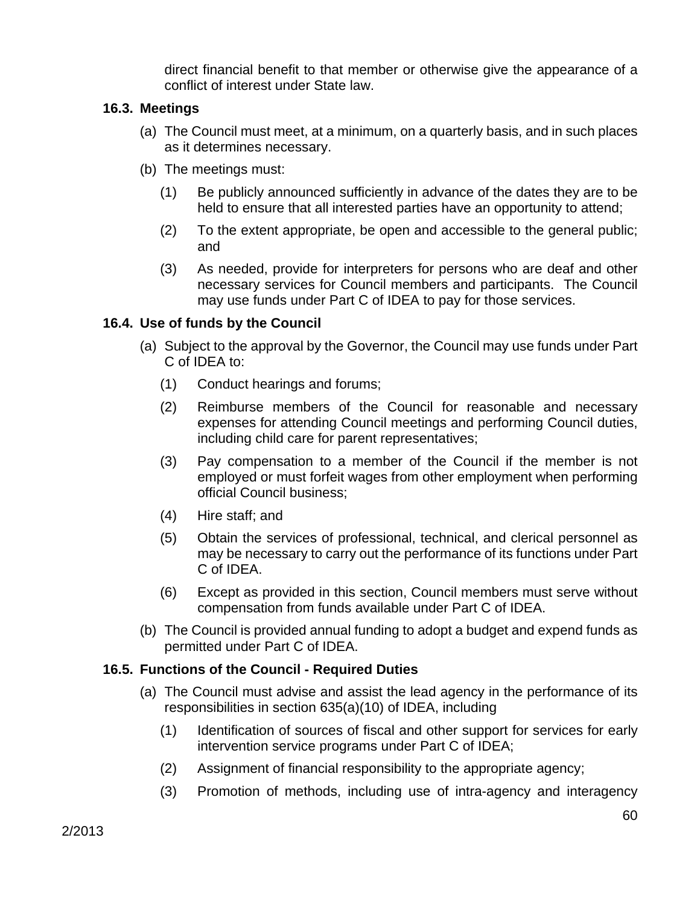direct financial benefit to that member or otherwise give the appearance of a conflict of interest under State law.

### **16.3. Meetings**

- (a) The Council must meet, at a minimum, on a quarterly basis, and in such places as it determines necessary.
- (b) The meetings must:
	- (1) Be publicly announced sufficiently in advance of the dates they are to be held to ensure that all interested parties have an opportunity to attend;
	- (2) To the extent appropriate, be open and accessible to the general public; and
	- (3) As needed, provide for interpreters for persons who are deaf and other necessary services for Council members and participants. The Council may use funds under Part C of IDEA to pay for those services.

#### **16.4. Use of funds by the Council**

- (a) Subject to the approval by the Governor, the Council may use funds under Part C of IDEA to:
	- (1) Conduct hearings and forums;
	- (2) Reimburse members of the Council for reasonable and necessary expenses for attending Council meetings and performing Council duties, including child care for parent representatives;
	- (3) Pay compensation to a member of the Council if the member is not employed or must forfeit wages from other employment when performing official Council business;
	- (4) Hire staff; and
	- (5) Obtain the services of professional, technical, and clerical personnel as may be necessary to carry out the performance of its functions under Part C of IDEA.
	- (6) Except as provided in this section, Council members must serve without compensation from funds available under Part C of IDEA.
- (b) The Council is provided annual funding to adopt a budget and expend funds as permitted under Part C of IDEA.

#### **16.5. Functions of the Council - Required Duties**

- (a) The Council must advise and assist the lead agency in the performance of its responsibilities in section 635(a)(10) of IDEA, including
	- (1) Identification of sources of fiscal and other support for services for early intervention service programs under Part C of IDEA;
	- (2) Assignment of financial responsibility to the appropriate agency;
	- (3) Promotion of methods, including use of intra-agency and interagency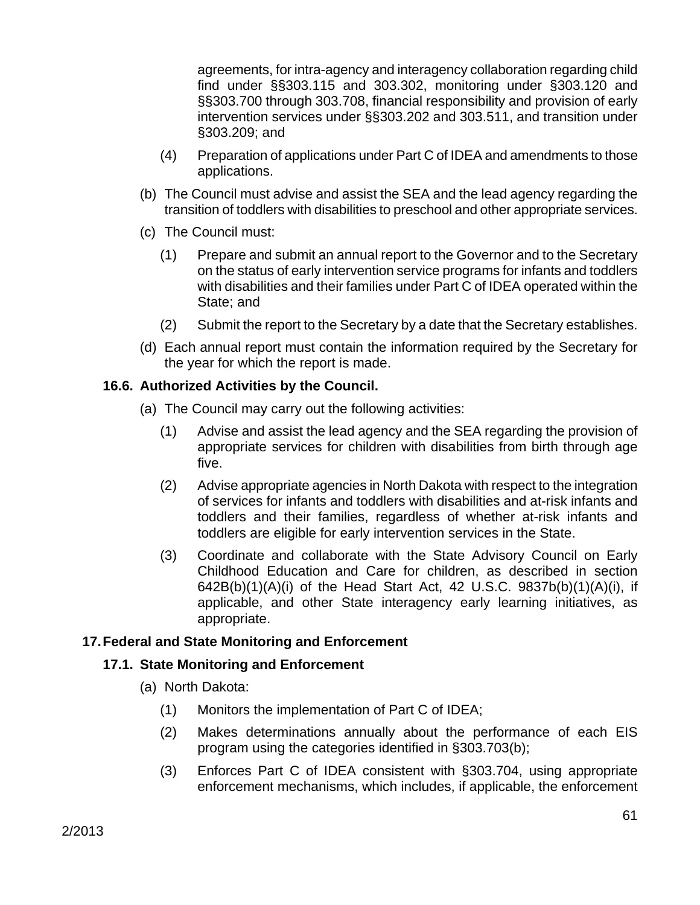agreements, for intra-agency and interagency collaboration regarding child find under §§303.115 and 303.302, monitoring under §303.120 and §§303.700 through 303.708, financial responsibility and provision of early intervention services under §§303.202 and 303.511, and transition under §303.209; and

- (4) Preparation of applications under Part C of IDEA and amendments to those applications.
- (b) The Council must advise and assist the SEA and the lead agency regarding the transition of toddlers with disabilities to preschool and other appropriate services.
- (c) The Council must:
	- (1) Prepare and submit an annual report to the Governor and to the Secretary on the status of early intervention service programs for infants and toddlers with disabilities and their families under Part C of IDEA operated within the State; and
	- (2) Submit the report to the Secretary by a date that the Secretary establishes.
- (d) Each annual report must contain the information required by the Secretary for the year for which the report is made.

#### **16.6. Authorized Activities by the Council.**

- (a) The Council may carry out the following activities:
	- (1) Advise and assist the lead agency and the SEA regarding the provision of appropriate services for children with disabilities from birth through age five.
	- (2) Advise appropriate agencies in North Dakota with respect to the integration of services for infants and toddlers with disabilities and at-risk infants and toddlers and their families, regardless of whether at-risk infants and toddlers are eligible for early intervention services in the State.
	- (3) Coordinate and collaborate with the State Advisory Council on Early Childhood Education and Care for children, as described in section 642B(b)(1)(A)(i) of the Head Start Act, 42 U.S.C. 9837b(b)(1)(A)(i), if applicable, and other State interagency early learning initiatives, as appropriate.

#### **17. Federal and State Monitoring and Enforcement**

#### **17.1. State Monitoring and Enforcement**

- (a) North Dakota:
	- (1) Monitors the implementation of Part C of IDEA;
	- (2) Makes determinations annually about the performance of each EIS program using the categories identified in §303.703(b);
	- (3) Enforces Part C of IDEA consistent with §303.704, using appropriate enforcement mechanisms, which includes, if applicable, the enforcement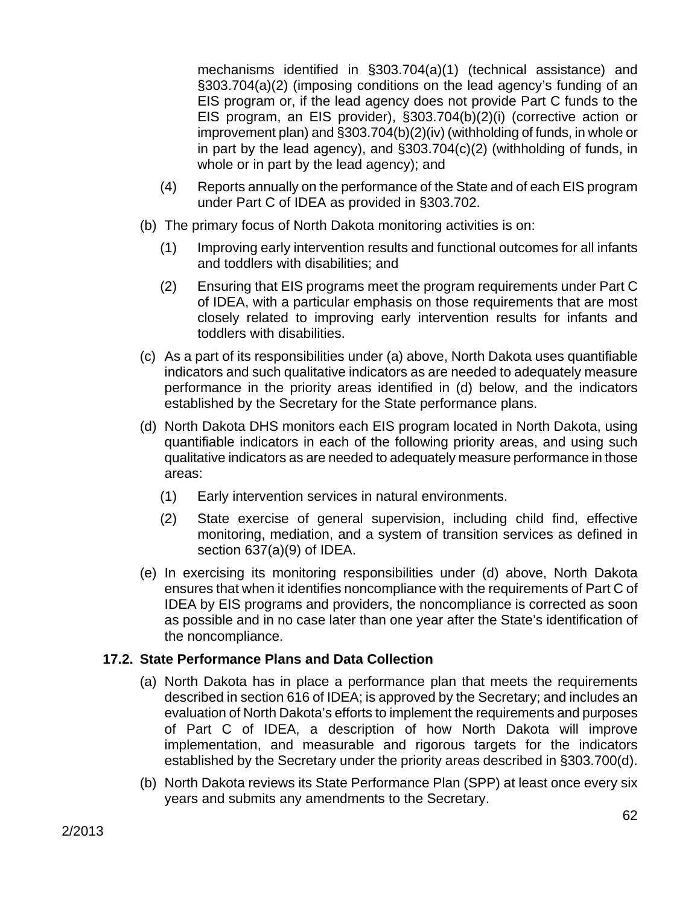mechanisms identified in §303.704(a)(1) (technical assistance) and §303.704(a)(2) (imposing conditions on the lead agency's funding of an EIS program or, if the lead agency does not provide Part C funds to the EIS program, an EIS provider), §303.704(b)(2)(i) (corrective action or improvement plan) and §303.704(b)(2)(iv) (withholding of funds, in whole or in part by the lead agency), and §303.704(c)(2) (withholding of funds, in whole or in part by the lead agency); and

- (4) Reports annually on the performance of the State and of each EIS program under Part C of IDEA as provided in §303.702.
- (b) The primary focus of North Dakota monitoring activities is on:
	- (1) Improving early intervention results and functional outcomes for all infants and toddlers with disabilities; and
	- (2) Ensuring that EIS programs meet the program requirements under Part C of IDEA, with a particular emphasis on those requirements that are most closely related to improving early intervention results for infants and toddlers with disabilities.
- (c) As a part of its responsibilities under (a) above, North Dakota uses quantifiable indicators and such qualitative indicators as are needed to adequately measure performance in the priority areas identified in (d) below, and the indicators established by the Secretary for the State performance plans.
- (d) North Dakota DHS monitors each EIS program located in North Dakota, using quantifiable indicators in each of the following priority areas, and using such qualitative indicators as are needed to adequately measure performance in those areas:
	- (1) Early intervention services in natural environments.
	- (2) State exercise of general supervision, including child find, effective monitoring, mediation, and a system of transition services as defined in section 637(a)(9) of IDEA.
- (e) In exercising its monitoring responsibilities under (d) above, North Dakota ensures that when it identifies noncompliance with the requirements of Part C of IDEA by EIS programs and providers, the noncompliance is corrected as soon as possible and in no case later than one year after the State's identification of the noncompliance.

# **17.2. State Performance Plans and Data Collection**

- (a) North Dakota has in place a performance plan that meets the requirements described in section 616 of IDEA; is approved by the Secretary; and includes an evaluation of North Dakota's efforts to implement the requirements and purposes of Part C of IDEA, a description of how North Dakota will improve implementation, and measurable and rigorous targets for the indicators established by the Secretary under the priority areas described in §303.700(d).
- (b) North Dakota reviews its State Performance Plan (SPP) at least once every six years and submits any amendments to the Secretary.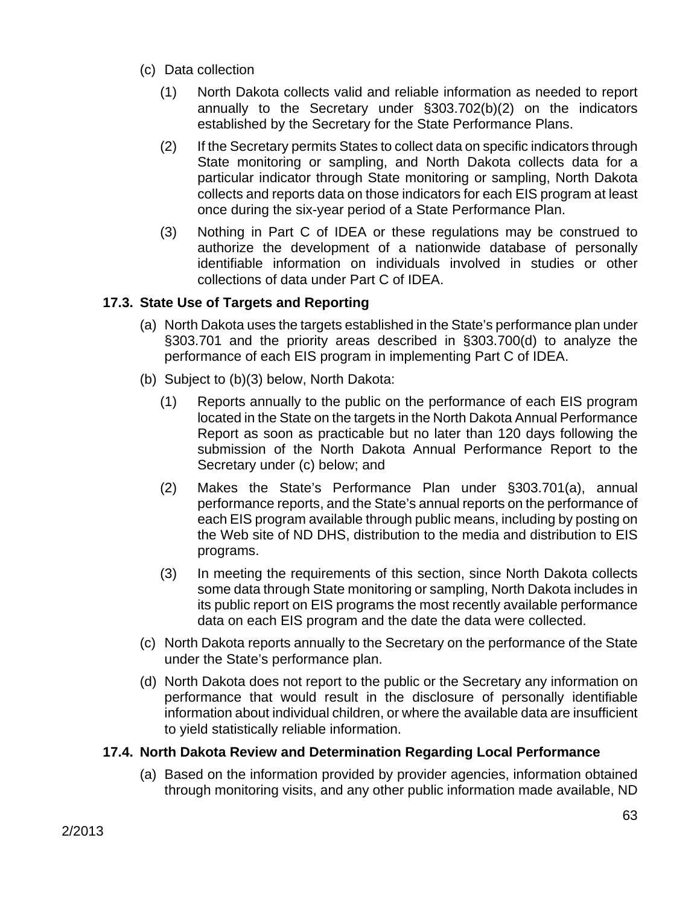- (c) Data collection
	- (1) North Dakota collects valid and reliable information as needed to report annually to the Secretary under §303.702(b)(2) on the indicators established by the Secretary for the State Performance Plans.
	- (2) If the Secretary permits States to collect data on specific indicators through State monitoring or sampling, and North Dakota collects data for a particular indicator through State monitoring or sampling, North Dakota collects and reports data on those indicators for each EIS program at least once during the six-year period of a State Performance Plan.
	- (3) Nothing in Part C of IDEA or these regulations may be construed to authorize the development of a nationwide database of personally identifiable information on individuals involved in studies or other collections of data under Part C of IDEA.

# **17.3. State Use of Targets and Reporting**

- (a) North Dakota uses the targets established in the State's performance plan under §303.701 and the priority areas described in §303.700(d) to analyze the performance of each EIS program in implementing Part C of IDEA.
- (b) Subject to (b)(3) below, North Dakota:
	- (1) Reports annually to the public on the performance of each EIS program located in the State on the targets in the North Dakota Annual Performance Report as soon as practicable but no later than 120 days following the submission of the North Dakota Annual Performance Report to the Secretary under (c) below; and
	- (2) Makes the State's Performance Plan under §303.701(a), annual performance reports, and the State's annual reports on the performance of each EIS program available through public means, including by posting on the Web site of ND DHS, distribution to the media and distribution to EIS programs.
	- (3) In meeting the requirements of this section, since North Dakota collects some data through State monitoring or sampling, North Dakota includes in its public report on EIS programs the most recently available performance data on each EIS program and the date the data were collected.
- (c) North Dakota reports annually to the Secretary on the performance of the State under the State's performance plan.
- (d) North Dakota does not report to the public or the Secretary any information on performance that would result in the disclosure of personally identifiable information about individual children, or where the available data are insufficient to yield statistically reliable information.

# **17.4. North Dakota Review and Determination Regarding Local Performance**

(a) Based on the information provided by provider agencies, information obtained through monitoring visits, and any other public information made available, ND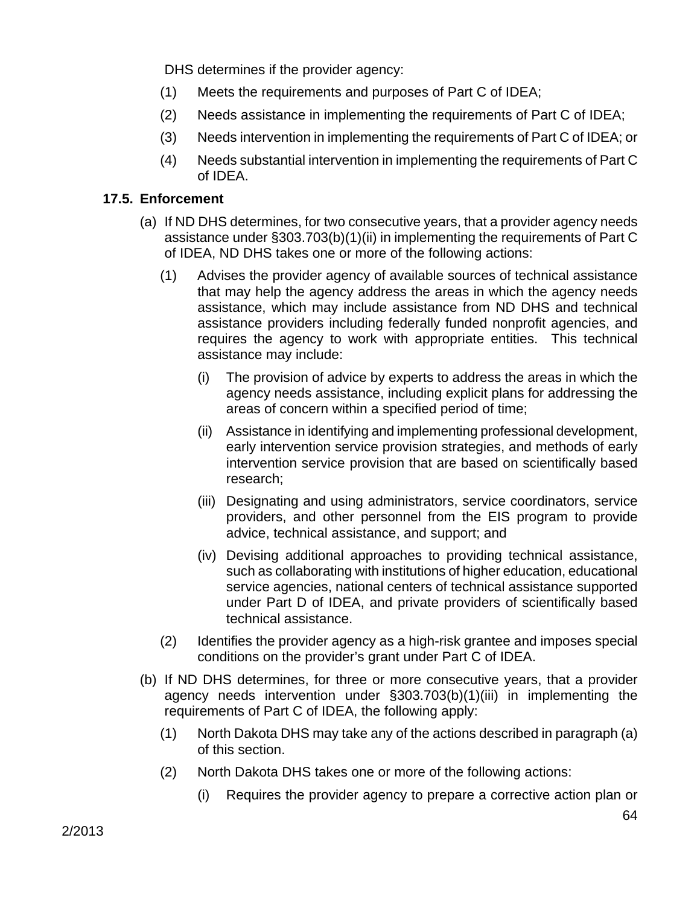DHS determines if the provider agency:

- (1) Meets the requirements and purposes of Part C of IDEA;
- (2) Needs assistance in implementing the requirements of Part C of IDEA;
- (3) Needs intervention in implementing the requirements of Part C of IDEA; or
- (4) Needs substantial intervention in implementing the requirements of Part C of IDEA.

### **17.5. Enforcement**

- (a) If ND DHS determines, for two consecutive years, that a provider agency needs assistance under §303.703(b)(1)(ii) in implementing the requirements of Part C of IDEA, ND DHS takes one or more of the following actions:
	- (1) Advises the provider agency of available sources of technical assistance that may help the agency address the areas in which the agency needs assistance, which may include assistance from ND DHS and technical assistance providers including federally funded nonprofit agencies, and requires the agency to work with appropriate entities. This technical assistance may include:
		- (i) The provision of advice by experts to address the areas in which the agency needs assistance, including explicit plans for addressing the areas of concern within a specified period of time;
		- (ii) Assistance in identifying and implementing professional development, early intervention service provision strategies, and methods of early intervention service provision that are based on scientifically based research;
		- (iii) Designating and using administrators, service coordinators, service providers, and other personnel from the EIS program to provide advice, technical assistance, and support; and
		- (iv) Devising additional approaches to providing technical assistance, such as collaborating with institutions of higher education, educational service agencies, national centers of technical assistance supported under Part D of IDEA, and private providers of scientifically based technical assistance.
	- (2) Identifies the provider agency as a high-risk grantee and imposes special conditions on the provider's grant under Part C of IDEA.
- (b) If ND DHS determines, for three or more consecutive years, that a provider agency needs intervention under §303.703(b)(1)(iii) in implementing the requirements of Part C of IDEA, the following apply:
	- (1) North Dakota DHS may take any of the actions described in paragraph (a) of this section.
	- (2) North Dakota DHS takes one or more of the following actions:
		- (i) Requires the provider agency to prepare a corrective action plan or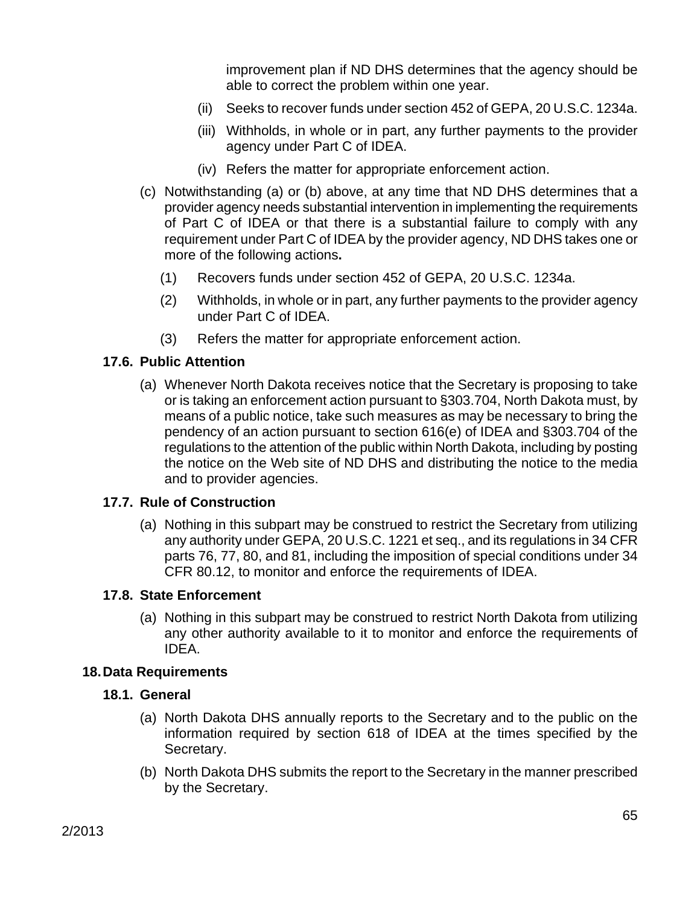improvement plan if ND DHS determines that the agency should be able to correct the problem within one year.

- (ii) Seeks to recover funds under section 452 of GEPA, 20 U.S.C. 1234a.
- (iii) Withholds, in whole or in part, any further payments to the provider agency under Part C of IDEA.
- (iv) Refers the matter for appropriate enforcement action.
- (c) Notwithstanding (a) or (b) above, at any time that ND DHS determines that a provider agency needs substantial intervention in implementing the requirements of Part C of IDEA or that there is a substantial failure to comply with any requirement under Part C of IDEA by the provider agency, ND DHS takes one or more of the following actions**.** 
	- (1) Recovers funds under section 452 of GEPA, 20 U.S.C. 1234a.
	- (2) Withholds, in whole or in part, any further payments to the provider agency under Part C of IDEA.
	- (3) Refers the matter for appropriate enforcement action.

### **17.6. Public Attention**

(a) Whenever North Dakota receives notice that the Secretary is proposing to take or is taking an enforcement action pursuant to §303.704, North Dakota must, by means of a public notice, take such measures as may be necessary to bring the pendency of an action pursuant to section 616(e) of IDEA and §303.704 of the regulations to the attention of the public within North Dakota, including by posting the notice on the Web site of ND DHS and distributing the notice to the media and to provider agencies.

#### **17.7. Rule of Construction**

(a) Nothing in this subpart may be construed to restrict the Secretary from utilizing any authority under GEPA, 20 U.S.C. 1221 et seq., and its regulations in 34 CFR parts 76, 77, 80, and 81, including the imposition of special conditions under 34 CFR 80.12, to monitor and enforce the requirements of IDEA.

#### **17.8. State Enforcement**

(a) Nothing in this subpart may be construed to restrict North Dakota from utilizing any other authority available to it to monitor and enforce the requirements of IDEA.

#### **18. Data Requirements**

#### **18.1. General**

- (a) North Dakota DHS annually reports to the Secretary and to the public on the information required by section 618 of IDEA at the times specified by the Secretary.
- (b) North Dakota DHS submits the report to the Secretary in the manner prescribed by the Secretary.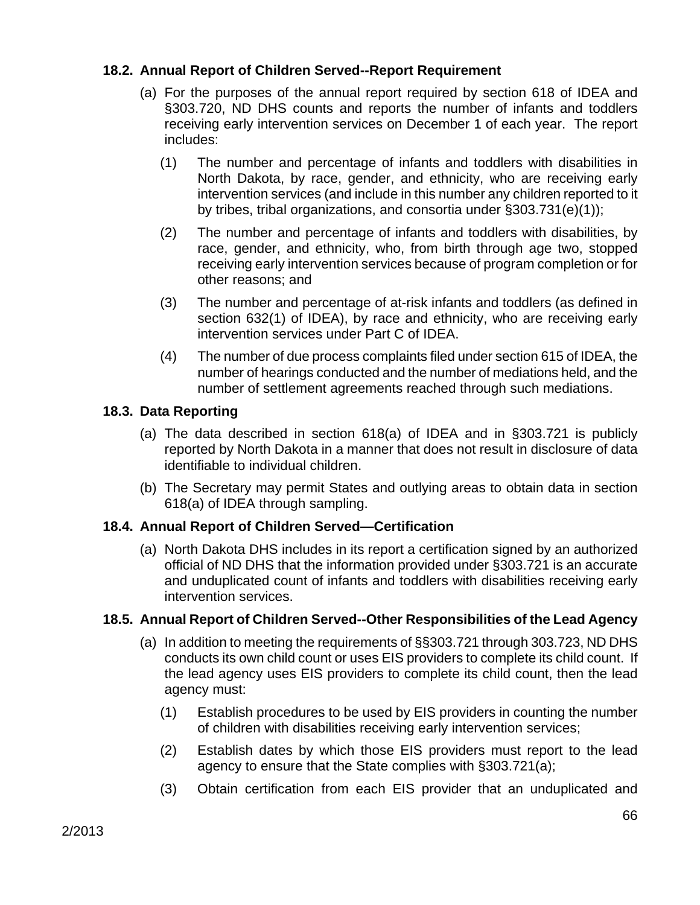### **18.2. Annual Report of Children Served--Report Requirement**

- (a) For the purposes of the annual report required by section 618 of IDEA and §303.720, ND DHS counts and reports the number of infants and toddlers receiving early intervention services on December 1 of each year. The report includes:
	- (1) The number and percentage of infants and toddlers with disabilities in North Dakota, by race, gender, and ethnicity, who are receiving early intervention services (and include in this number any children reported to it by tribes, tribal organizations, and consortia under §303.731(e)(1));
	- (2) The number and percentage of infants and toddlers with disabilities, by race, gender, and ethnicity, who, from birth through age two, stopped receiving early intervention services because of program completion or for other reasons; and
	- (3) The number and percentage of at-risk infants and toddlers (as defined in section 632(1) of IDEA), by race and ethnicity, who are receiving early intervention services under Part C of IDEA.
	- (4) The number of due process complaints filed under section 615 of IDEA, the number of hearings conducted and the number of mediations held, and the number of settlement agreements reached through such mediations.

### **18.3. Data Reporting**

- (a) The data described in section 618(a) of IDEA and in §303.721 is publicly reported by North Dakota in a manner that does not result in disclosure of data identifiable to individual children.
- (b) The Secretary may permit States and outlying areas to obtain data in section 618(a) of IDEA through sampling.

# **18.4. Annual Report of Children Served—Certification**

(a) North Dakota DHS includes in its report a certification signed by an authorized official of ND DHS that the information provided under §303.721 is an accurate and unduplicated count of infants and toddlers with disabilities receiving early intervention services.

#### **18.5. Annual Report of Children Served--Other Responsibilities of the Lead Agency**

- (a) In addition to meeting the requirements of §§303.721 through 303.723, ND DHS conducts its own child count or uses EIS providers to complete its child count. If the lead agency uses EIS providers to complete its child count, then the lead agency must:
	- (1) Establish procedures to be used by EIS providers in counting the number of children with disabilities receiving early intervention services;
	- (2) Establish dates by which those EIS providers must report to the lead agency to ensure that the State complies with §303.721(a);
	- (3) Obtain certification from each EIS provider that an unduplicated and